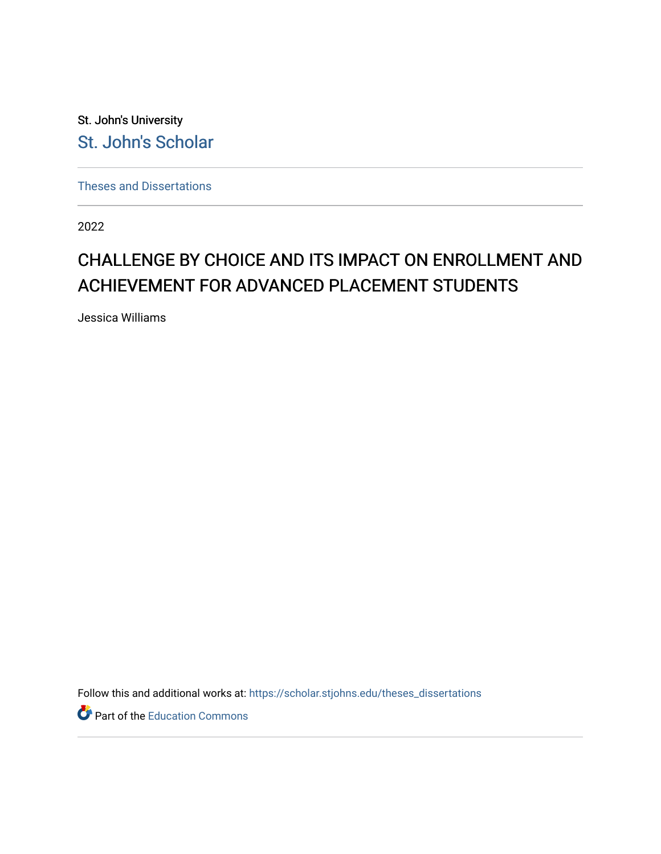St. John's University [St. John's Scholar](https://scholar.stjohns.edu/) 

[Theses and Dissertations](https://scholar.stjohns.edu/theses_dissertations)

2022

# CHALLENGE BY CHOICE AND ITS IMPACT ON ENROLLMENT AND ACHIEVEMENT FOR ADVANCED PLACEMENT STUDENTS

Jessica Williams

Follow this and additional works at: [https://scholar.stjohns.edu/theses\\_dissertations](https://scholar.stjohns.edu/theses_dissertations?utm_source=scholar.stjohns.edu%2Ftheses_dissertations%2F408&utm_medium=PDF&utm_campaign=PDFCoverPages)

Part of the [Education Commons](https://network.bepress.com/hgg/discipline/784?utm_source=scholar.stjohns.edu%2Ftheses_dissertations%2F408&utm_medium=PDF&utm_campaign=PDFCoverPages)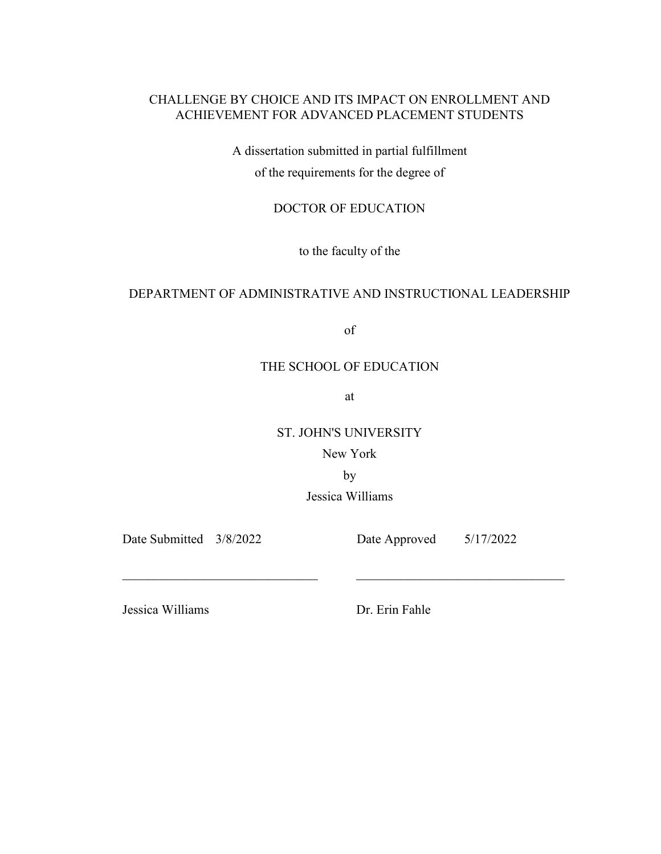## CHALLENGE BY CHOICE AND ITS IMPACT ON ENROLLMENT AND ACHIEVEMENT FOR ADVANCED PLACEMENT STUDENTS

A dissertation submitted in partial fulfillment of the requirements for the degree of

## DOCTOR OF EDUCATION

to the faculty of the

### DEPARTMENT OF ADMINISTRATIVE AND INSTRUCTIONAL LEADERSHIP

of

### THE SCHOOL OF EDUCATION

at

ST. JOHN'S UNIVERSITY

New York

by

\_\_\_\_\_\_\_\_\_\_\_\_\_\_\_\_\_\_\_\_\_\_\_\_\_\_\_\_\_\_\_ \_\_\_\_\_\_\_\_\_\_\_\_\_\_\_\_\_\_\_\_\_\_\_\_\_\_\_\_\_\_\_\_\_

Jessica Williams

Date Submitted 3/8/2022 Date Approved 5/17/2022

Jessica Williams Dr. Erin Fahle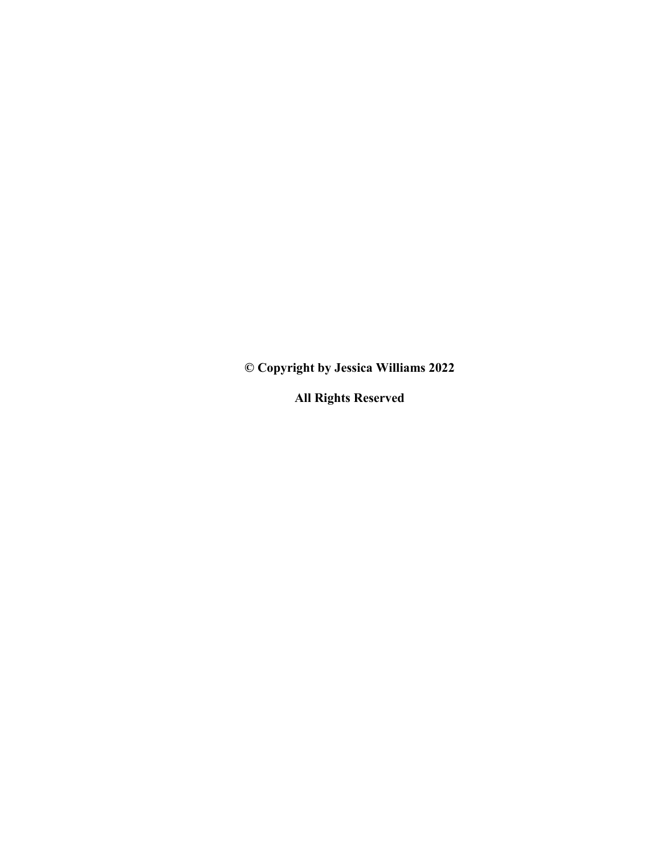**© Copyright by Jessica Williams 2022** 

**All Rights Reserved**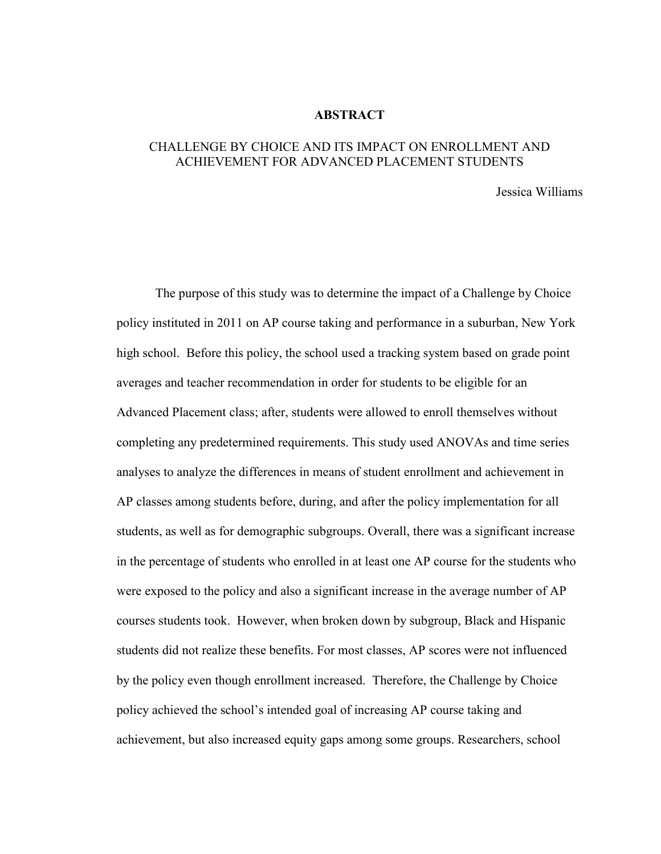#### **ABSTRACT**

### CHALLENGE BY CHOICE AND ITS IMPACT ON ENROLLMENT AND ACHIEVEMENT FOR ADVANCED PLACEMENT STUDENTS

Jessica Williams

 The purpose of this study was to determine the impact of a Challenge by Choice policy instituted in 2011 on AP course taking and performance in a suburban, New York high school. Before this policy, the school used a tracking system based on grade point averages and teacher recommendation in order for students to be eligible for an Advanced Placement class; after, students were allowed to enroll themselves without completing any predetermined requirements. This study used ANOVAs and time series analyses to analyze the differences in means of student enrollment and achievement in AP classes among students before, during, and after the policy implementation for all students, as well as for demographic subgroups. Overall, there was a significant increase in the percentage of students who enrolled in at least one AP course for the students who were exposed to the policy and also a significant increase in the average number of AP courses students took. However, when broken down by subgroup, Black and Hispanic students did not realize these benefits. For most classes, AP scores were not influenced by the policy even though enrollment increased. Therefore, the Challenge by Choice policy achieved the school's intended goal of increasing AP course taking and achievement, but also increased equity gaps among some groups. Researchers, school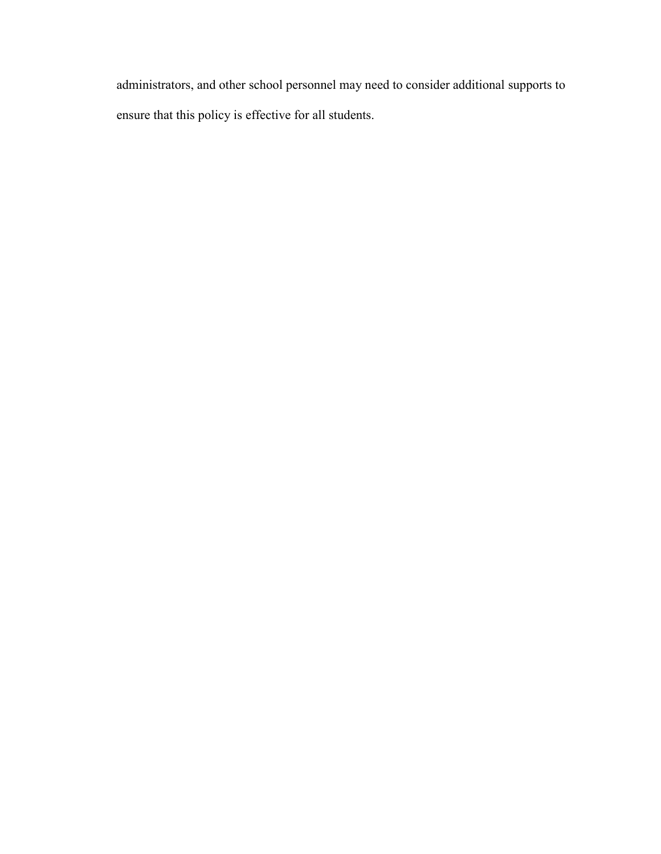administrators, and other school personnel may need to consider additional supports to ensure that this policy is effective for all students.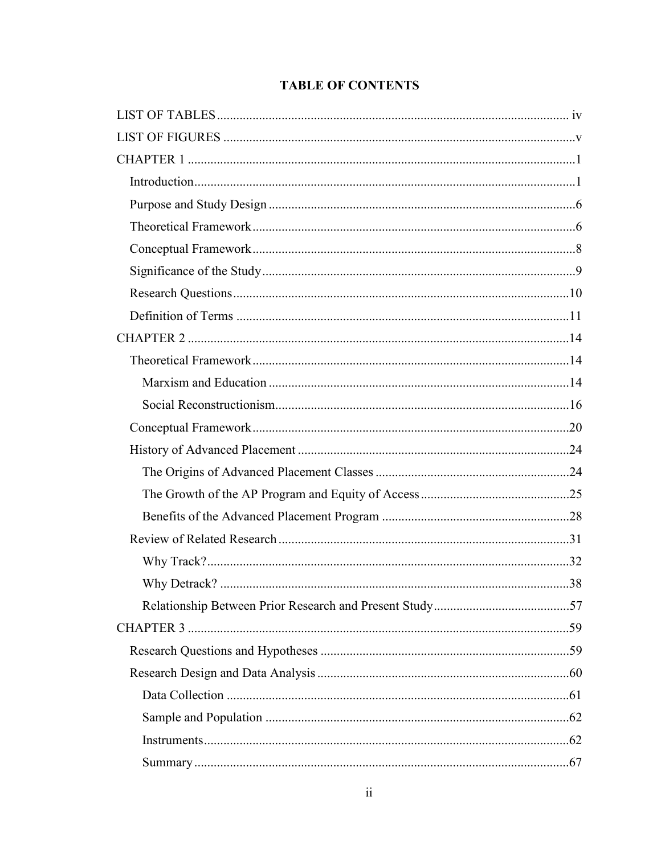# **TABLE OF CONTENTS**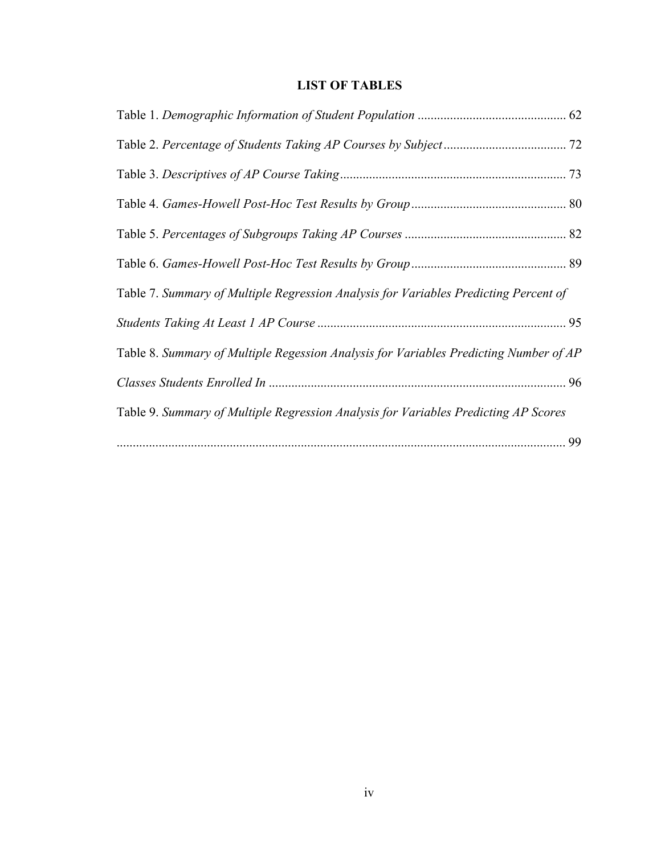# **LIST OF TABLES**

| Table 7. Summary of Multiple Regression Analysis for Variables Predicting Percent of  |  |
|---------------------------------------------------------------------------------------|--|
|                                                                                       |  |
| Table 8. Summary of Multiple Regession Analysis for Variables Predicting Number of AP |  |
|                                                                                       |  |
| Table 9. Summary of Multiple Regression Analysis for Variables Predicting AP Scores   |  |
|                                                                                       |  |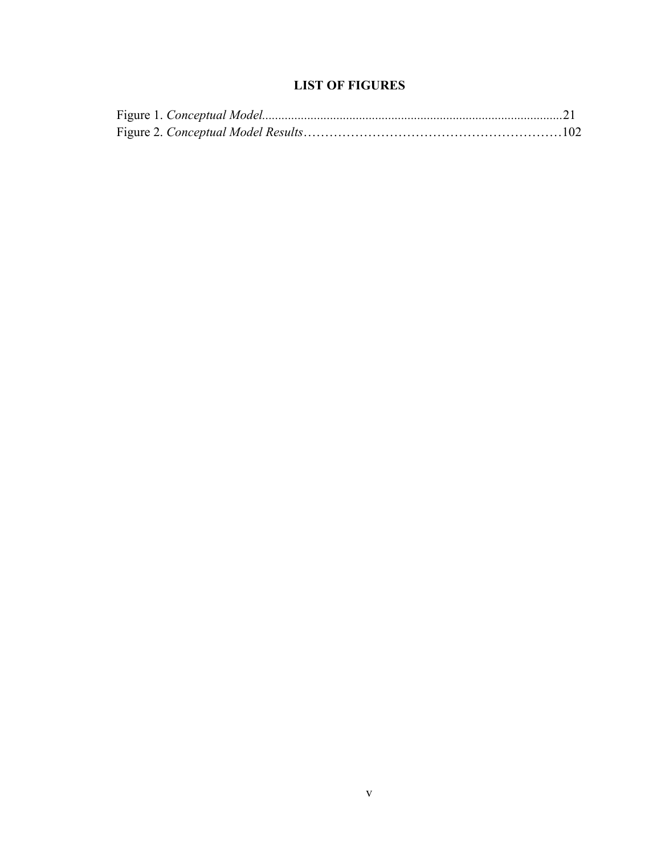# **LIST OF FIGURES**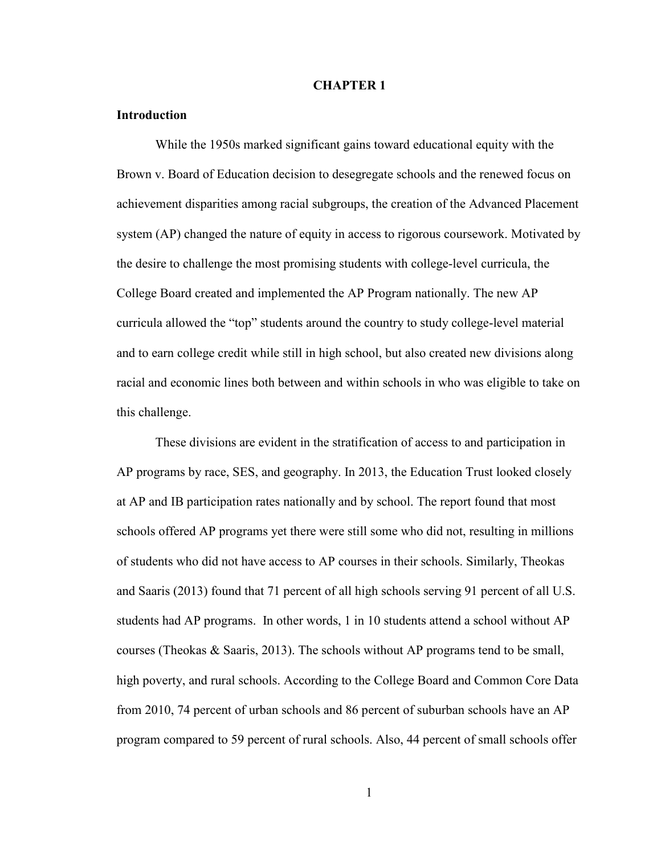#### **CHAPTER 1**

#### **Introduction**

While the 1950s marked significant gains toward educational equity with the Brown v. Board of Education decision to desegregate schools and the renewed focus on achievement disparities among racial subgroups, the creation of the Advanced Placement system (AP) changed the nature of equity in access to rigorous coursework. Motivated by the desire to challenge the most promising students with college-level curricula, the College Board created and implemented the AP Program nationally. The new AP curricula allowed the "top" students around the country to study college-level material and to earn college credit while still in high school, but also created new divisions along racial and economic lines both between and within schools in who was eligible to take on this challenge.

These divisions are evident in the stratification of access to and participation in AP programs by race, SES, and geography. In 2013, the Education Trust looked closely at AP and IB participation rates nationally and by school. The report found that most schools offered AP programs yet there were still some who did not, resulting in millions of students who did not have access to AP courses in their schools. Similarly, Theokas and Saaris (2013) found that 71 percent of all high schools serving 91 percent of all U.S. students had AP programs. In other words, 1 in 10 students attend a school without AP courses (Theokas & Saaris, 2013). The schools without AP programs tend to be small, high poverty, and rural schools. According to the College Board and Common Core Data from 2010, 74 percent of urban schools and 86 percent of suburban schools have an AP program compared to 59 percent of rural schools. Also, 44 percent of small schools offer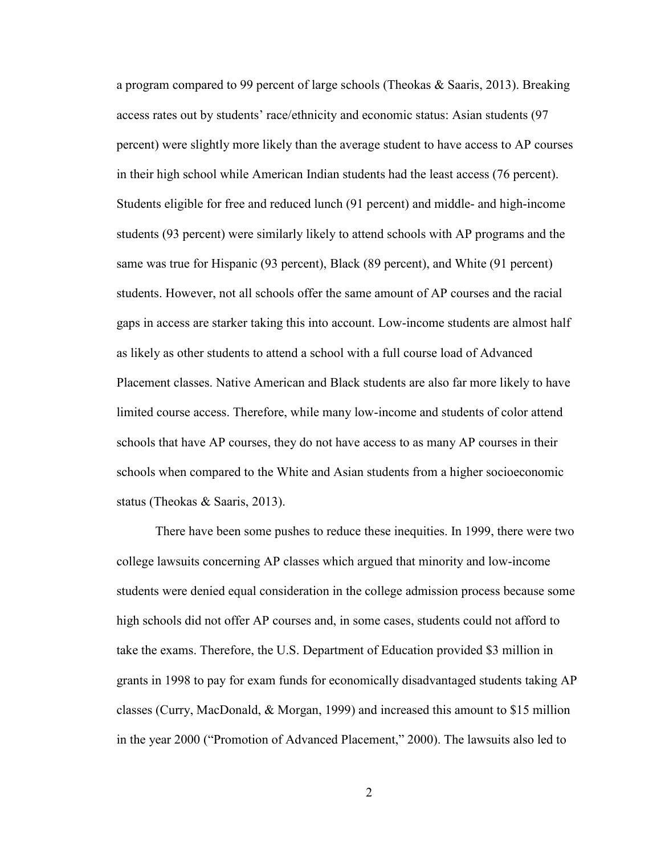a program compared to 99 percent of large schools (Theokas & Saaris, 2013). Breaking access rates out by students' race/ethnicity and economic status: Asian students (97 percent) were slightly more likely than the average student to have access to AP courses in their high school while American Indian students had the least access (76 percent). Students eligible for free and reduced lunch (91 percent) and middle- and high-income students (93 percent) were similarly likely to attend schools with AP programs and the same was true for Hispanic (93 percent), Black (89 percent), and White (91 percent) students. However, not all schools offer the same amount of AP courses and the racial gaps in access are starker taking this into account. Low-income students are almost half as likely as other students to attend a school with a full course load of Advanced Placement classes. Native American and Black students are also far more likely to have limited course access. Therefore, while many low-income and students of color attend schools that have AP courses, they do not have access to as many AP courses in their schools when compared to the White and Asian students from a higher socioeconomic status (Theokas & Saaris, 2013).

There have been some pushes to reduce these inequities. In 1999, there were two college lawsuits concerning AP classes which argued that minority and low-income students were denied equal consideration in the college admission process because some high schools did not offer AP courses and, in some cases, students could not afford to take the exams. Therefore, the U.S. Department of Education provided \$3 million in grants in 1998 to pay for exam funds for economically disadvantaged students taking AP classes (Curry, MacDonald, & Morgan, 1999) and increased this amount to \$15 million in the year 2000 ("Promotion of Advanced Placement," 2000). The lawsuits also led to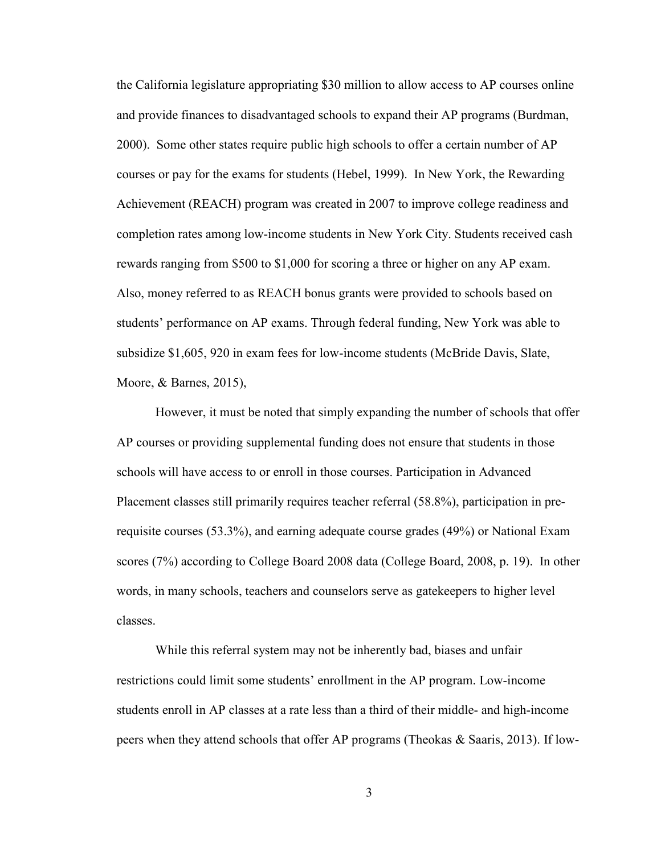the California legislature appropriating \$30 million to allow access to AP courses online and provide finances to disadvantaged schools to expand their AP programs (Burdman, 2000). Some other states require public high schools to offer a certain number of AP courses or pay for the exams for students (Hebel, 1999). In New York, the Rewarding Achievement (REACH) program was created in 2007 to improve college readiness and completion rates among low-income students in New York City. Students received cash rewards ranging from \$500 to \$1,000 for scoring a three or higher on any AP exam. Also, money referred to as REACH bonus grants were provided to schools based on students' performance on AP exams. Through federal funding, New York was able to subsidize \$1,605, 920 in exam fees for low-income students (McBride Davis, Slate, Moore, & Barnes, 2015),

However, it must be noted that simply expanding the number of schools that offer AP courses or providing supplemental funding does not ensure that students in those schools will have access to or enroll in those courses. Participation in Advanced Placement classes still primarily requires teacher referral (58.8%), participation in prerequisite courses (53.3%), and earning adequate course grades (49%) or National Exam scores (7%) according to College Board 2008 data (College Board, 2008, p. 19). In other words, in many schools, teachers and counselors serve as gatekeepers to higher level classes.

While this referral system may not be inherently bad, biases and unfair restrictions could limit some students' enrollment in the AP program. Low-income students enroll in AP classes at a rate less than a third of their middle- and high-income peers when they attend schools that offer AP programs (Theokas & Saaris, 2013). If low-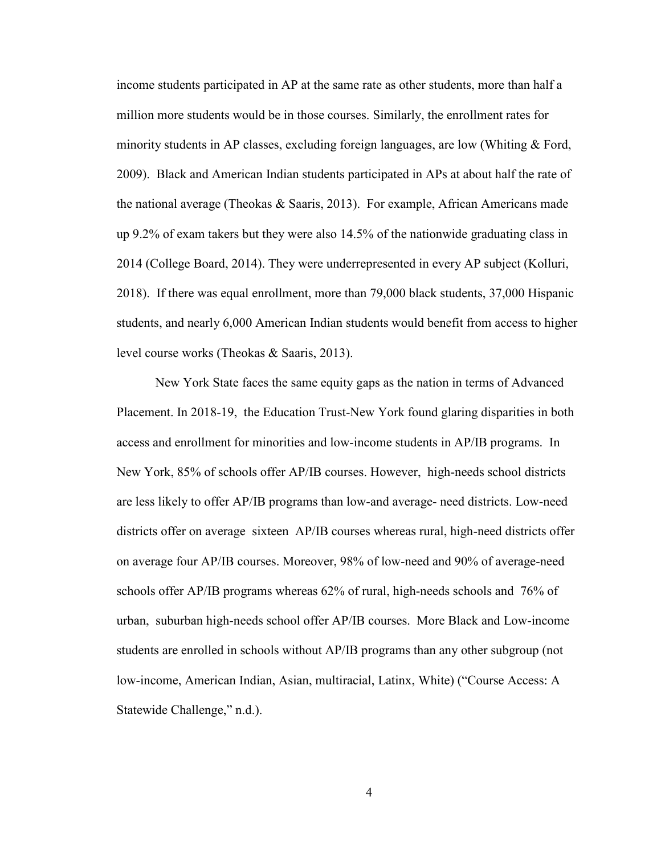income students participated in AP at the same rate as other students, more than half a million more students would be in those courses. Similarly, the enrollment rates for minority students in AP classes, excluding foreign languages, are low (Whiting  $\&$  Ford, 2009). Black and American Indian students participated in APs at about half the rate of the national average (Theokas & Saaris, 2013). For example, African Americans made up 9.2% of exam takers but they were also 14.5% of the nationwide graduating class in 2014 (College Board, 2014). They were underrepresented in every AP subject (Kolluri, 2018). If there was equal enrollment, more than 79,000 black students, 37,000 Hispanic students, and nearly 6,000 American Indian students would benefit from access to higher level course works (Theokas & Saaris, 2013).

New York State faces the same equity gaps as the nation in terms of Advanced Placement. In 2018-19, the Education Trust-New York found glaring disparities in both access and enrollment for minorities and low-income students in AP/IB programs. In New York, 85% of schools offer AP/IB courses. However, high-needs school districts are less likely to offer AP/IB programs than low-and average- need districts. Low-need districts offer on average sixteen AP/IB courses whereas rural, high-need districts offer on average four AP/IB courses. Moreover, 98% of low-need and 90% of average-need schools offer AP/IB programs whereas 62% of rural, high-needs schools and 76% of urban, suburban high-needs school offer AP/IB courses. More Black and Low-income students are enrolled in schools without AP/IB programs than any other subgroup (not low-income, American Indian, Asian, multiracial, Latinx, White) ("Course Access: A Statewide Challenge," n.d.).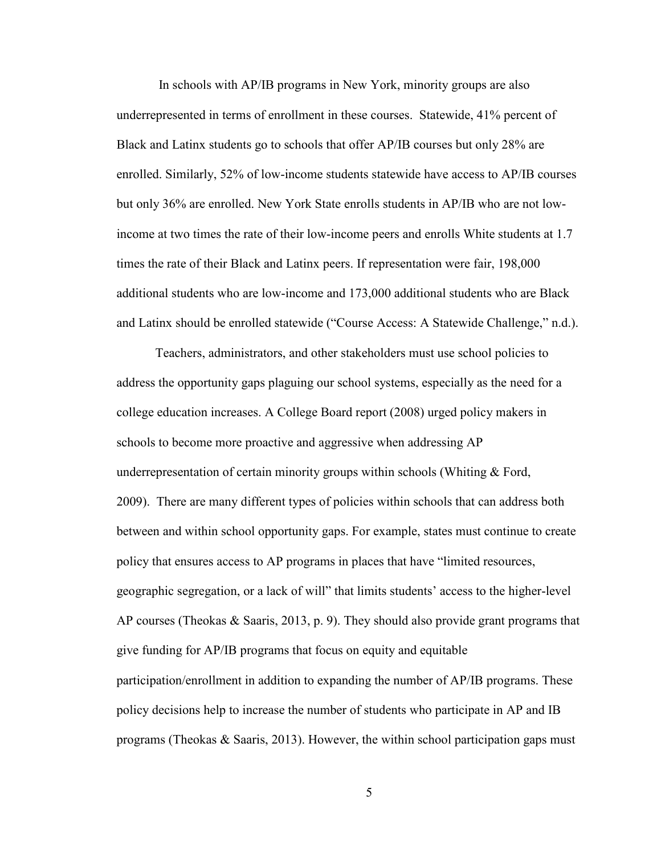In schools with AP/IB programs in New York, minority groups are also underrepresented in terms of enrollment in these courses. Statewide, 41% percent of Black and Latinx students go to schools that offer AP/IB courses but only 28% are enrolled. Similarly, 52% of low-income students statewide have access to AP/IB courses but only 36% are enrolled. New York State enrolls students in AP/IB who are not lowincome at two times the rate of their low-income peers and enrolls White students at 1.7 times the rate of their Black and Latinx peers. If representation were fair, 198,000 additional students who are low-income and 173,000 additional students who are Black and Latinx should be enrolled statewide ("Course Access: A Statewide Challenge," n.d.).

Teachers, administrators, and other stakeholders must use school policies to address the opportunity gaps plaguing our school systems, especially as the need for a college education increases. A College Board report (2008) urged policy makers in schools to become more proactive and aggressive when addressing AP underrepresentation of certain minority groups within schools (Whiting  $\&$  Ford, 2009). There are many different types of policies within schools that can address both between and within school opportunity gaps. For example, states must continue to create policy that ensures access to AP programs in places that have "limited resources, geographic segregation, or a lack of will" that limits students' access to the higher-level AP courses (Theokas & Saaris, 2013, p. 9). They should also provide grant programs that give funding for AP/IB programs that focus on equity and equitable participation/enrollment in addition to expanding the number of AP/IB programs. These policy decisions help to increase the number of students who participate in AP and IB programs (Theokas & Saaris, 2013). However, the within school participation gaps must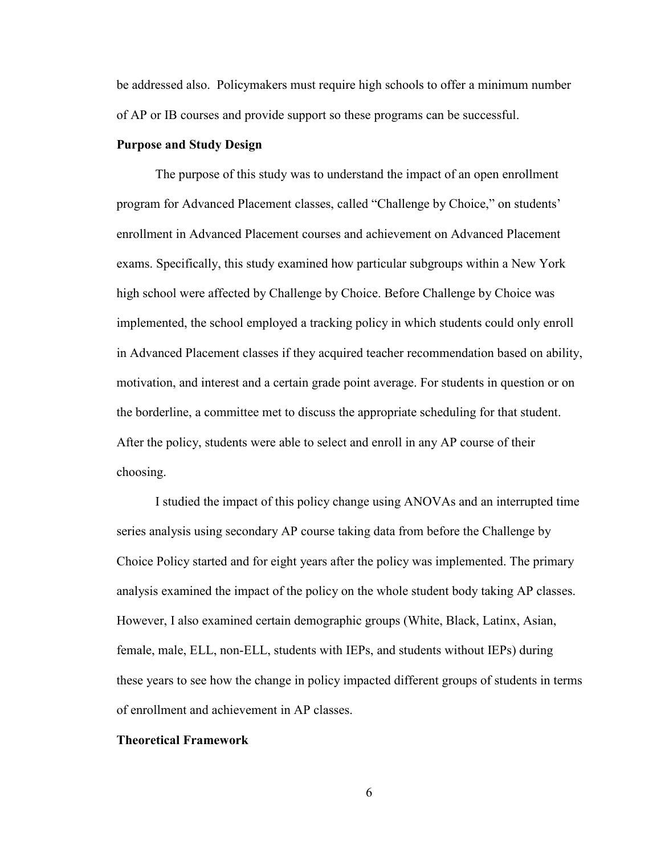be addressed also. Policymakers must require high schools to offer a minimum number of AP or IB courses and provide support so these programs can be successful.

#### **Purpose and Study Design**

The purpose of this study was to understand the impact of an open enrollment program for Advanced Placement classes, called "Challenge by Choice," on students' enrollment in Advanced Placement courses and achievement on Advanced Placement exams. Specifically, this study examined how particular subgroups within a New York high school were affected by Challenge by Choice. Before Challenge by Choice was implemented, the school employed a tracking policy in which students could only enroll in Advanced Placement classes if they acquired teacher recommendation based on ability, motivation, and interest and a certain grade point average. For students in question or on the borderline, a committee met to discuss the appropriate scheduling for that student. After the policy, students were able to select and enroll in any AP course of their choosing.

I studied the impact of this policy change using ANOVAs and an interrupted time series analysis using secondary AP course taking data from before the Challenge by Choice Policy started and for eight years after the policy was implemented. The primary analysis examined the impact of the policy on the whole student body taking AP classes. However, I also examined certain demographic groups (White, Black, Latinx, Asian, female, male, ELL, non-ELL, students with IEPs, and students without IEPs) during these years to see how the change in policy impacted different groups of students in terms of enrollment and achievement in AP classes.

#### **Theoretical Framework**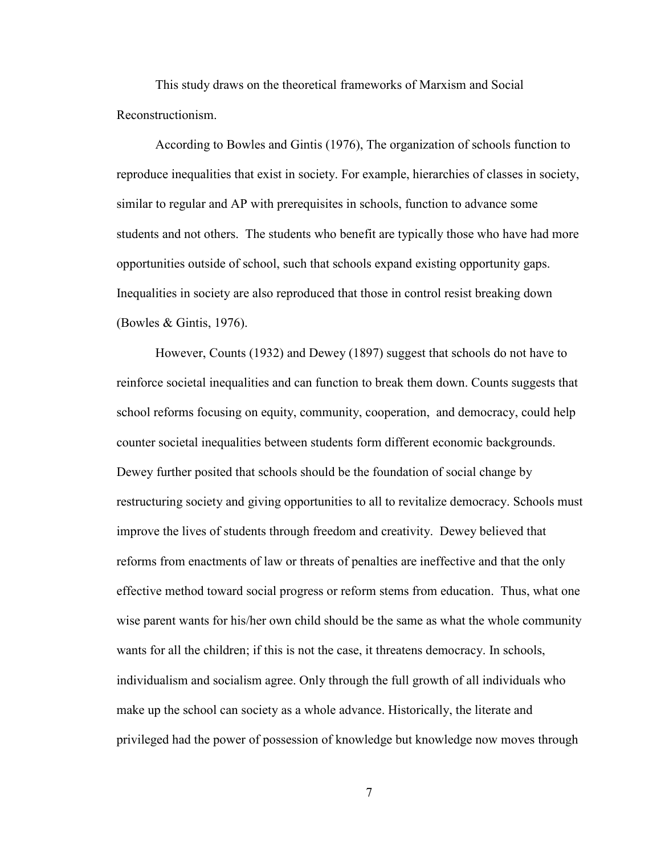This study draws on the theoretical frameworks of Marxism and Social Reconstructionism.

According to Bowles and Gintis (1976), The organization of schools function to reproduce inequalities that exist in society. For example, hierarchies of classes in society, similar to regular and AP with prerequisites in schools, function to advance some students and not others. The students who benefit are typically those who have had more opportunities outside of school, such that schools expand existing opportunity gaps. Inequalities in society are also reproduced that those in control resist breaking down (Bowles & Gintis, 1976).

However, Counts (1932) and Dewey (1897) suggest that schools do not have to reinforce societal inequalities and can function to break them down. Counts suggests that school reforms focusing on equity, community, cooperation, and democracy, could help counter societal inequalities between students form different economic backgrounds. Dewey further posited that schools should be the foundation of social change by restructuring society and giving opportunities to all to revitalize democracy. Schools must improve the lives of students through freedom and creativity. Dewey believed that reforms from enactments of law or threats of penalties are ineffective and that the only effective method toward social progress or reform stems from education. Thus, what one wise parent wants for his/her own child should be the same as what the whole community wants for all the children; if this is not the case, it threatens democracy. In schools, individualism and socialism agree. Only through the full growth of all individuals who make up the school can society as a whole advance. Historically, the literate and privileged had the power of possession of knowledge but knowledge now moves through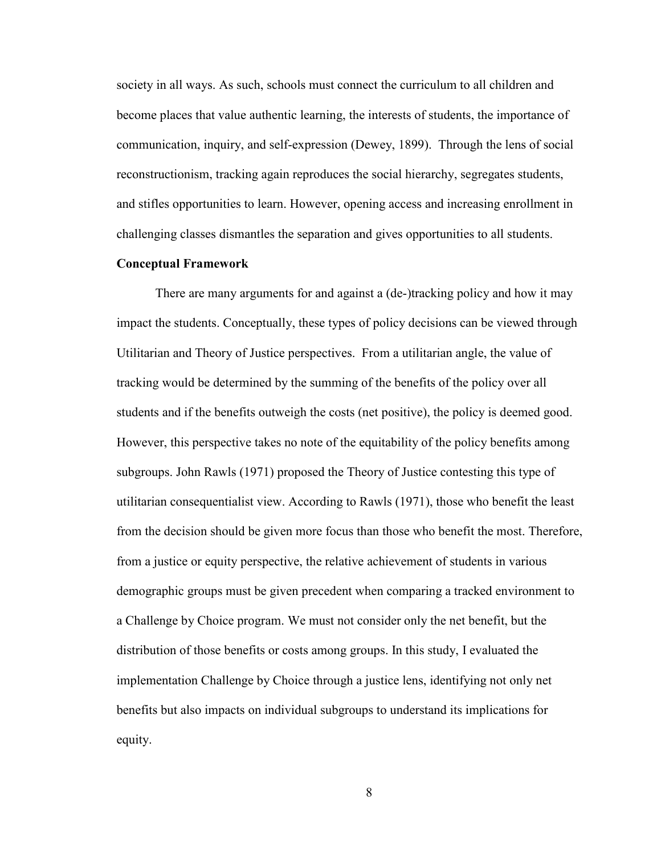society in all ways. As such, schools must connect the curriculum to all children and become places that value authentic learning, the interests of students, the importance of communication, inquiry, and self-expression (Dewey, 1899). Through the lens of social reconstructionism, tracking again reproduces the social hierarchy, segregates students, and stifles opportunities to learn. However, opening access and increasing enrollment in challenging classes dismantles the separation and gives opportunities to all students.

#### **Conceptual Framework**

There are many arguments for and against a (de-)tracking policy and how it may impact the students. Conceptually, these types of policy decisions can be viewed through Utilitarian and Theory of Justice perspectives. From a utilitarian angle, the value of tracking would be determined by the summing of the benefits of the policy over all students and if the benefits outweigh the costs (net positive), the policy is deemed good. However, this perspective takes no note of the equitability of the policy benefits among subgroups. John Rawls (1971) proposed the Theory of Justice contesting this type of utilitarian consequentialist view. According to Rawls (1971), those who benefit the least from the decision should be given more focus than those who benefit the most. Therefore, from a justice or equity perspective, the relative achievement of students in various demographic groups must be given precedent when comparing a tracked environment to a Challenge by Choice program. We must not consider only the net benefit, but the distribution of those benefits or costs among groups. In this study, I evaluated the implementation Challenge by Choice through a justice lens, identifying not only net benefits but also impacts on individual subgroups to understand its implications for equity.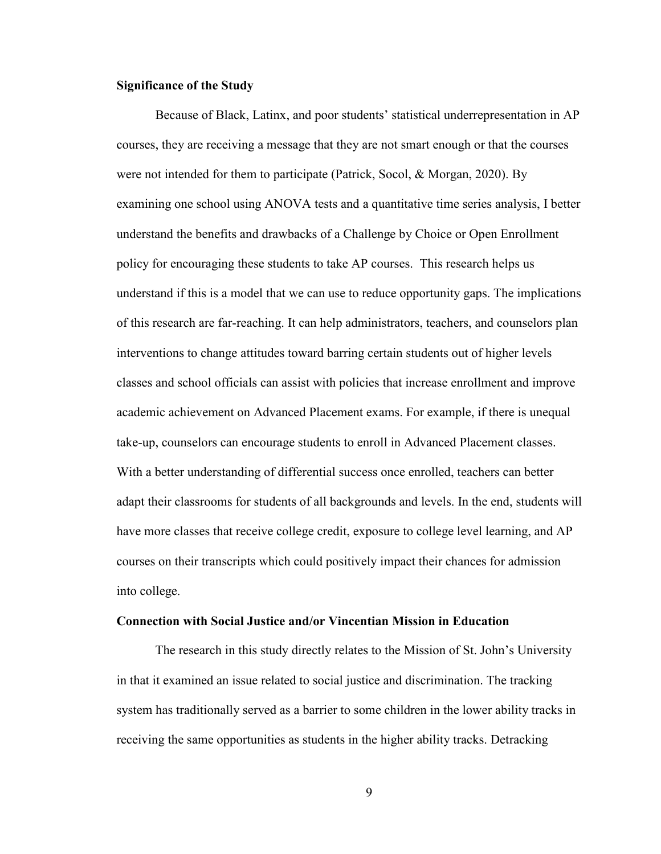#### **Significance of the Study**

Because of Black, Latinx, and poor students' statistical underrepresentation in AP courses, they are receiving a message that they are not smart enough or that the courses were not intended for them to participate (Patrick, Socol, & Morgan, 2020). By examining one school using ANOVA tests and a quantitative time series analysis, I better understand the benefits and drawbacks of a Challenge by Choice or Open Enrollment policy for encouraging these students to take AP courses. This research helps us understand if this is a model that we can use to reduce opportunity gaps. The implications of this research are far-reaching. It can help administrators, teachers, and counselors plan interventions to change attitudes toward barring certain students out of higher levels classes and school officials can assist with policies that increase enrollment and improve academic achievement on Advanced Placement exams. For example, if there is unequal take-up, counselors can encourage students to enroll in Advanced Placement classes. With a better understanding of differential success once enrolled, teachers can better adapt their classrooms for students of all backgrounds and levels. In the end, students will have more classes that receive college credit, exposure to college level learning, and AP courses on their transcripts which could positively impact their chances for admission into college.

#### **Connection with Social Justice and/or Vincentian Mission in Education**

The research in this study directly relates to the Mission of St. John's University in that it examined an issue related to social justice and discrimination. The tracking system has traditionally served as a barrier to some children in the lower ability tracks in receiving the same opportunities as students in the higher ability tracks. Detracking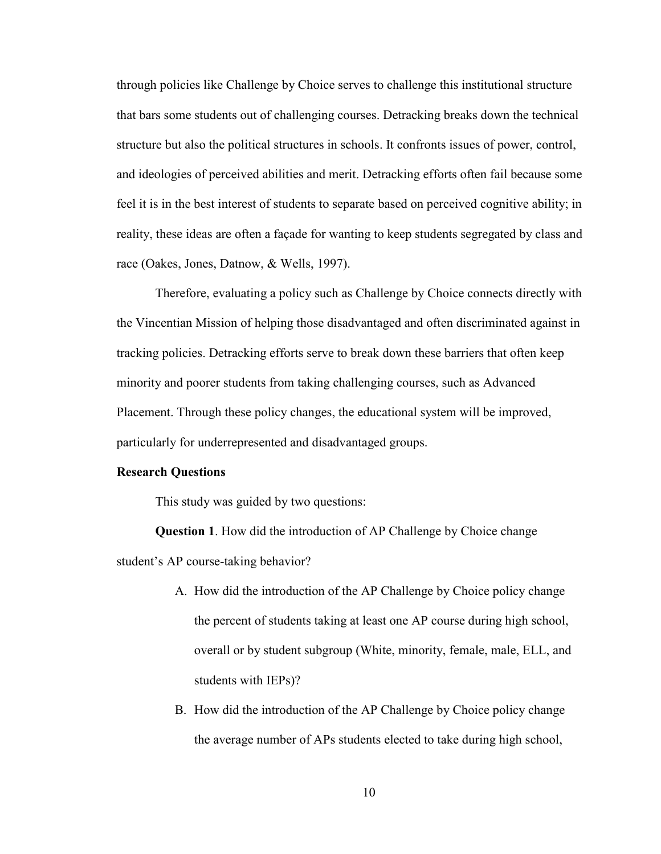through policies like Challenge by Choice serves to challenge this institutional structure that bars some students out of challenging courses. Detracking breaks down the technical structure but also the political structures in schools. It confronts issues of power, control, and ideologies of perceived abilities and merit. Detracking efforts often fail because some feel it is in the best interest of students to separate based on perceived cognitive ability; in reality, these ideas are often a façade for wanting to keep students segregated by class and race (Oakes, Jones, Datnow, & Wells, 1997).

Therefore, evaluating a policy such as Challenge by Choice connects directly with the Vincentian Mission of helping those disadvantaged and often discriminated against in tracking policies. Detracking efforts serve to break down these barriers that often keep minority and poorer students from taking challenging courses, such as Advanced Placement. Through these policy changes, the educational system will be improved, particularly for underrepresented and disadvantaged groups.

#### **Research Questions**

This study was guided by two questions:

**Question 1**. How did the introduction of AP Challenge by Choice change student's AP course-taking behavior?

- A. How did the introduction of the AP Challenge by Choice policy change the percent of students taking at least one AP course during high school, overall or by student subgroup (White, minority, female, male, ELL, and students with IEPs)?
- B. How did the introduction of the AP Challenge by Choice policy change the average number of APs students elected to take during high school,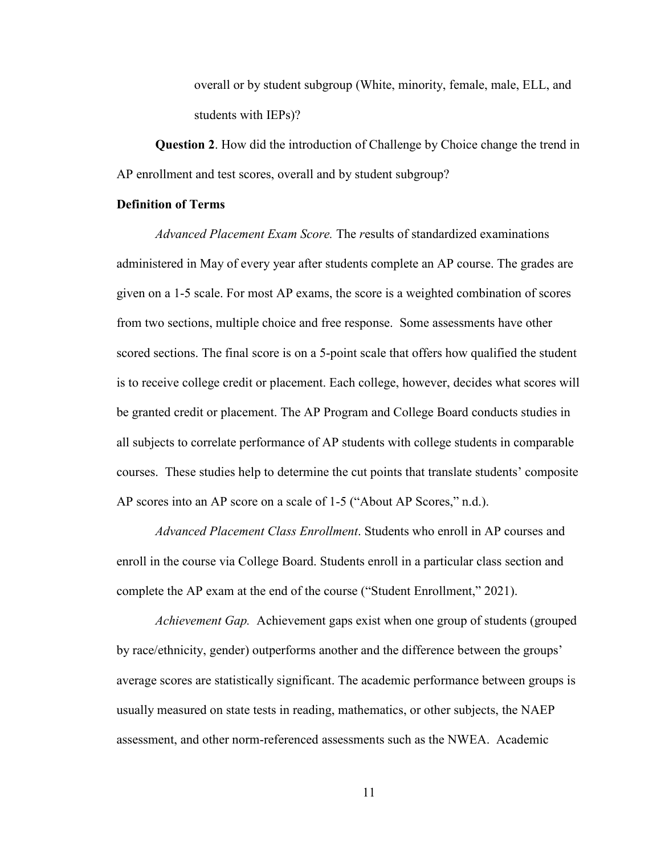overall or by student subgroup (White, minority, female, male, ELL, and students with IEPs)?

**Question 2**. How did the introduction of Challenge by Choice change the trend in AP enrollment and test scores, overall and by student subgroup?

#### **Definition of Terms**

*Advanced Placement Exam Score.* The *r*esults of standardized examinations administered in May of every year after students complete an AP course. The grades are given on a 1-5 scale. For most AP exams, the score is a weighted combination of scores from two sections, multiple choice and free response. Some assessments have other scored sections. The final score is on a 5-point scale that offers how qualified the student is to receive college credit or placement. Each college, however, decides what scores will be granted credit or placement. The AP Program and College Board conducts studies in all subjects to correlate performance of AP students with college students in comparable courses. These studies help to determine the cut points that translate students' composite AP scores into an AP score on a scale of 1-5 ("About AP Scores," n.d.).

*Advanced Placement Class Enrollment*. Students who enroll in AP courses and enroll in the course via College Board. Students enroll in a particular class section and complete the AP exam at the end of the course ("Student Enrollment," 2021).

*Achievement Gap.* Achievement gaps exist when one group of students (grouped by race/ethnicity, gender) outperforms another and the difference between the groups' average scores are statistically significant. The academic performance between groups is usually measured on state tests in reading, mathematics, or other subjects, the NAEP assessment, and other norm-referenced assessments such as the NWEA. Academic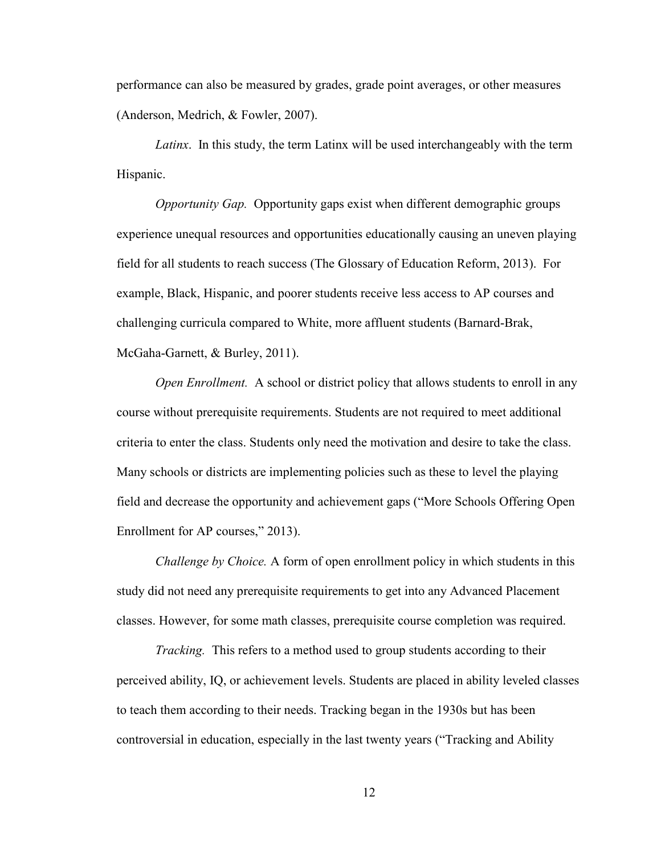performance can also be measured by grades, grade point averages, or other measures (Anderson, Medrich, & Fowler, 2007).

*Latinx*. In this study, the term Latinx will be used interchangeably with the term Hispanic.

*Opportunity Gap.* Opportunity gaps exist when different demographic groups experience unequal resources and opportunities educationally causing an uneven playing field for all students to reach success (The Glossary of Education Reform, 2013). For example, Black, Hispanic, and poorer students receive less access to AP courses and challenging curricula compared to White, more affluent students (Barnard-Brak, McGaha-Garnett, & Burley, 2011).

*Open Enrollment.* A school or district policy that allows students to enroll in any course without prerequisite requirements. Students are not required to meet additional criteria to enter the class. Students only need the motivation and desire to take the class. Many schools or districts are implementing policies such as these to level the playing field and decrease the opportunity and achievement gaps ("More Schools Offering Open Enrollment for AP courses," 2013).

*Challenge by Choice.* A form of open enrollment policy in which students in this study did not need any prerequisite requirements to get into any Advanced Placement classes. However, for some math classes, prerequisite course completion was required.

*Tracking.* This refers to a method used to group students according to their perceived ability, IQ, or achievement levels. Students are placed in ability leveled classes to teach them according to their needs. Tracking began in the 1930s but has been controversial in education, especially in the last twenty years ("Tracking and Ability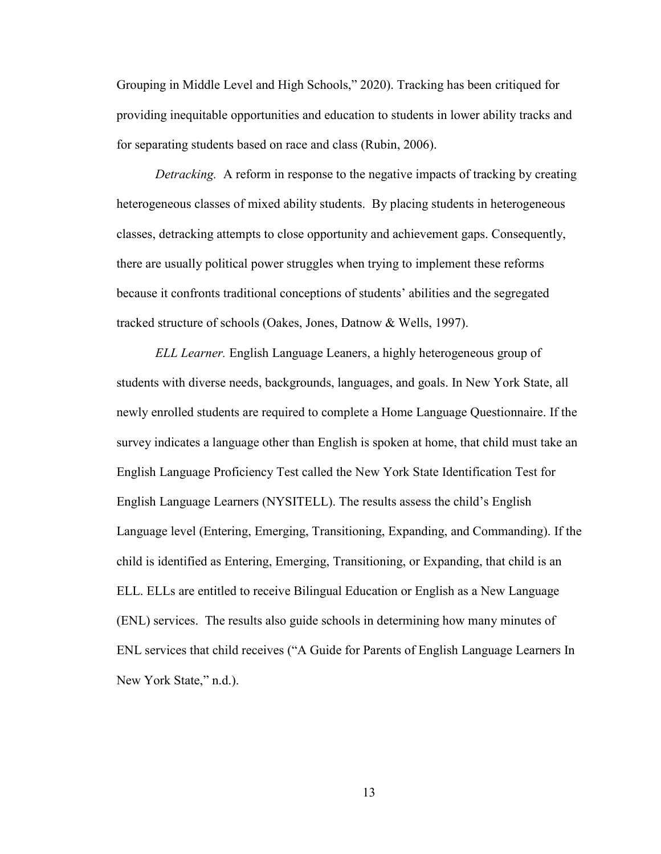Grouping in Middle Level and High Schools," 2020). Tracking has been critiqued for providing inequitable opportunities and education to students in lower ability tracks and for separating students based on race and class (Rubin, 2006).

*Detracking.* A reform in response to the negative impacts of tracking by creating heterogeneous classes of mixed ability students. By placing students in heterogeneous classes, detracking attempts to close opportunity and achievement gaps. Consequently, there are usually political power struggles when trying to implement these reforms because it confronts traditional conceptions of students' abilities and the segregated tracked structure of schools (Oakes, Jones, Datnow & Wells, 1997).

*ELL Learner.* English Language Leaners, a highly heterogeneous group of students with diverse needs, backgrounds, languages, and goals. In New York State, all newly enrolled students are required to complete a Home Language Questionnaire. If the survey indicates a language other than English is spoken at home, that child must take an English Language Proficiency Test called the New York State Identification Test for English Language Learners (NYSITELL). The results assess the child's English Language level (Entering, Emerging, Transitioning, Expanding, and Commanding). If the child is identified as Entering, Emerging, Transitioning, or Expanding, that child is an ELL. ELLs are entitled to receive Bilingual Education or English as a New Language (ENL) services. The results also guide schools in determining how many minutes of ENL services that child receives ("A Guide for Parents of English Language Learners In New York State," n.d.).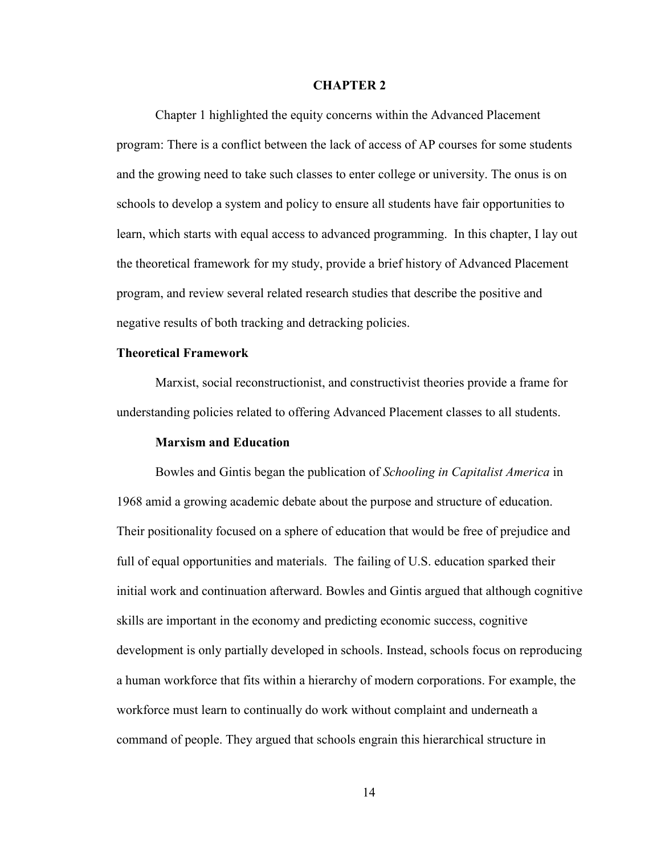#### **CHAPTER 2**

Chapter 1 highlighted the equity concerns within the Advanced Placement program: There is a conflict between the lack of access of AP courses for some students and the growing need to take such classes to enter college or university. The onus is on schools to develop a system and policy to ensure all students have fair opportunities to learn, which starts with equal access to advanced programming. In this chapter, I lay out the theoretical framework for my study, provide a brief history of Advanced Placement program, and review several related research studies that describe the positive and negative results of both tracking and detracking policies.

#### **Theoretical Framework**

Marxist, social reconstructionist, and constructivist theories provide a frame for understanding policies related to offering Advanced Placement classes to all students.

#### **Marxism and Education**

Bowles and Gintis began the publication of *Schooling in Capitalist America* in 1968 amid a growing academic debate about the purpose and structure of education. Their positionality focused on a sphere of education that would be free of prejudice and full of equal opportunities and materials. The failing of U.S. education sparked their initial work and continuation afterward. Bowles and Gintis argued that although cognitive skills are important in the economy and predicting economic success, cognitive development is only partially developed in schools. Instead, schools focus on reproducing a human workforce that fits within a hierarchy of modern corporations. For example, the workforce must learn to continually do work without complaint and underneath a command of people. They argued that schools engrain this hierarchical structure in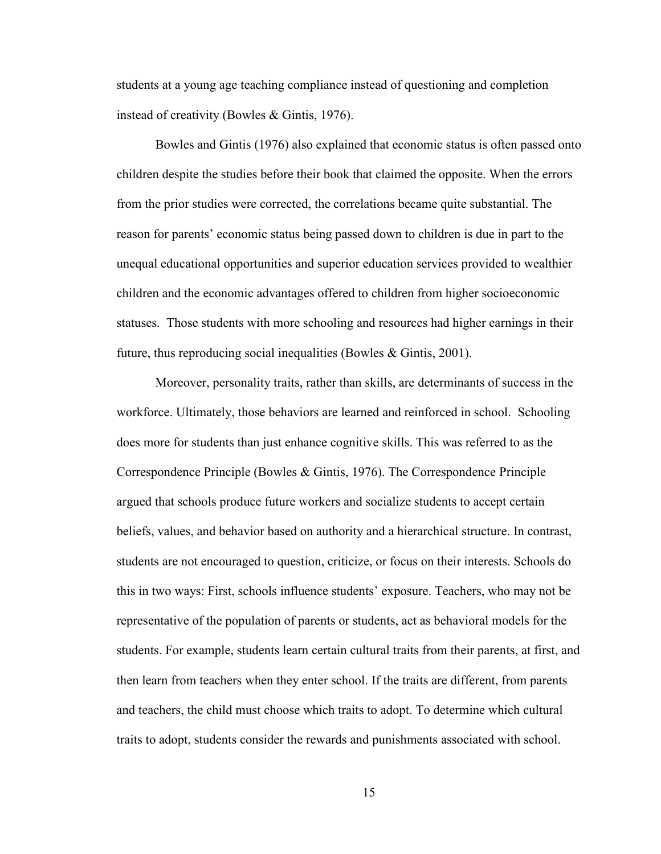students at a young age teaching compliance instead of questioning and completion instead of creativity (Bowles & Gintis, 1976).

Bowles and Gintis (1976) also explained that economic status is often passed onto children despite the studies before their book that claimed the opposite. When the errors from the prior studies were corrected, the correlations became quite substantial. The reason for parents' economic status being passed down to children is due in part to the unequal educational opportunities and superior education services provided to wealthier children and the economic advantages offered to children from higher socioeconomic statuses. Those students with more schooling and resources had higher earnings in their future, thus reproducing social inequalities (Bowles & Gintis, 2001).

Moreover, personality traits, rather than skills, are determinants of success in the workforce. Ultimately, those behaviors are learned and reinforced in school. Schooling does more for students than just enhance cognitive skills. This was referred to as the Correspondence Principle (Bowles & Gintis, 1976). The Correspondence Principle argued that schools produce future workers and socialize students to accept certain beliefs, values, and behavior based on authority and a hierarchical structure. In contrast, students are not encouraged to question, criticize, or focus on their interests. Schools do this in two ways: First, schools influence students' exposure. Teachers, who may not be representative of the population of parents or students, act as behavioral models for the students. For example, students learn certain cultural traits from their parents, at first, and then learn from teachers when they enter school. If the traits are different, from parents and teachers, the child must choose which traits to adopt. To determine which cultural traits to adopt, students consider the rewards and punishments associated with school.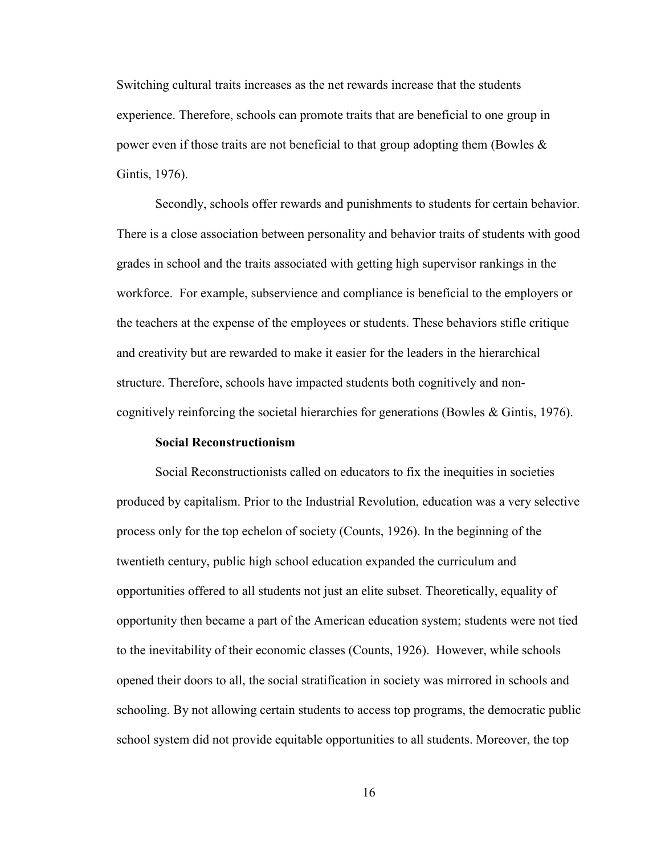Switching cultural traits increases as the net rewards increase that the students experience. Therefore, schools can promote traits that are beneficial to one group in power even if those traits are not beneficial to that group adopting them (Bowles  $\&$ Gintis, 1976).

Secondly, schools offer rewards and punishments to students for certain behavior. There is a close association between personality and behavior traits of students with good grades in school and the traits associated with getting high supervisor rankings in the workforce. For example, subservience and compliance is beneficial to the employers or the teachers at the expense of the employees or students. These behaviors stifle critique and creativity but are rewarded to make it easier for the leaders in the hierarchical structure. Therefore, schools have impacted students both cognitively and noncognitively reinforcing the societal hierarchies for generations (Bowles & Gintis, 1976).

#### **Social Reconstructionism**

Social Reconstructionists called on educators to fix the inequities in societies produced by capitalism. Prior to the Industrial Revolution, education was a very selective process only for the top echelon of society (Counts, 1926). In the beginning of the twentieth century, public high school education expanded the curriculum and opportunities offered to all students not just an elite subset. Theoretically, equality of opportunity then became a part of the American education system; students were not tied to the inevitability of their economic classes (Counts, 1926). However, while schools opened their doors to all, the social stratification in society was mirrored in schools and schooling. By not allowing certain students to access top programs, the democratic public school system did not provide equitable opportunities to all students. Moreover, the top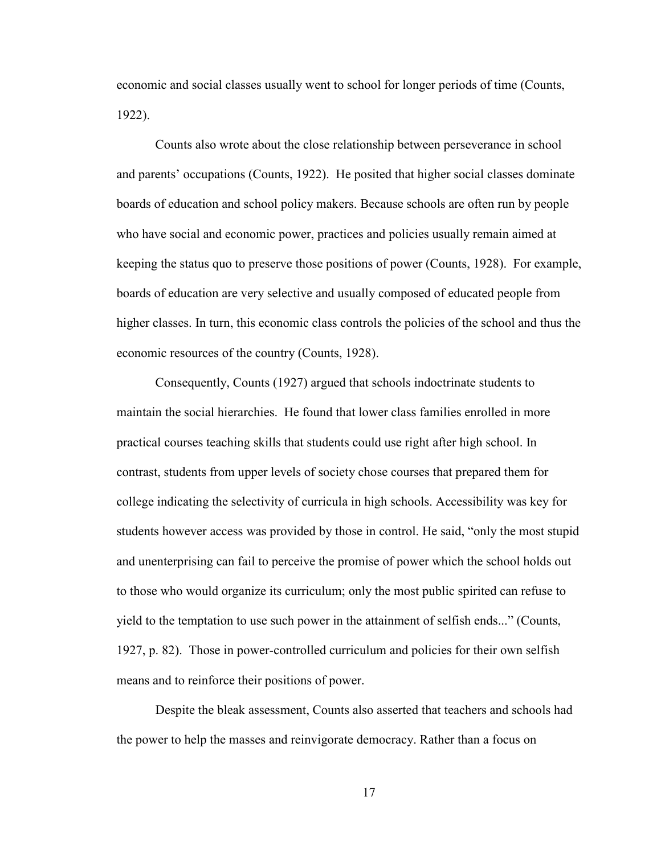economic and social classes usually went to school for longer periods of time (Counts, 1922).

Counts also wrote about the close relationship between perseverance in school and parents' occupations (Counts, 1922). He posited that higher social classes dominate boards of education and school policy makers. Because schools are often run by people who have social and economic power, practices and policies usually remain aimed at keeping the status quo to preserve those positions of power (Counts, 1928). For example, boards of education are very selective and usually composed of educated people from higher classes. In turn, this economic class controls the policies of the school and thus the economic resources of the country (Counts, 1928).

Consequently, Counts (1927) argued that schools indoctrinate students to maintain the social hierarchies. He found that lower class families enrolled in more practical courses teaching skills that students could use right after high school. In contrast, students from upper levels of society chose courses that prepared them for college indicating the selectivity of curricula in high schools. Accessibility was key for students however access was provided by those in control. He said, "only the most stupid and unenterprising can fail to perceive the promise of power which the school holds out to those who would organize its curriculum; only the most public spirited can refuse to yield to the temptation to use such power in the attainment of selfish ends..." (Counts, 1927, p. 82). Those in power-controlled curriculum and policies for their own selfish means and to reinforce their positions of power.

Despite the bleak assessment, Counts also asserted that teachers and schools had the power to help the masses and reinvigorate democracy. Rather than a focus on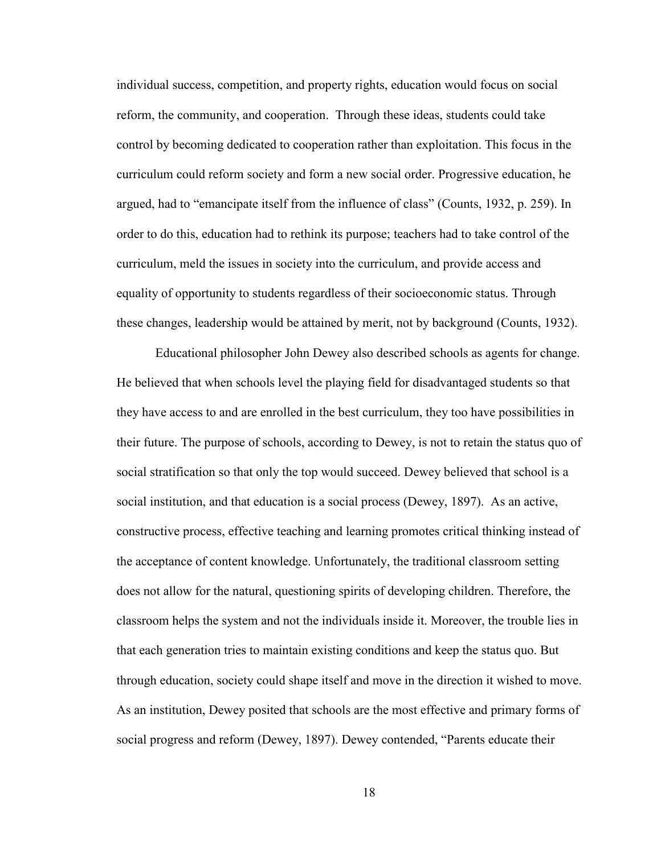individual success, competition, and property rights, education would focus on social reform, the community, and cooperation. Through these ideas, students could take control by becoming dedicated to cooperation rather than exploitation. This focus in the curriculum could reform society and form a new social order. Progressive education, he argued, had to "emancipate itself from the influence of class" (Counts, 1932, p. 259). In order to do this, education had to rethink its purpose; teachers had to take control of the curriculum, meld the issues in society into the curriculum, and provide access and equality of opportunity to students regardless of their socioeconomic status. Through these changes, leadership would be attained by merit, not by background (Counts, 1932).

Educational philosopher John Dewey also described schools as agents for change. He believed that when schools level the playing field for disadvantaged students so that they have access to and are enrolled in the best curriculum, they too have possibilities in their future. The purpose of schools, according to Dewey, is not to retain the status quo of social stratification so that only the top would succeed. Dewey believed that school is a social institution, and that education is a social process (Dewey, 1897). As an active, constructive process, effective teaching and learning promotes critical thinking instead of the acceptance of content knowledge. Unfortunately, the traditional classroom setting does not allow for the natural, questioning spirits of developing children. Therefore, the classroom helps the system and not the individuals inside it. Moreover, the trouble lies in that each generation tries to maintain existing conditions and keep the status quo. But through education, society could shape itself and move in the direction it wished to move. As an institution, Dewey posited that schools are the most effective and primary forms of social progress and reform (Dewey, 1897). Dewey contended, "Parents educate their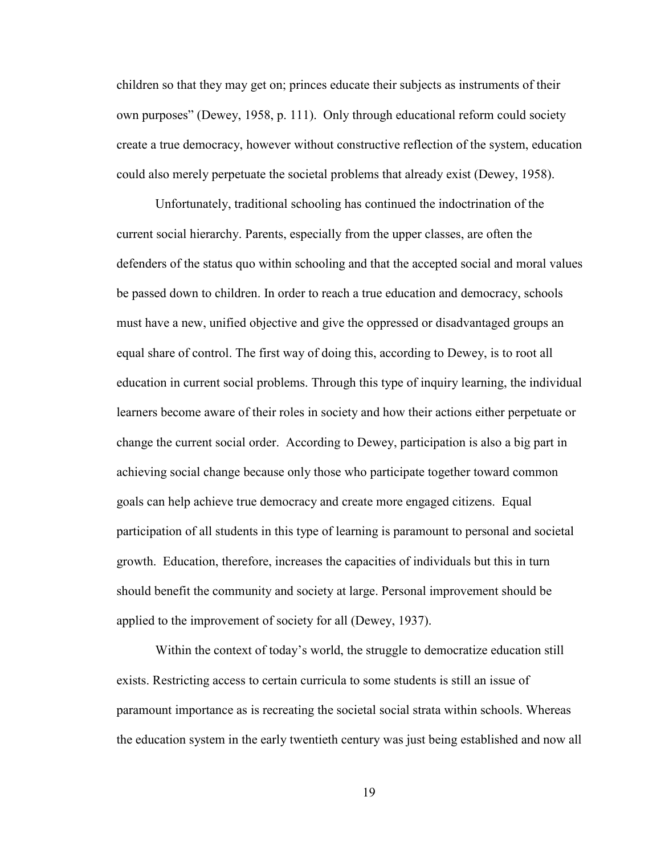children so that they may get on; princes educate their subjects as instruments of their own purposes" (Dewey, 1958, p. 111). Only through educational reform could society create a true democracy, however without constructive reflection of the system, education could also merely perpetuate the societal problems that already exist (Dewey, 1958).

Unfortunately, traditional schooling has continued the indoctrination of the current social hierarchy. Parents, especially from the upper classes, are often the defenders of the status quo within schooling and that the accepted social and moral values be passed down to children. In order to reach a true education and democracy, schools must have a new, unified objective and give the oppressed or disadvantaged groups an equal share of control. The first way of doing this, according to Dewey, is to root all education in current social problems. Through this type of inquiry learning, the individual learners become aware of their roles in society and how their actions either perpetuate or change the current social order. According to Dewey, participation is also a big part in achieving social change because only those who participate together toward common goals can help achieve true democracy and create more engaged citizens. Equal participation of all students in this type of learning is paramount to personal and societal growth. Education, therefore, increases the capacities of individuals but this in turn should benefit the community and society at large. Personal improvement should be applied to the improvement of society for all (Dewey, 1937).

Within the context of today's world, the struggle to democratize education still exists. Restricting access to certain curricula to some students is still an issue of paramount importance as is recreating the societal social strata within schools. Whereas the education system in the early twentieth century was just being established and now all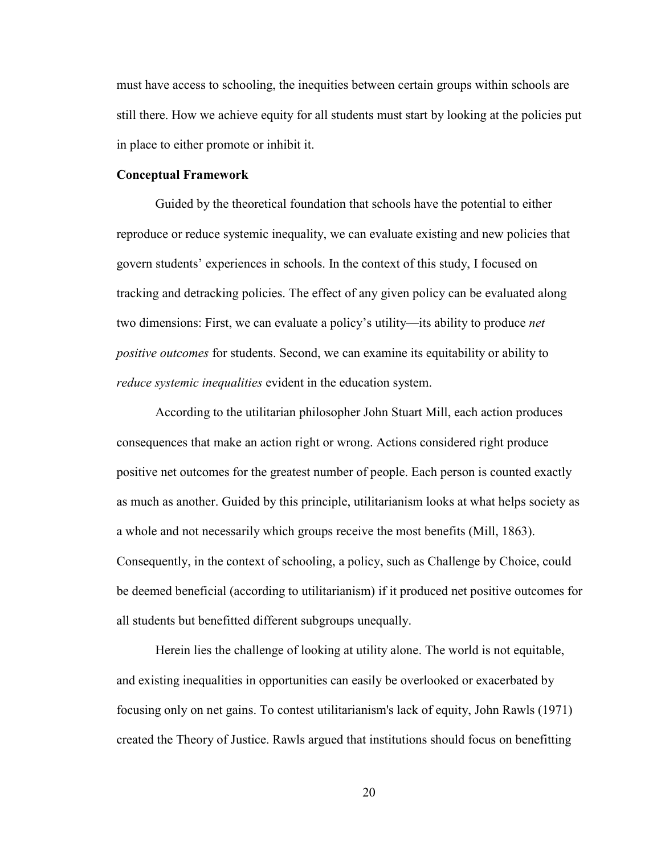must have access to schooling, the inequities between certain groups within schools are still there. How we achieve equity for all students must start by looking at the policies put in place to either promote or inhibit it.

#### **Conceptual Framework**

Guided by the theoretical foundation that schools have the potential to either reproduce or reduce systemic inequality, we can evaluate existing and new policies that govern students' experiences in schools. In the context of this study, I focused on tracking and detracking policies. The effect of any given policy can be evaluated along two dimensions: First, we can evaluate a policy's utility—its ability to produce *net positive outcomes* for students. Second, we can examine its equitability or ability to *reduce systemic inequalities* evident in the education system.

According to the utilitarian philosopher John Stuart Mill, each action produces consequences that make an action right or wrong. Actions considered right produce positive net outcomes for the greatest number of people. Each person is counted exactly as much as another. Guided by this principle, utilitarianism looks at what helps society as a whole and not necessarily which groups receive the most benefits (Mill, 1863). Consequently, in the context of schooling, a policy, such as Challenge by Choice, could be deemed beneficial (according to utilitarianism) if it produced net positive outcomes for all students but benefitted different subgroups unequally.

Herein lies the challenge of looking at utility alone. The world is not equitable, and existing inequalities in opportunities can easily be overlooked or exacerbated by focusing only on net gains. To contest utilitarianism's lack of equity, John Rawls (1971) created the Theory of Justice. Rawls argued that institutions should focus on benefitting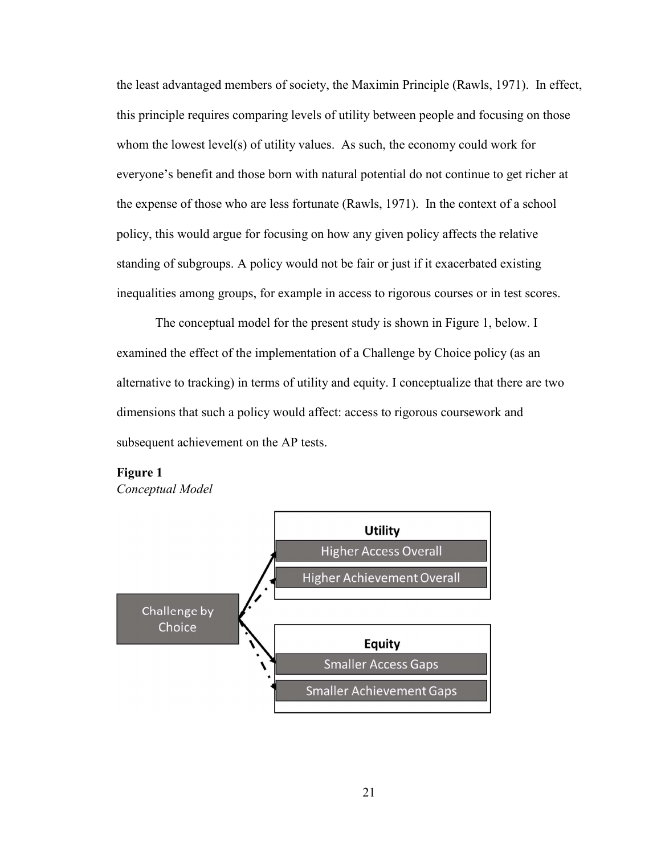the least advantaged members of society, the Maximin Principle (Rawls, 1971). In effect, this principle requires comparing levels of utility between people and focusing on those whom the lowest level(s) of utility values. As such, the economy could work for everyone's benefit and those born with natural potential do not continue to get richer at the expense of those who are less fortunate (Rawls, 1971). In the context of a school policy, this would argue for focusing on how any given policy affects the relative standing of subgroups. A policy would not be fair or just if it exacerbated existing inequalities among groups, for example in access to rigorous courses or in test scores.

The conceptual model for the present study is shown in Figure 1, below. I examined the effect of the implementation of a Challenge by Choice policy (as an alternative to tracking) in terms of utility and equity. I conceptualize that there are two dimensions that such a policy would affect: access to rigorous coursework and subsequent achievement on the AP tests.

# **Figure 1**

*Conceptual Model* 

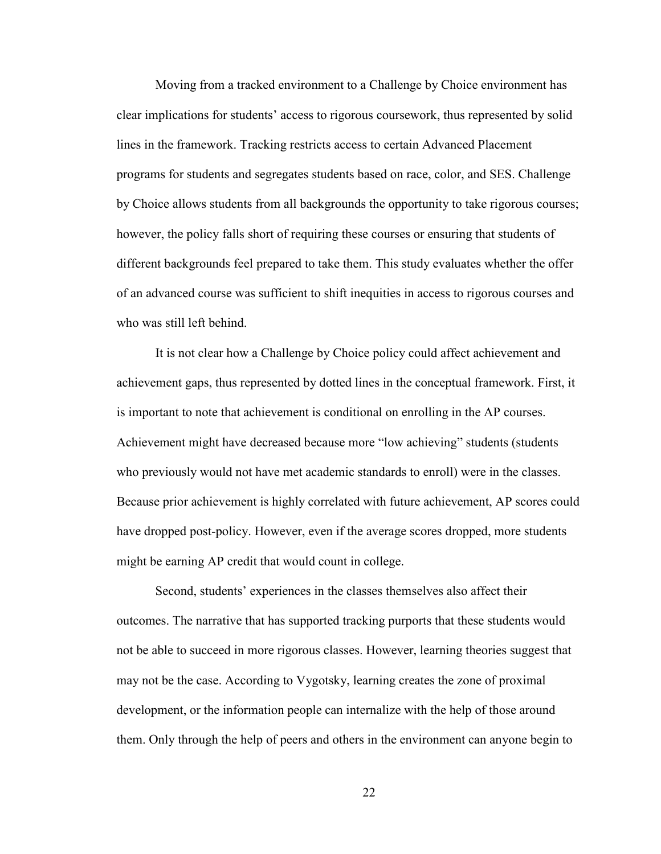Moving from a tracked environment to a Challenge by Choice environment has clear implications for students' access to rigorous coursework, thus represented by solid lines in the framework. Tracking restricts access to certain Advanced Placement programs for students and segregates students based on race, color, and SES. Challenge by Choice allows students from all backgrounds the opportunity to take rigorous courses; however, the policy falls short of requiring these courses or ensuring that students of different backgrounds feel prepared to take them. This study evaluates whether the offer of an advanced course was sufficient to shift inequities in access to rigorous courses and who was still left behind.

It is not clear how a Challenge by Choice policy could affect achievement and achievement gaps, thus represented by dotted lines in the conceptual framework. First, it is important to note that achievement is conditional on enrolling in the AP courses. Achievement might have decreased because more "low achieving" students (students who previously would not have met academic standards to enroll) were in the classes. Because prior achievement is highly correlated with future achievement, AP scores could have dropped post-policy. However, even if the average scores dropped, more students might be earning AP credit that would count in college.

Second, students' experiences in the classes themselves also affect their outcomes. The narrative that has supported tracking purports that these students would not be able to succeed in more rigorous classes. However, learning theories suggest that may not be the case. According to Vygotsky, learning creates the zone of proximal development, or the information people can internalize with the help of those around them. Only through the help of peers and others in the environment can anyone begin to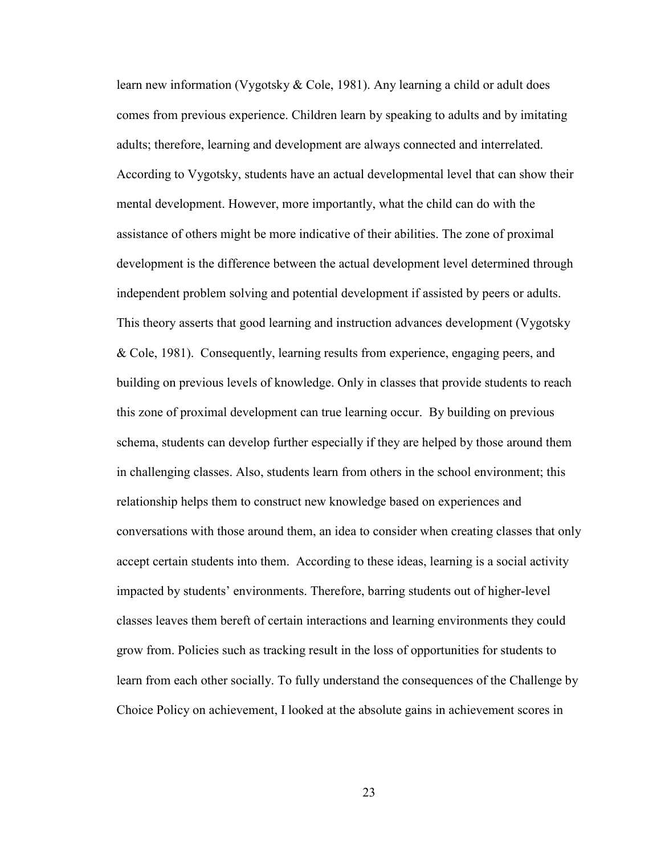learn new information (Vygotsky & Cole, 1981). Any learning a child or adult does comes from previous experience. Children learn by speaking to adults and by imitating adults; therefore, learning and development are always connected and interrelated. According to Vygotsky, students have an actual developmental level that can show their mental development. However, more importantly, what the child can do with the assistance of others might be more indicative of their abilities. The zone of proximal development is the difference between the actual development level determined through independent problem solving and potential development if assisted by peers or adults. This theory asserts that good learning and instruction advances development (Vygotsky & Cole, 1981). Consequently, learning results from experience, engaging peers, and building on previous levels of knowledge. Only in classes that provide students to reach this zone of proximal development can true learning occur. By building on previous schema, students can develop further especially if they are helped by those around them in challenging classes. Also, students learn from others in the school environment; this relationship helps them to construct new knowledge based on experiences and conversations with those around them, an idea to consider when creating classes that only accept certain students into them. According to these ideas, learning is a social activity impacted by students' environments. Therefore, barring students out of higher-level classes leaves them bereft of certain interactions and learning environments they could grow from. Policies such as tracking result in the loss of opportunities for students to learn from each other socially. To fully understand the consequences of the Challenge by Choice Policy on achievement, I looked at the absolute gains in achievement scores in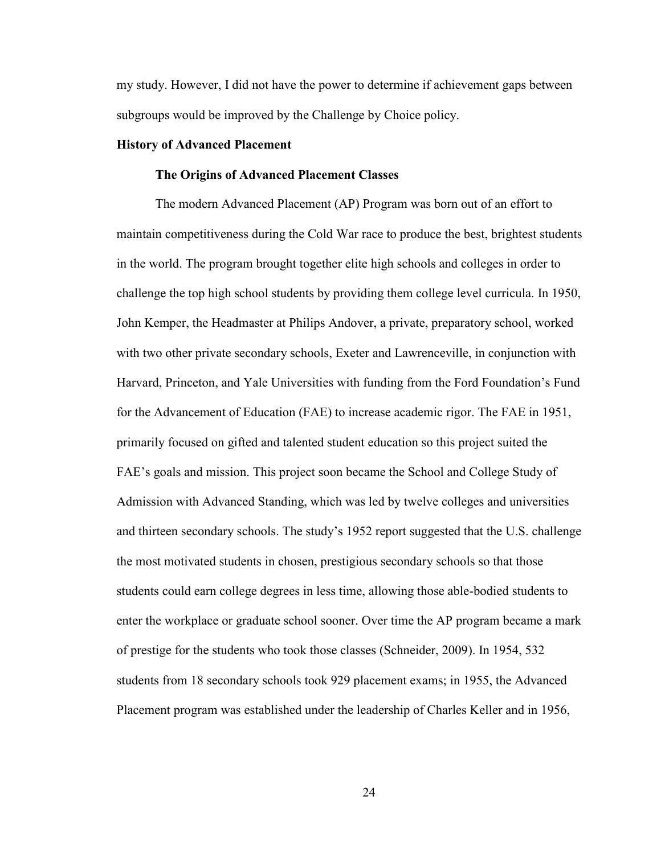my study. However, I did not have the power to determine if achievement gaps between subgroups would be improved by the Challenge by Choice policy.

#### **History of Advanced Placement**

#### **The Origins of Advanced Placement Classes**

The modern Advanced Placement (AP) Program was born out of an effort to maintain competitiveness during the Cold War race to produce the best, brightest students in the world. The program brought together elite high schools and colleges in order to challenge the top high school students by providing them college level curricula. In 1950, John Kemper, the Headmaster at Philips Andover, a private, preparatory school, worked with two other private secondary schools, Exeter and Lawrenceville, in conjunction with Harvard, Princeton, and Yale Universities with funding from the Ford Foundation's Fund for the Advancement of Education (FAE) to increase academic rigor. The FAE in 1951, primarily focused on gifted and talented student education so this project suited the FAE's goals and mission. This project soon became the School and College Study of Admission with Advanced Standing, which was led by twelve colleges and universities and thirteen secondary schools. The study's 1952 report suggested that the U.S. challenge the most motivated students in chosen, prestigious secondary schools so that those students could earn college degrees in less time, allowing those able-bodied students to enter the workplace or graduate school sooner. Over time the AP program became a mark of prestige for the students who took those classes (Schneider, 2009). In 1954, 532 students from 18 secondary schools took 929 placement exams; in 1955, the Advanced Placement program was established under the leadership of Charles Keller and in 1956,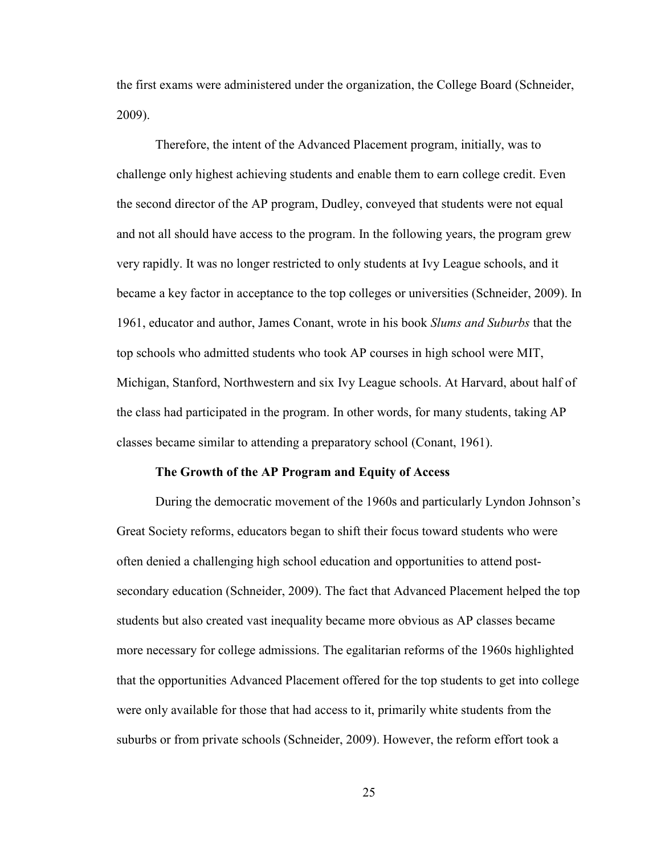the first exams were administered under the organization, the College Board (Schneider, 2009).

Therefore, the intent of the Advanced Placement program, initially, was to challenge only highest achieving students and enable them to earn college credit. Even the second director of the AP program, Dudley, conveyed that students were not equal and not all should have access to the program. In the following years, the program grew very rapidly. It was no longer restricted to only students at Ivy League schools, and it became a key factor in acceptance to the top colleges or universities (Schneider, 2009). In 1961, educator and author, James Conant, wrote in his book *Slums and Suburbs* that the top schools who admitted students who took AP courses in high school were MIT, Michigan, Stanford, Northwestern and six Ivy League schools. At Harvard, about half of the class had participated in the program. In other words, for many students, taking AP classes became similar to attending a preparatory school (Conant, 1961).

#### **The Growth of the AP Program and Equity of Access**

During the democratic movement of the 1960s and particularly Lyndon Johnson's Great Society reforms, educators began to shift their focus toward students who were often denied a challenging high school education and opportunities to attend postsecondary education (Schneider, 2009). The fact that Advanced Placement helped the top students but also created vast inequality became more obvious as AP classes became more necessary for college admissions. The egalitarian reforms of the 1960s highlighted that the opportunities Advanced Placement offered for the top students to get into college were only available for those that had access to it, primarily white students from the suburbs or from private schools (Schneider, 2009). However, the reform effort took a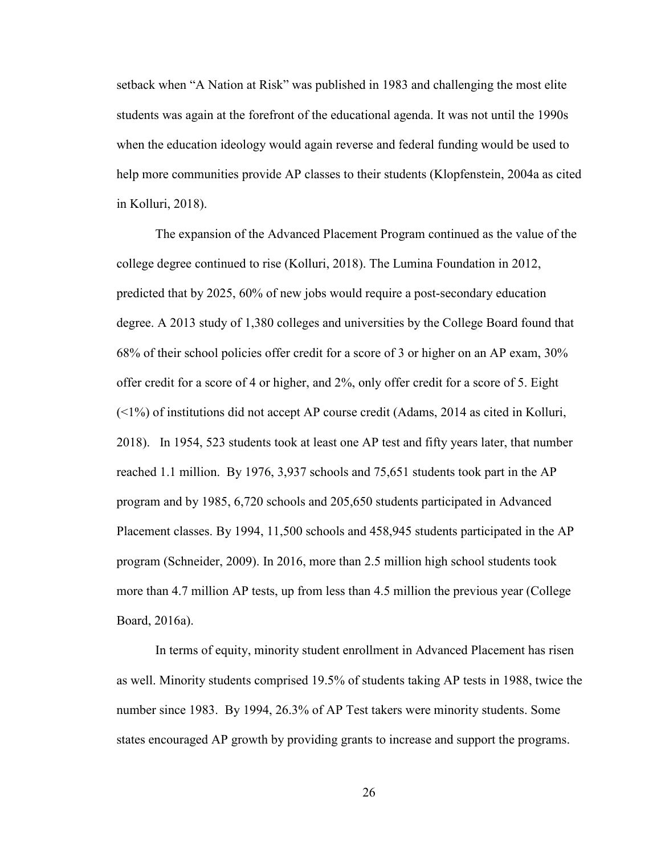setback when "A Nation at Risk" was published in 1983 and challenging the most elite students was again at the forefront of the educational agenda. It was not until the 1990s when the education ideology would again reverse and federal funding would be used to help more communities provide AP classes to their students (Klopfenstein, 2004a as cited in Kolluri, 2018).

The expansion of the Advanced Placement Program continued as the value of the college degree continued to rise (Kolluri, 2018). The Lumina Foundation in 2012, predicted that by 2025, 60% of new jobs would require a post-secondary education degree. A 2013 study of 1,380 colleges and universities by the College Board found that 68% of their school policies offer credit for a score of 3 or higher on an AP exam, 30% offer credit for a score of 4 or higher, and 2%, only offer credit for a score of 5. Eight  $($  <1%) of institutions did not accept AP course credit (Adams, 2014 as cited in Kolluri, 2018). In 1954, 523 students took at least one AP test and fifty years later, that number reached 1.1 million. By 1976, 3,937 schools and 75,651 students took part in the AP program and by 1985, 6,720 schools and 205,650 students participated in Advanced Placement classes. By 1994, 11,500 schools and 458,945 students participated in the AP program (Schneider, 2009). In 2016, more than 2.5 million high school students took more than 4.7 million AP tests, up from less than 4.5 million the previous year (College Board, 2016a).

In terms of equity, minority student enrollment in Advanced Placement has risen as well. Minority students comprised 19.5% of students taking AP tests in 1988, twice the number since 1983. By 1994, 26.3% of AP Test takers were minority students. Some states encouraged AP growth by providing grants to increase and support the programs.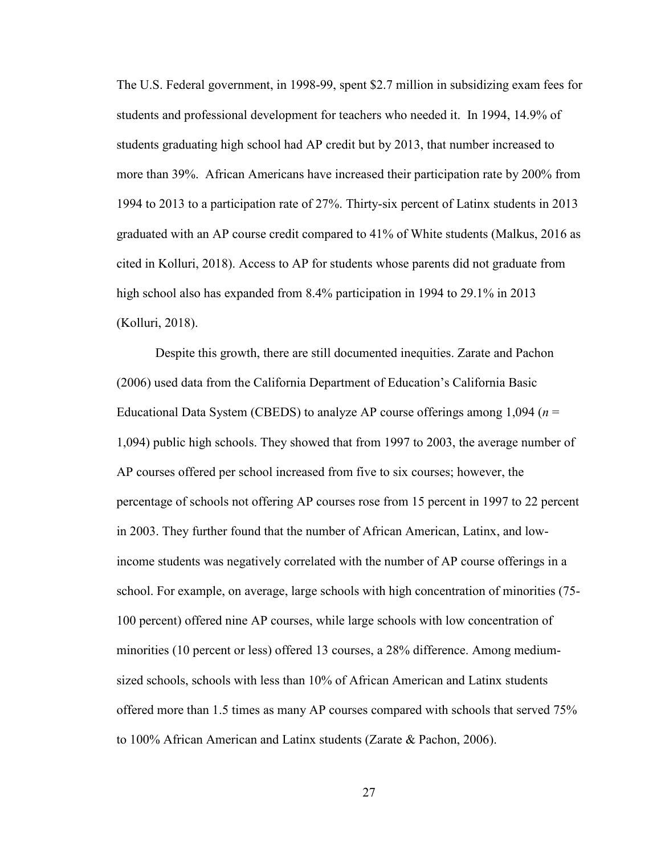The U.S. Federal government, in 1998-99, spent \$2.7 million in subsidizing exam fees for students and professional development for teachers who needed it. In 1994, 14.9% of students graduating high school had AP credit but by 2013, that number increased to more than 39%. African Americans have increased their participation rate by 200% from 1994 to 2013 to a participation rate of 27%. Thirty-six percent of Latinx students in 2013 graduated with an AP course credit compared to 41% of White students (Malkus, 2016 as cited in Kolluri, 2018). Access to AP for students whose parents did not graduate from high school also has expanded from 8.4% participation in 1994 to 29.1% in 2013 (Kolluri, 2018).

Despite this growth, there are still documented inequities. Zarate and Pachon (2006) used data from the California Department of Education's California Basic Educational Data System (CBEDS) to analyze AP course offerings among 1,094 (*n* = 1,094) public high schools. They showed that from 1997 to 2003, the average number of AP courses offered per school increased from five to six courses; however, the percentage of schools not offering AP courses rose from 15 percent in 1997 to 22 percent in 2003. They further found that the number of African American, Latinx, and lowincome students was negatively correlated with the number of AP course offerings in a school. For example, on average, large schools with high concentration of minorities (75- 100 percent) offered nine AP courses, while large schools with low concentration of minorities (10 percent or less) offered 13 courses, a 28% difference. Among mediumsized schools, schools with less than 10% of African American and Latinx students offered more than 1.5 times as many AP courses compared with schools that served 75% to 100% African American and Latinx students (Zarate & Pachon, 2006).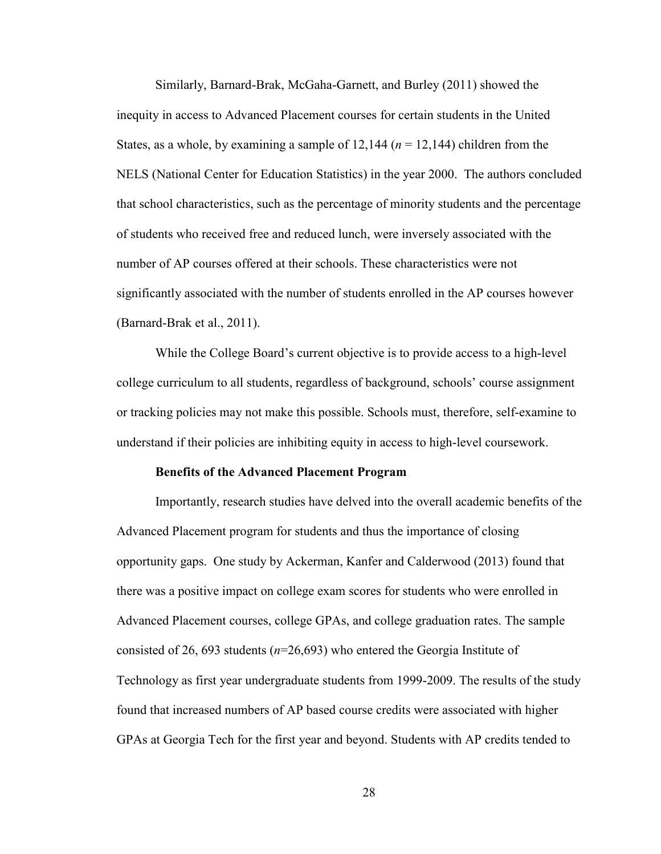Similarly, Barnard-Brak, McGaha-Garnett, and Burley (2011) showed the inequity in access to Advanced Placement courses for certain students in the United States, as a whole, by examining a sample of  $12,144$  ( $n = 12,144$ ) children from the NELS (National Center for Education Statistics) in the year 2000. The authors concluded that school characteristics, such as the percentage of minority students and the percentage of students who received free and reduced lunch, were inversely associated with the number of AP courses offered at their schools. These characteristics were not significantly associated with the number of students enrolled in the AP courses however (Barnard-Brak et al., 2011).

While the College Board's current objective is to provide access to a high-level college curriculum to all students, regardless of background, schools' course assignment or tracking policies may not make this possible. Schools must, therefore, self-examine to understand if their policies are inhibiting equity in access to high-level coursework.

#### **Benefits of the Advanced Placement Program**

Importantly, research studies have delved into the overall academic benefits of the Advanced Placement program for students and thus the importance of closing opportunity gaps. One study by Ackerman, Kanfer and Calderwood (2013) found that there was a positive impact on college exam scores for students who were enrolled in Advanced Placement courses, college GPAs, and college graduation rates. The sample consisted of 26, 693 students (*n*=26,693) who entered the Georgia Institute of Technology as first year undergraduate students from 1999-2009. The results of the study found that increased numbers of AP based course credits were associated with higher GPAs at Georgia Tech for the first year and beyond. Students with AP credits tended to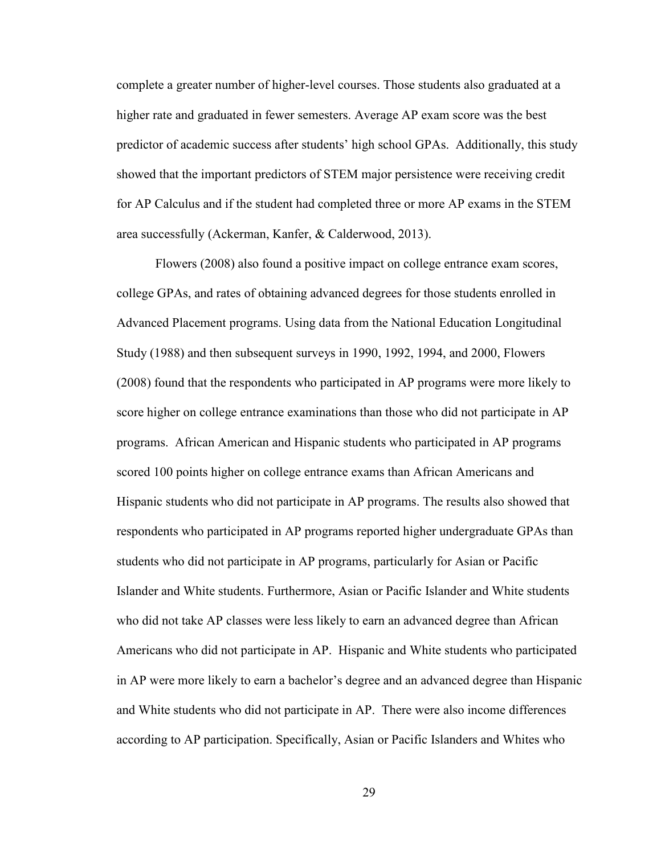complete a greater number of higher-level courses. Those students also graduated at a higher rate and graduated in fewer semesters. Average AP exam score was the best predictor of academic success after students' high school GPAs. Additionally, this study showed that the important predictors of STEM major persistence were receiving credit for AP Calculus and if the student had completed three or more AP exams in the STEM area successfully (Ackerman, Kanfer, & Calderwood, 2013).

Flowers (2008) also found a positive impact on college entrance exam scores, college GPAs, and rates of obtaining advanced degrees for those students enrolled in Advanced Placement programs. Using data from the National Education Longitudinal Study (1988) and then subsequent surveys in 1990, 1992, 1994, and 2000, Flowers (2008) found that the respondents who participated in AP programs were more likely to score higher on college entrance examinations than those who did not participate in AP programs. African American and Hispanic students who participated in AP programs scored 100 points higher on college entrance exams than African Americans and Hispanic students who did not participate in AP programs. The results also showed that respondents who participated in AP programs reported higher undergraduate GPAs than students who did not participate in AP programs, particularly for Asian or Pacific Islander and White students. Furthermore, Asian or Pacific Islander and White students who did not take AP classes were less likely to earn an advanced degree than African Americans who did not participate in AP. Hispanic and White students who participated in AP were more likely to earn a bachelor's degree and an advanced degree than Hispanic and White students who did not participate in AP. There were also income differences according to AP participation. Specifically, Asian or Pacific Islanders and Whites who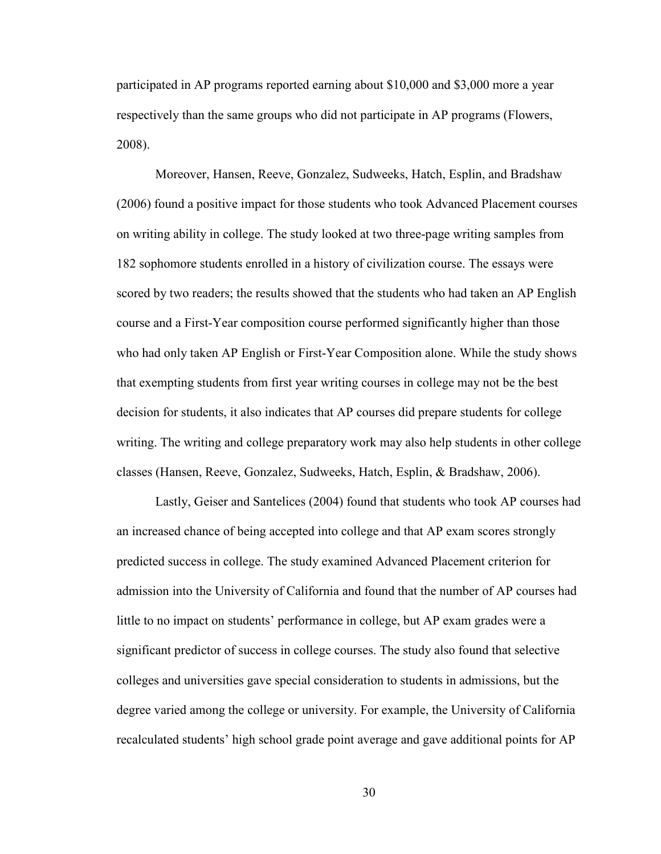participated in AP programs reported earning about \$10,000 and \$3,000 more a year respectively than the same groups who did not participate in AP programs (Flowers, 2008).

Moreover, Hansen, Reeve, Gonzalez, Sudweeks, Hatch, Esplin, and Bradshaw (2006) found a positive impact for those students who took Advanced Placement courses on writing ability in college. The study looked at two three-page writing samples from 182 sophomore students enrolled in a history of civilization course. The essays were scored by two readers; the results showed that the students who had taken an AP English course and a First-Year composition course performed significantly higher than those who had only taken AP English or First-Year Composition alone. While the study shows that exempting students from first year writing courses in college may not be the best decision for students, it also indicates that AP courses did prepare students for college writing. The writing and college preparatory work may also help students in other college classes (Hansen, Reeve, Gonzalez, Sudweeks, Hatch, Esplin, & Bradshaw, 2006).

Lastly, Geiser and Santelices (2004) found that students who took AP courses had an increased chance of being accepted into college and that AP exam scores strongly predicted success in college. The study examined Advanced Placement criterion for admission into the University of California and found that the number of AP courses had little to no impact on students' performance in college, but AP exam grades were a significant predictor of success in college courses. The study also found that selective colleges and universities gave special consideration to students in admissions, but the degree varied among the college or university. For example, the University of California recalculated students' high school grade point average and gave additional points for AP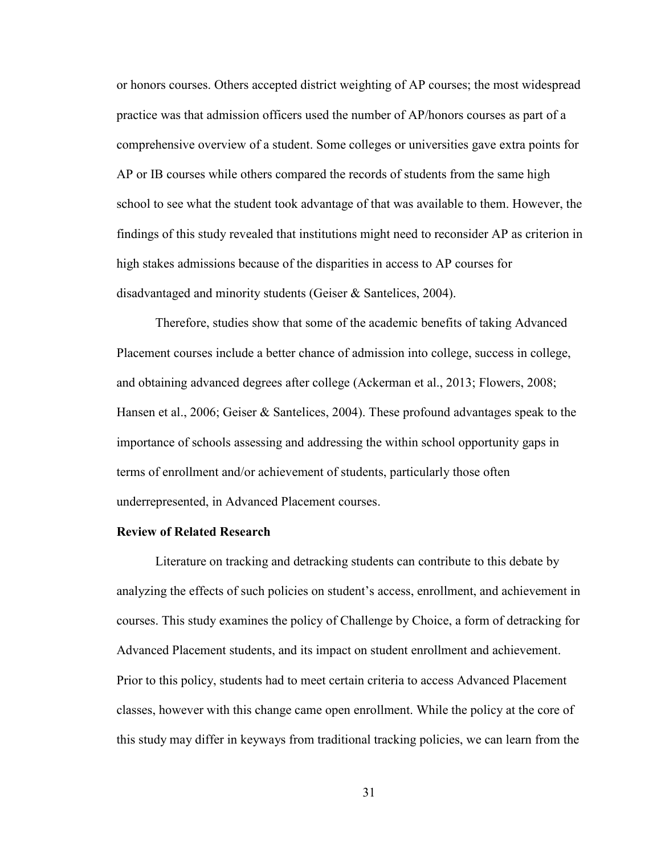or honors courses. Others accepted district weighting of AP courses; the most widespread practice was that admission officers used the number of AP/honors courses as part of a comprehensive overview of a student. Some colleges or universities gave extra points for AP or IB courses while others compared the records of students from the same high school to see what the student took advantage of that was available to them. However, the findings of this study revealed that institutions might need to reconsider AP as criterion in high stakes admissions because of the disparities in access to AP courses for disadvantaged and minority students (Geiser & Santelices, 2004).

Therefore, studies show that some of the academic benefits of taking Advanced Placement courses include a better chance of admission into college, success in college, and obtaining advanced degrees after college (Ackerman et al., 2013; Flowers, 2008; Hansen et al., 2006; Geiser & Santelices, 2004). These profound advantages speak to the importance of schools assessing and addressing the within school opportunity gaps in terms of enrollment and/or achievement of students, particularly those often underrepresented, in Advanced Placement courses.

## **Review of Related Research**

Literature on tracking and detracking students can contribute to this debate by analyzing the effects of such policies on student's access, enrollment, and achievement in courses. This study examines the policy of Challenge by Choice, a form of detracking for Advanced Placement students, and its impact on student enrollment and achievement. Prior to this policy, students had to meet certain criteria to access Advanced Placement classes, however with this change came open enrollment. While the policy at the core of this study may differ in keyways from traditional tracking policies, we can learn from the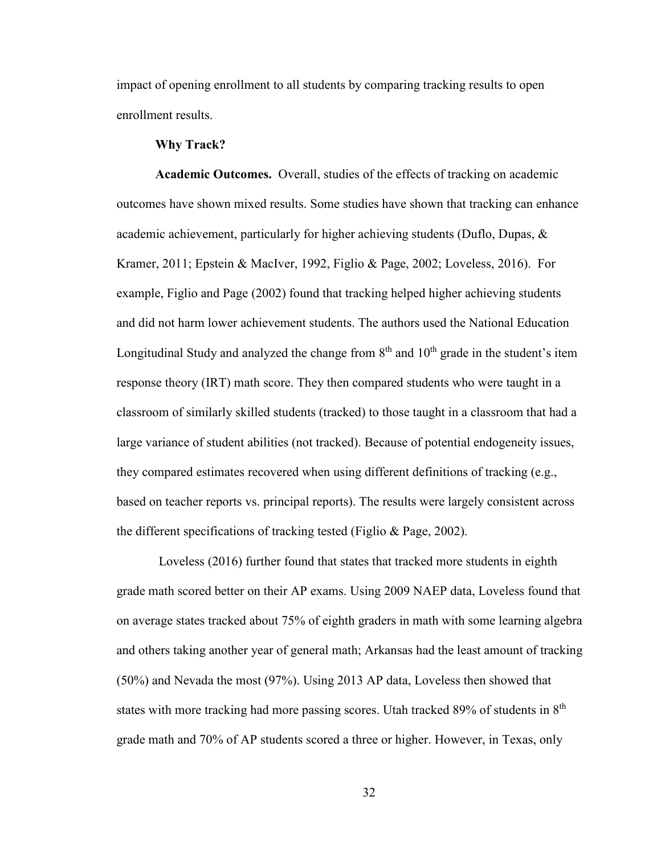impact of opening enrollment to all students by comparing tracking results to open enrollment results.

## **Why Track?**

**Academic Outcomes.** Overall, studies of the effects of tracking on academic outcomes have shown mixed results. Some studies have shown that tracking can enhance academic achievement, particularly for higher achieving students (Duflo, Dupas,  $\&$ Kramer, 2011; Epstein & MacIver, 1992, Figlio & Page, 2002; Loveless, 2016). For example, Figlio and Page (2002) found that tracking helped higher achieving students and did not harm lower achievement students. The authors used the National Education Longitudinal Study and analyzed the change from  $8<sup>th</sup>$  and  $10<sup>th</sup>$  grade in the student's item response theory (IRT) math score. They then compared students who were taught in a classroom of similarly skilled students (tracked) to those taught in a classroom that had a large variance of student abilities (not tracked). Because of potential endogeneity issues, they compared estimates recovered when using different definitions of tracking (e.g., based on teacher reports vs. principal reports). The results were largely consistent across the different specifications of tracking tested (Figlio & Page, 2002).

 Loveless (2016) further found that states that tracked more students in eighth grade math scored better on their AP exams. Using 2009 NAEP data, Loveless found that on average states tracked about 75% of eighth graders in math with some learning algebra and others taking another year of general math; Arkansas had the least amount of tracking (50%) and Nevada the most (97%). Using 2013 AP data, Loveless then showed that states with more tracking had more passing scores. Utah tracked 89% of students in 8<sup>th</sup> grade math and 70% of AP students scored a three or higher. However, in Texas, only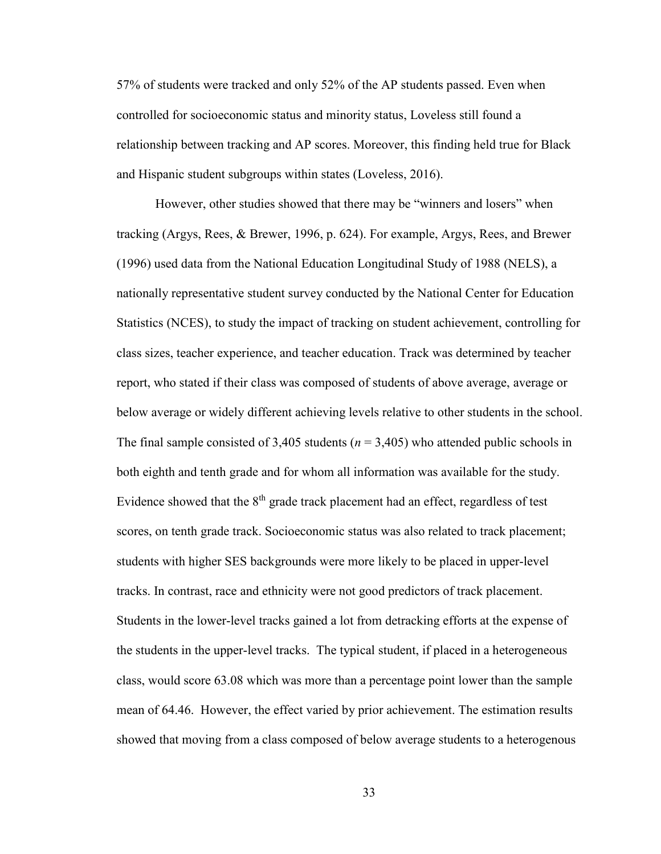57% of students were tracked and only 52% of the AP students passed. Even when controlled for socioeconomic status and minority status, Loveless still found a relationship between tracking and AP scores. Moreover, this finding held true for Black and Hispanic student subgroups within states (Loveless, 2016).

However, other studies showed that there may be "winners and losers" when tracking (Argys, Rees, & Brewer, 1996, p. 624). For example, Argys, Rees, and Brewer (1996) used data from the National Education Longitudinal Study of 1988 (NELS), a nationally representative student survey conducted by the National Center for Education Statistics (NCES), to study the impact of tracking on student achievement, controlling for class sizes, teacher experience, and teacher education. Track was determined by teacher report, who stated if their class was composed of students of above average, average or below average or widely different achieving levels relative to other students in the school. The final sample consisted of 3,405 students ( $n = 3,405$ ) who attended public schools in both eighth and tenth grade and for whom all information was available for the study. Evidence showed that the  $8<sup>th</sup>$  grade track placement had an effect, regardless of test scores, on tenth grade track. Socioeconomic status was also related to track placement; students with higher SES backgrounds were more likely to be placed in upper-level tracks. In contrast, race and ethnicity were not good predictors of track placement. Students in the lower-level tracks gained a lot from detracking efforts at the expense of the students in the upper-level tracks. The typical student, if placed in a heterogeneous class, would score 63.08 which was more than a percentage point lower than the sample mean of 64.46. However, the effect varied by prior achievement. The estimation results showed that moving from a class composed of below average students to a heterogenous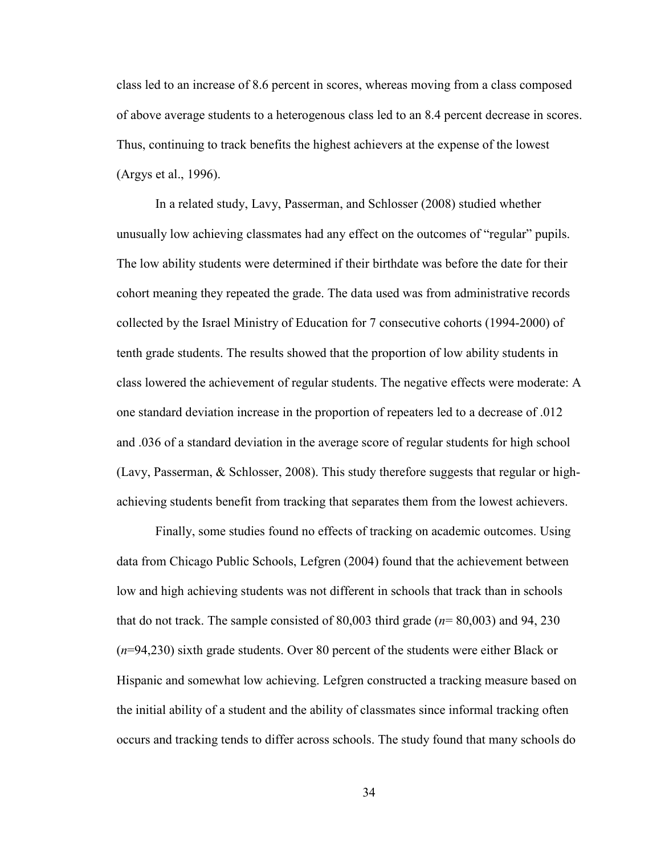class led to an increase of 8.6 percent in scores, whereas moving from a class composed of above average students to a heterogenous class led to an 8.4 percent decrease in scores. Thus, continuing to track benefits the highest achievers at the expense of the lowest (Argys et al., 1996).

In a related study, Lavy, Passerman, and Schlosser (2008) studied whether unusually low achieving classmates had any effect on the outcomes of "regular" pupils. The low ability students were determined if their birthdate was before the date for their cohort meaning they repeated the grade. The data used was from administrative records collected by the Israel Ministry of Education for 7 consecutive cohorts (1994-2000) of tenth grade students. The results showed that the proportion of low ability students in class lowered the achievement of regular students. The negative effects were moderate: A one standard deviation increase in the proportion of repeaters led to a decrease of .012 and .036 of a standard deviation in the average score of regular students for high school (Lavy, Passerman, & Schlosser, 2008). This study therefore suggests that regular or highachieving students benefit from tracking that separates them from the lowest achievers.

Finally, some studies found no effects of tracking on academic outcomes. Using data from Chicago Public Schools, Lefgren (2004) found that the achievement between low and high achieving students was not different in schools that track than in schools that do not track. The sample consisted of 80,003 third grade (*n*= 80,003) and 94, 230 (*n*=94,230) sixth grade students. Over 80 percent of the students were either Black or Hispanic and somewhat low achieving. Lefgren constructed a tracking measure based on the initial ability of a student and the ability of classmates since informal tracking often occurs and tracking tends to differ across schools. The study found that many schools do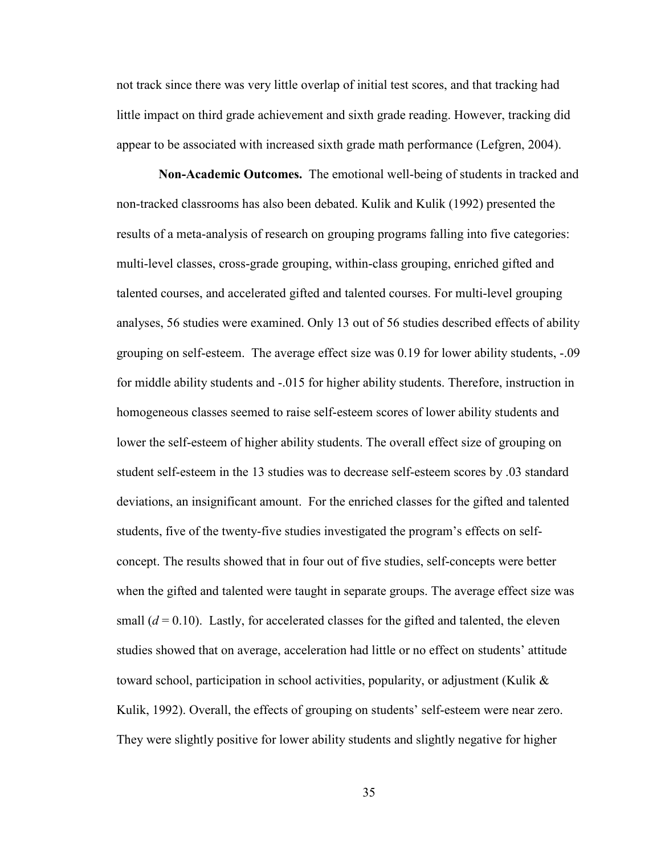not track since there was very little overlap of initial test scores, and that tracking had little impact on third grade achievement and sixth grade reading. However, tracking did appear to be associated with increased sixth grade math performance (Lefgren, 2004).

**Non-Academic Outcomes.** The emotional well-being of students in tracked and non-tracked classrooms has also been debated. Kulik and Kulik (1992) presented the results of a meta-analysis of research on grouping programs falling into five categories: multi-level classes, cross-grade grouping, within-class grouping, enriched gifted and talented courses, and accelerated gifted and talented courses. For multi-level grouping analyses, 56 studies were examined. Only 13 out of 56 studies described effects of ability grouping on self-esteem. The average effect size was 0.19 for lower ability students, -.09 for middle ability students and -.015 for higher ability students. Therefore, instruction in homogeneous classes seemed to raise self-esteem scores of lower ability students and lower the self-esteem of higher ability students. The overall effect size of grouping on student self-esteem in the 13 studies was to decrease self-esteem scores by .03 standard deviations, an insignificant amount. For the enriched classes for the gifted and talented students, five of the twenty-five studies investigated the program's effects on selfconcept. The results showed that in four out of five studies, self-concepts were better when the gifted and talented were taught in separate groups. The average effect size was small  $(d = 0.10)$ . Lastly, for accelerated classes for the gifted and talented, the eleven studies showed that on average, acceleration had little or no effect on students' attitude toward school, participation in school activities, popularity, or adjustment (Kulik  $\&$ Kulik, 1992). Overall, the effects of grouping on students' self-esteem were near zero. They were slightly positive for lower ability students and slightly negative for higher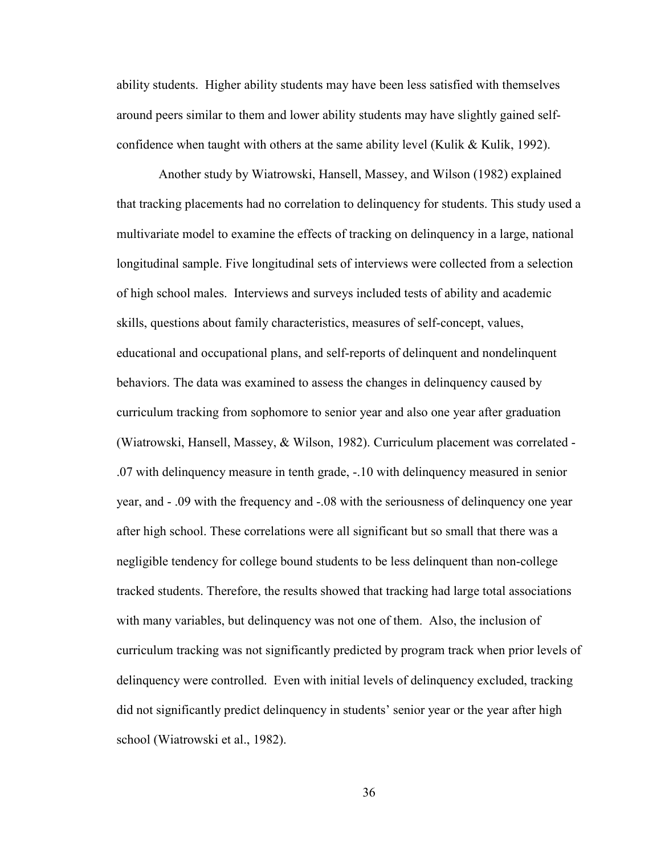ability students. Higher ability students may have been less satisfied with themselves around peers similar to them and lower ability students may have slightly gained selfconfidence when taught with others at the same ability level (Kulik  $&$  Kulik, 1992).

 Another study by Wiatrowski, Hansell, Massey, and Wilson (1982) explained that tracking placements had no correlation to delinquency for students. This study used a multivariate model to examine the effects of tracking on delinquency in a large, national longitudinal sample. Five longitudinal sets of interviews were collected from a selection of high school males. Interviews and surveys included tests of ability and academic skills, questions about family characteristics, measures of self-concept, values, educational and occupational plans, and self-reports of delinquent and nondelinquent behaviors. The data was examined to assess the changes in delinquency caused by curriculum tracking from sophomore to senior year and also one year after graduation (Wiatrowski, Hansell, Massey, & Wilson, 1982). Curriculum placement was correlated - .07 with delinquency measure in tenth grade, -.10 with delinquency measured in senior year, and - .09 with the frequency and -.08 with the seriousness of delinquency one year after high school. These correlations were all significant but so small that there was a negligible tendency for college bound students to be less delinquent than non-college tracked students. Therefore, the results showed that tracking had large total associations with many variables, but delinquency was not one of them. Also, the inclusion of curriculum tracking was not significantly predicted by program track when prior levels of delinquency were controlled. Even with initial levels of delinquency excluded, tracking did not significantly predict delinquency in students' senior year or the year after high school (Wiatrowski et al., 1982).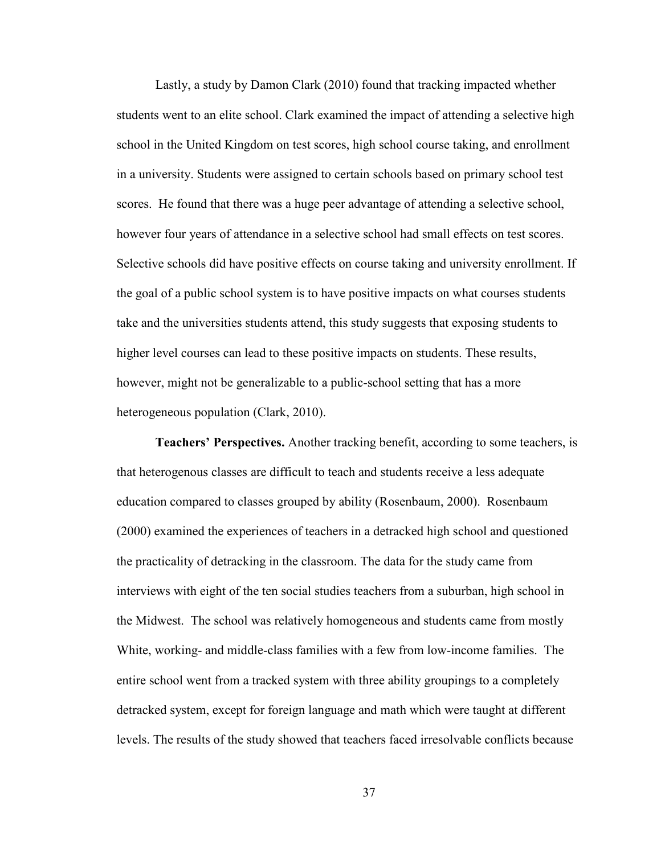Lastly, a study by Damon Clark (2010) found that tracking impacted whether students went to an elite school. Clark examined the impact of attending a selective high school in the United Kingdom on test scores, high school course taking, and enrollment in a university. Students were assigned to certain schools based on primary school test scores. He found that there was a huge peer advantage of attending a selective school, however four years of attendance in a selective school had small effects on test scores. Selective schools did have positive effects on course taking and university enrollment. If the goal of a public school system is to have positive impacts on what courses students take and the universities students attend, this study suggests that exposing students to higher level courses can lead to these positive impacts on students. These results, however, might not be generalizable to a public-school setting that has a more heterogeneous population (Clark, 2010).

**Teachers' Perspectives.** Another tracking benefit, according to some teachers, is that heterogenous classes are difficult to teach and students receive a less adequate education compared to classes grouped by ability (Rosenbaum, 2000). Rosenbaum (2000) examined the experiences of teachers in a detracked high school and questioned the practicality of detracking in the classroom. The data for the study came from interviews with eight of the ten social studies teachers from a suburban, high school in the Midwest. The school was relatively homogeneous and students came from mostly White, working- and middle-class families with a few from low-income families. The entire school went from a tracked system with three ability groupings to a completely detracked system, except for foreign language and math which were taught at different levels. The results of the study showed that teachers faced irresolvable conflicts because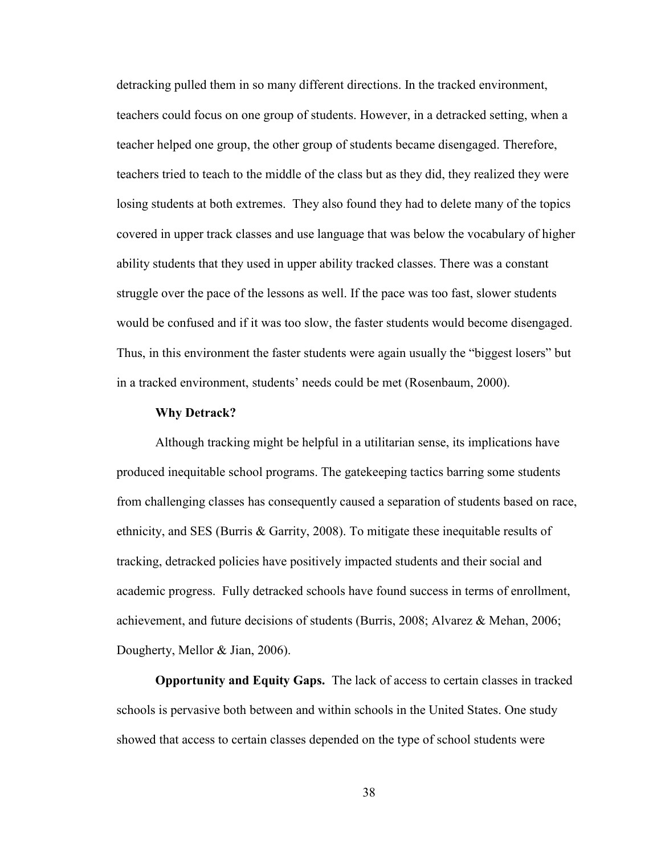detracking pulled them in so many different directions. In the tracked environment, teachers could focus on one group of students. However, in a detracked setting, when a teacher helped one group, the other group of students became disengaged. Therefore, teachers tried to teach to the middle of the class but as they did, they realized they were losing students at both extremes. They also found they had to delete many of the topics covered in upper track classes and use language that was below the vocabulary of higher ability students that they used in upper ability tracked classes. There was a constant struggle over the pace of the lessons as well. If the pace was too fast, slower students would be confused and if it was too slow, the faster students would become disengaged. Thus, in this environment the faster students were again usually the "biggest losers" but in a tracked environment, students' needs could be met (Rosenbaum, 2000).

#### **Why Detrack?**

Although tracking might be helpful in a utilitarian sense, its implications have produced inequitable school programs. The gatekeeping tactics barring some students from challenging classes has consequently caused a separation of students based on race, ethnicity, and SES (Burris & Garrity, 2008). To mitigate these inequitable results of tracking, detracked policies have positively impacted students and their social and academic progress. Fully detracked schools have found success in terms of enrollment, achievement, and future decisions of students (Burris, 2008; Alvarez & Mehan, 2006; Dougherty, Mellor & Jian, 2006).

**Opportunity and Equity Gaps.** The lack of access to certain classes in tracked schools is pervasive both between and within schools in the United States. One study showed that access to certain classes depended on the type of school students were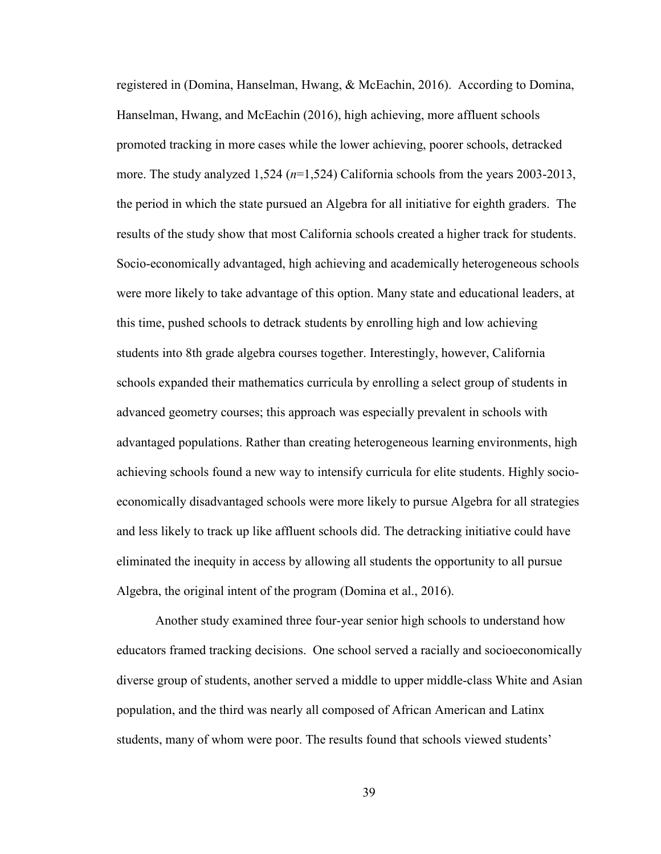registered in (Domina, Hanselman, Hwang, & McEachin, 2016). According to Domina, Hanselman, Hwang, and McEachin (2016), high achieving, more affluent schools promoted tracking in more cases while the lower achieving, poorer schools, detracked more. The study analyzed 1,524 (*n*=1,524) California schools from the years 2003-2013, the period in which the state pursued an Algebra for all initiative for eighth graders. The results of the study show that most California schools created a higher track for students. Socio-economically advantaged, high achieving and academically heterogeneous schools were more likely to take advantage of this option. Many state and educational leaders, at this time, pushed schools to detrack students by enrolling high and low achieving students into 8th grade algebra courses together. Interestingly, however, California schools expanded their mathematics curricula by enrolling a select group of students in advanced geometry courses; this approach was especially prevalent in schools with advantaged populations. Rather than creating heterogeneous learning environments, high achieving schools found a new way to intensify curricula for elite students. Highly socioeconomically disadvantaged schools were more likely to pursue Algebra for all strategies and less likely to track up like affluent schools did. The detracking initiative could have eliminated the inequity in access by allowing all students the opportunity to all pursue Algebra, the original intent of the program (Domina et al., 2016).

Another study examined three four-year senior high schools to understand how educators framed tracking decisions. One school served a racially and socioeconomically diverse group of students, another served a middle to upper middle-class White and Asian population, and the third was nearly all composed of African American and Latinx students, many of whom were poor. The results found that schools viewed students'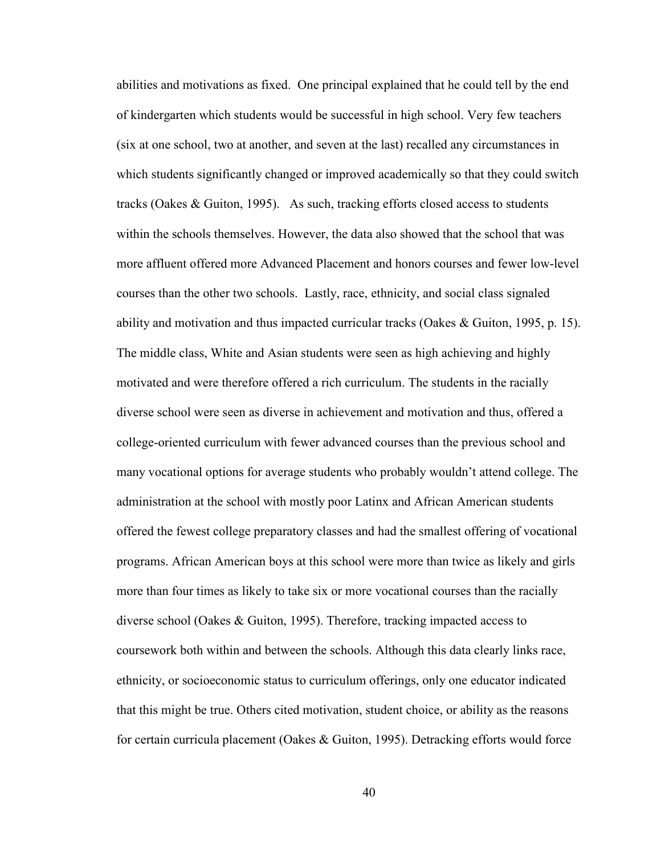abilities and motivations as fixed. One principal explained that he could tell by the end of kindergarten which students would be successful in high school. Very few teachers (six at one school, two at another, and seven at the last) recalled any circumstances in which students significantly changed or improved academically so that they could switch tracks (Oakes  $\&$  Guiton, 1995). As such, tracking efforts closed access to students within the schools themselves. However, the data also showed that the school that was more affluent offered more Advanced Placement and honors courses and fewer low-level courses than the other two schools. Lastly, race, ethnicity, and social class signaled ability and motivation and thus impacted curricular tracks (Oakes & Guiton, 1995, p. 15). The middle class, White and Asian students were seen as high achieving and highly motivated and were therefore offered a rich curriculum. The students in the racially diverse school were seen as diverse in achievement and motivation and thus, offered a college-oriented curriculum with fewer advanced courses than the previous school and many vocational options for average students who probably wouldn't attend college. The administration at the school with mostly poor Latinx and African American students offered the fewest college preparatory classes and had the smallest offering of vocational programs. African American boys at this school were more than twice as likely and girls more than four times as likely to take six or more vocational courses than the racially diverse school (Oakes & Guiton, 1995). Therefore, tracking impacted access to coursework both within and between the schools. Although this data clearly links race, ethnicity, or socioeconomic status to curriculum offerings, only one educator indicated that this might be true. Others cited motivation, student choice, or ability as the reasons for certain curricula placement (Oakes & Guiton, 1995). Detracking efforts would force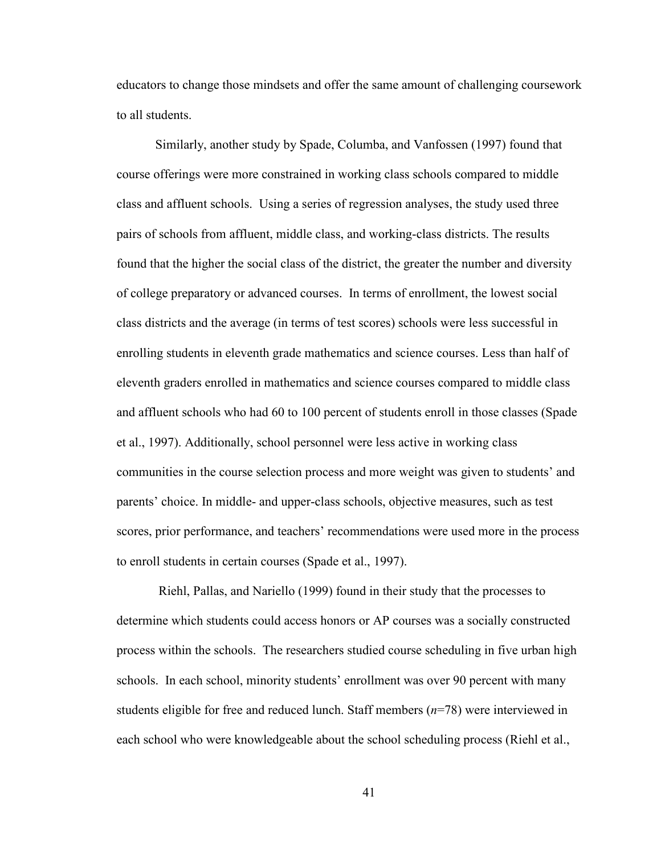educators to change those mindsets and offer the same amount of challenging coursework to all students.

Similarly, another study by Spade, Columba, and Vanfossen (1997) found that course offerings were more constrained in working class schools compared to middle class and affluent schools. Using a series of regression analyses, the study used three pairs of schools from affluent, middle class, and working-class districts. The results found that the higher the social class of the district, the greater the number and diversity of college preparatory or advanced courses. In terms of enrollment, the lowest social class districts and the average (in terms of test scores) schools were less successful in enrolling students in eleventh grade mathematics and science courses. Less than half of eleventh graders enrolled in mathematics and science courses compared to middle class and affluent schools who had 60 to 100 percent of students enroll in those classes (Spade et al., 1997). Additionally, school personnel were less active in working class communities in the course selection process and more weight was given to students' and parents' choice. In middle- and upper-class schools, objective measures, such as test scores, prior performance, and teachers' recommendations were used more in the process to enroll students in certain courses (Spade et al., 1997).

 Riehl, Pallas, and Nariello (1999) found in their study that the processes to determine which students could access honors or AP courses was a socially constructed process within the schools. The researchers studied course scheduling in five urban high schools. In each school, minority students' enrollment was over 90 percent with many students eligible for free and reduced lunch. Staff members (*n*=78) were interviewed in each school who were knowledgeable about the school scheduling process (Riehl et al.,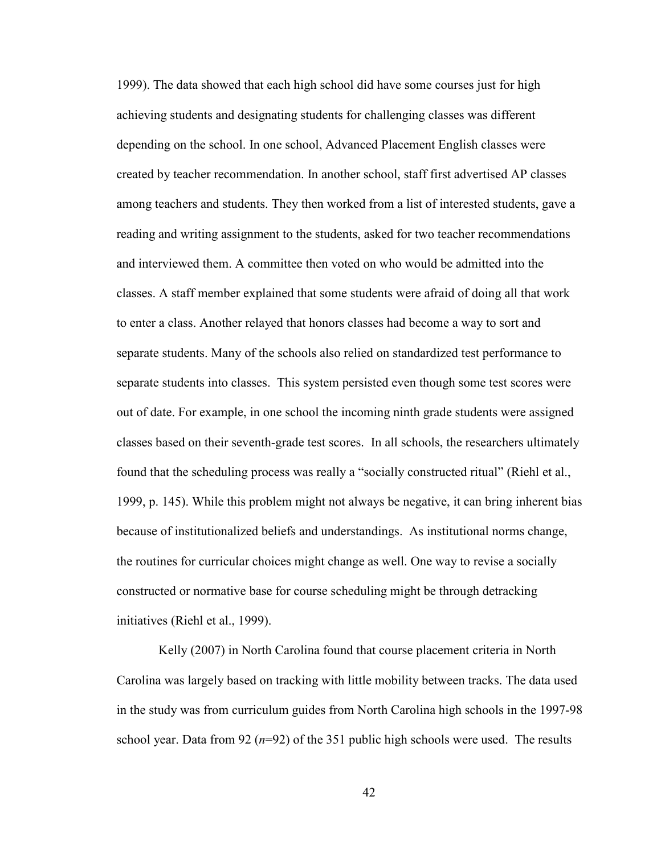1999). The data showed that each high school did have some courses just for high achieving students and designating students for challenging classes was different depending on the school. In one school, Advanced Placement English classes were created by teacher recommendation. In another school, staff first advertised AP classes among teachers and students. They then worked from a list of interested students, gave a reading and writing assignment to the students, asked for two teacher recommendations and interviewed them. A committee then voted on who would be admitted into the classes. A staff member explained that some students were afraid of doing all that work to enter a class. Another relayed that honors classes had become a way to sort and separate students. Many of the schools also relied on standardized test performance to separate students into classes. This system persisted even though some test scores were out of date. For example, in one school the incoming ninth grade students were assigned classes based on their seventh-grade test scores. In all schools, the researchers ultimately found that the scheduling process was really a "socially constructed ritual" (Riehl et al., 1999, p. 145). While this problem might not always be negative, it can bring inherent bias because of institutionalized beliefs and understandings. As institutional norms change, the routines for curricular choices might change as well. One way to revise a socially constructed or normative base for course scheduling might be through detracking initiatives (Riehl et al., 1999).

 Kelly (2007) in North Carolina found that course placement criteria in North Carolina was largely based on tracking with little mobility between tracks. The data used in the study was from curriculum guides from North Carolina high schools in the 1997-98 school year. Data from 92  $(n=92)$  of the 351 public high schools were used. The results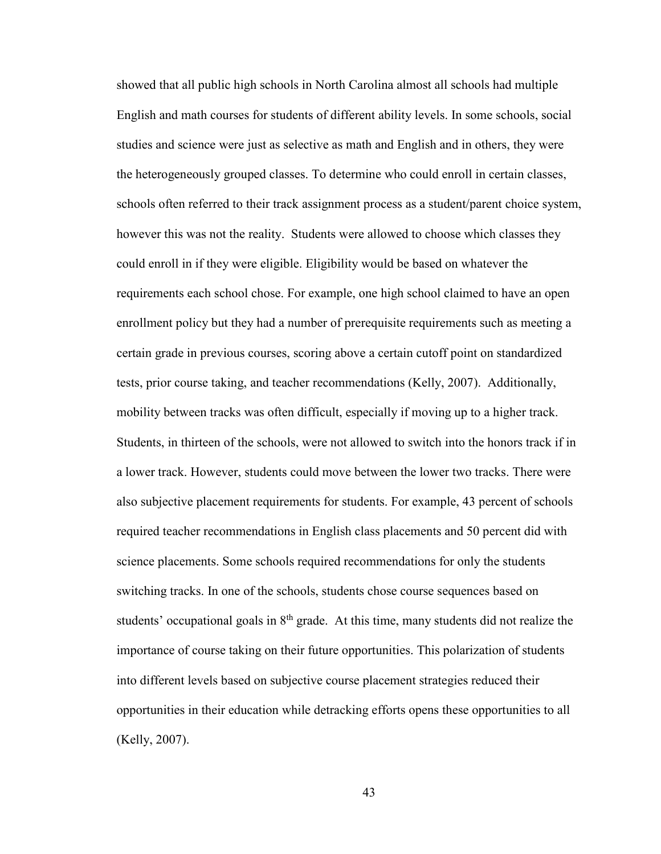showed that all public high schools in North Carolina almost all schools had multiple English and math courses for students of different ability levels. In some schools, social studies and science were just as selective as math and English and in others, they were the heterogeneously grouped classes. To determine who could enroll in certain classes, schools often referred to their track assignment process as a student/parent choice system, however this was not the reality. Students were allowed to choose which classes they could enroll in if they were eligible. Eligibility would be based on whatever the requirements each school chose. For example, one high school claimed to have an open enrollment policy but they had a number of prerequisite requirements such as meeting a certain grade in previous courses, scoring above a certain cutoff point on standardized tests, prior course taking, and teacher recommendations (Kelly, 2007). Additionally, mobility between tracks was often difficult, especially if moving up to a higher track. Students, in thirteen of the schools, were not allowed to switch into the honors track if in a lower track. However, students could move between the lower two tracks. There were also subjective placement requirements for students. For example, 43 percent of schools required teacher recommendations in English class placements and 50 percent did with science placements. Some schools required recommendations for only the students switching tracks. In one of the schools, students chose course sequences based on students' occupational goals in  $8<sup>th</sup>$  grade. At this time, many students did not realize the importance of course taking on their future opportunities. This polarization of students into different levels based on subjective course placement strategies reduced their opportunities in their education while detracking efforts opens these opportunities to all (Kelly, 2007).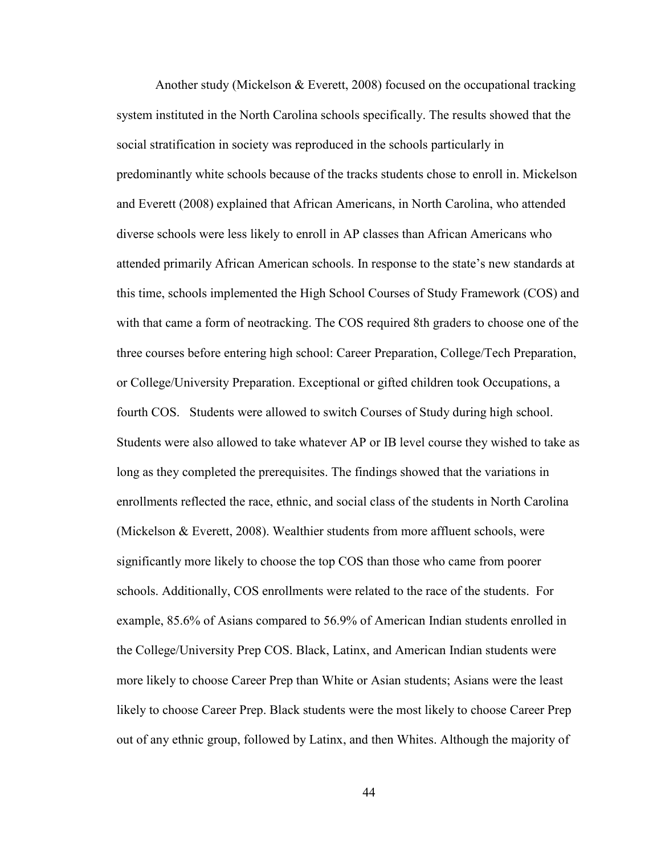Another study (Mickelson & Everett, 2008) focused on the occupational tracking system instituted in the North Carolina schools specifically. The results showed that the social stratification in society was reproduced in the schools particularly in predominantly white schools because of the tracks students chose to enroll in. Mickelson and Everett (2008) explained that African Americans, in North Carolina, who attended diverse schools were less likely to enroll in AP classes than African Americans who attended primarily African American schools. In response to the state's new standards at this time, schools implemented the High School Courses of Study Framework (COS) and with that came a form of neotracking. The COS required 8th graders to choose one of the three courses before entering high school: Career Preparation, College/Tech Preparation, or College/University Preparation. Exceptional or gifted children took Occupations, a fourth COS. Students were allowed to switch Courses of Study during high school. Students were also allowed to take whatever AP or IB level course they wished to take as long as they completed the prerequisites. The findings showed that the variations in enrollments reflected the race, ethnic, and social class of the students in North Carolina (Mickelson & Everett, 2008). Wealthier students from more affluent schools, were significantly more likely to choose the top COS than those who came from poorer schools. Additionally, COS enrollments were related to the race of the students. For example, 85.6% of Asians compared to 56.9% of American Indian students enrolled in the College/University Prep COS. Black, Latinx, and American Indian students were more likely to choose Career Prep than White or Asian students; Asians were the least likely to choose Career Prep. Black students were the most likely to choose Career Prep out of any ethnic group, followed by Latinx, and then Whites. Although the majority of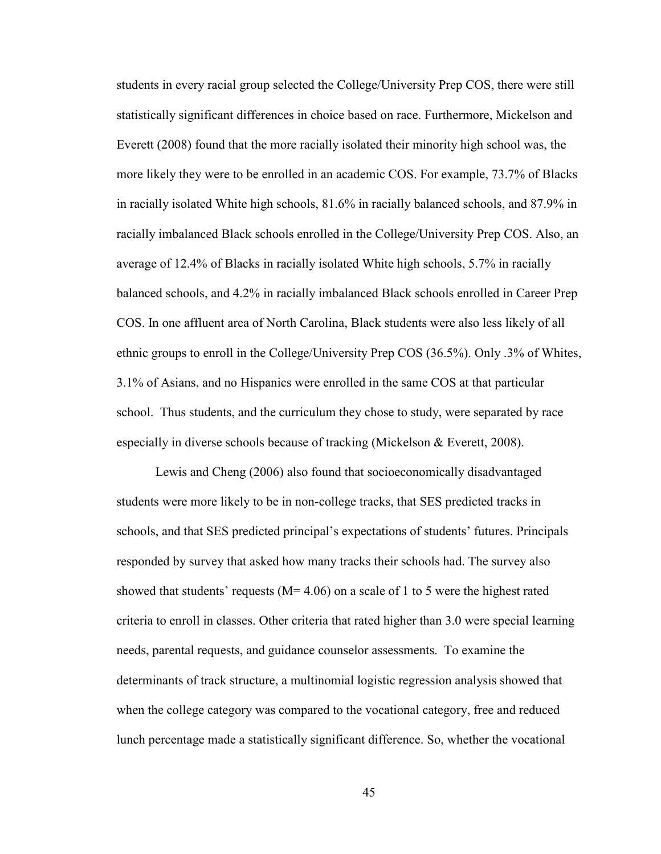students in every racial group selected the College/University Prep COS, there were still statistically significant differences in choice based on race. Furthermore, Mickelson and Everett (2008) found that the more racially isolated their minority high school was, the more likely they were to be enrolled in an academic COS. For example, 73.7% of Blacks in racially isolated White high schools, 81.6% in racially balanced schools, and 87.9% in racially imbalanced Black schools enrolled in the College/University Prep COS. Also, an average of 12.4% of Blacks in racially isolated White high schools, 5.7% in racially balanced schools, and 4.2% in racially imbalanced Black schools enrolled in Career Prep COS. In one affluent area of North Carolina, Black students were also less likely of all ethnic groups to enroll in the College/University Prep COS (36.5%). Only .3% of Whites, 3.1% of Asians, and no Hispanics were enrolled in the same COS at that particular school. Thus students, and the curriculum they chose to study, were separated by race especially in diverse schools because of tracking (Mickelson & Everett, 2008).

Lewis and Cheng (2006) also found that socioeconomically disadvantaged students were more likely to be in non-college tracks, that SES predicted tracks in schools, and that SES predicted principal's expectations of students' futures. Principals responded by survey that asked how many tracks their schools had. The survey also showed that students' requests ( $M= 4.06$ ) on a scale of 1 to 5 were the highest rated criteria to enroll in classes. Other criteria that rated higher than 3.0 were special learning needs, parental requests, and guidance counselor assessments. To examine the determinants of track structure, a multinomial logistic regression analysis showed that when the college category was compared to the vocational category, free and reduced lunch percentage made a statistically significant difference. So, whether the vocational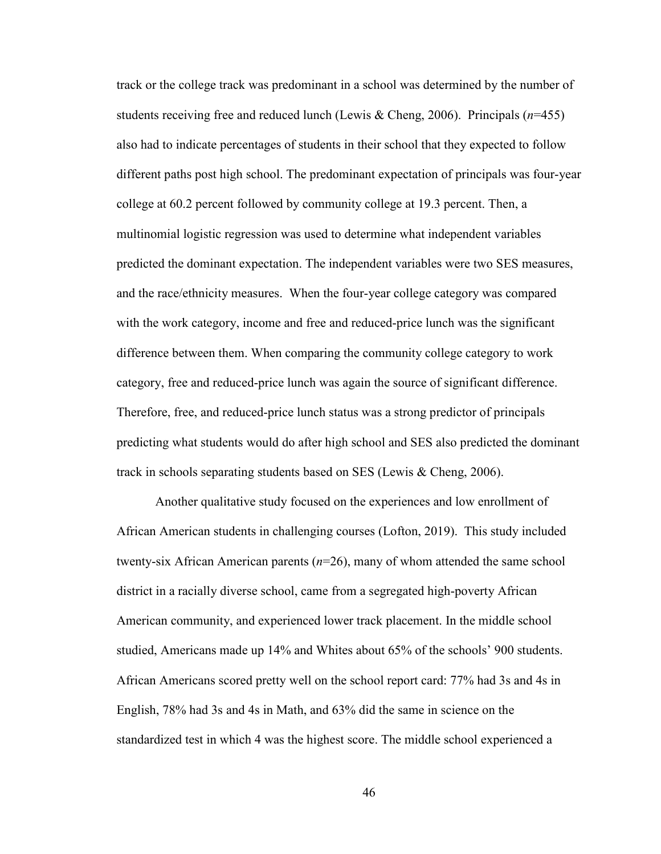track or the college track was predominant in a school was determined by the number of students receiving free and reduced lunch (Lewis & Cheng, 2006). Principals (*n*=455) also had to indicate percentages of students in their school that they expected to follow different paths post high school. The predominant expectation of principals was four-year college at 60.2 percent followed by community college at 19.3 percent. Then, a multinomial logistic regression was used to determine what independent variables predicted the dominant expectation. The independent variables were two SES measures, and the race/ethnicity measures. When the four-year college category was compared with the work category, income and free and reduced-price lunch was the significant difference between them. When comparing the community college category to work category, free and reduced-price lunch was again the source of significant difference. Therefore, free, and reduced-price lunch status was a strong predictor of principals predicting what students would do after high school and SES also predicted the dominant track in schools separating students based on SES (Lewis & Cheng, 2006).

Another qualitative study focused on the experiences and low enrollment of African American students in challenging courses (Lofton, 2019). This study included twenty-six African American parents (*n*=26), many of whom attended the same school district in a racially diverse school, came from a segregated high-poverty African American community, and experienced lower track placement. In the middle school studied, Americans made up 14% and Whites about 65% of the schools' 900 students. African Americans scored pretty well on the school report card: 77% had 3s and 4s in English, 78% had 3s and 4s in Math, and 63% did the same in science on the standardized test in which 4 was the highest score. The middle school experienced a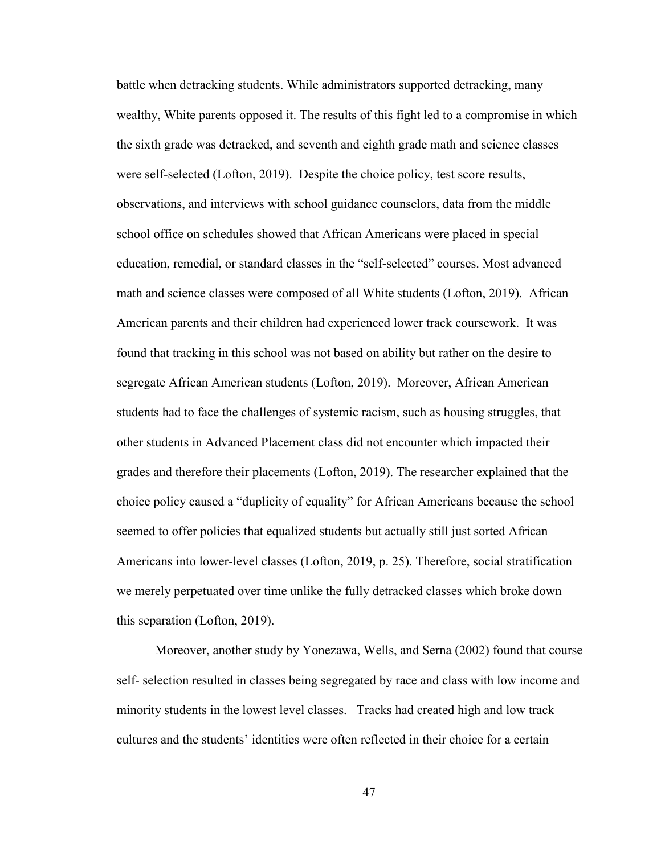battle when detracking students. While administrators supported detracking, many wealthy, White parents opposed it. The results of this fight led to a compromise in which the sixth grade was detracked, and seventh and eighth grade math and science classes were self-selected (Lofton, 2019). Despite the choice policy, test score results, observations, and interviews with school guidance counselors, data from the middle school office on schedules showed that African Americans were placed in special education, remedial, or standard classes in the "self-selected" courses. Most advanced math and science classes were composed of all White students (Lofton, 2019). African American parents and their children had experienced lower track coursework. It was found that tracking in this school was not based on ability but rather on the desire to segregate African American students (Lofton, 2019). Moreover, African American students had to face the challenges of systemic racism, such as housing struggles, that other students in Advanced Placement class did not encounter which impacted their grades and therefore their placements (Lofton, 2019). The researcher explained that the choice policy caused a "duplicity of equality" for African Americans because the school seemed to offer policies that equalized students but actually still just sorted African Americans into lower-level classes (Lofton, 2019, p. 25). Therefore, social stratification we merely perpetuated over time unlike the fully detracked classes which broke down this separation (Lofton, 2019).

Moreover, another study by Yonezawa, Wells, and Serna (2002) found that course self- selection resulted in classes being segregated by race and class with low income and minority students in the lowest level classes. Tracks had created high and low track cultures and the students' identities were often reflected in their choice for a certain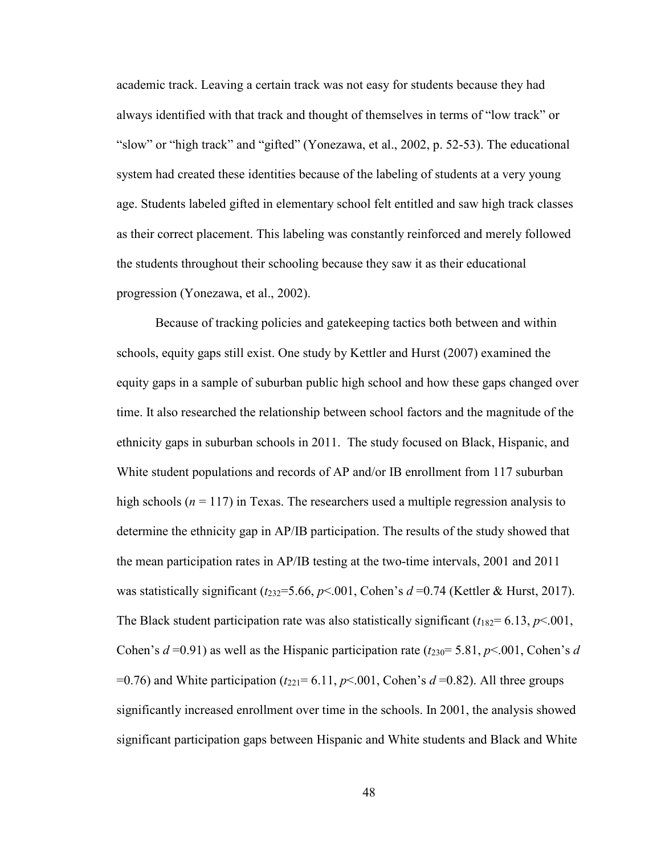academic track. Leaving a certain track was not easy for students because they had always identified with that track and thought of themselves in terms of "low track" or "slow" or "high track" and "gifted" (Yonezawa, et al., 2002, p. 52-53). The educational system had created these identities because of the labeling of students at a very young age. Students labeled gifted in elementary school felt entitled and saw high track classes as their correct placement. This labeling was constantly reinforced and merely followed the students throughout their schooling because they saw it as their educational progression (Yonezawa, et al., 2002).

Because of tracking policies and gatekeeping tactics both between and within schools, equity gaps still exist. One study by Kettler and Hurst (2007) examined the equity gaps in a sample of suburban public high school and how these gaps changed over time. It also researched the relationship between school factors and the magnitude of the ethnicity gaps in suburban schools in 2011. The study focused on Black, Hispanic, and White student populations and records of AP and/or IB enrollment from 117 suburban high schools ( $n = 117$ ) in Texas. The researchers used a multiple regression analysis to determine the ethnicity gap in AP/IB participation. The results of the study showed that the mean participation rates in AP/IB testing at the two-time intervals, 2001 and 2011 was statistically significant  $(t_{232}=5.66, p<.001,$  Cohen's  $d=0.74$  (Kettler & Hurst, 2017). The Black student participation rate was also statistically significant  $(t_{182} = 6.13, p<.001,$ Cohen's  $d = 0.91$ ) as well as the Hispanic participation rate  $(t_{230} = 5.81, p < 0.01,$  Cohen's  $d$ =0.76) and White participation ( $t_{221}$ = 6.11,  $p$ <.001, Cohen's  $d$  =0.82). All three groups significantly increased enrollment over time in the schools. In 2001, the analysis showed significant participation gaps between Hispanic and White students and Black and White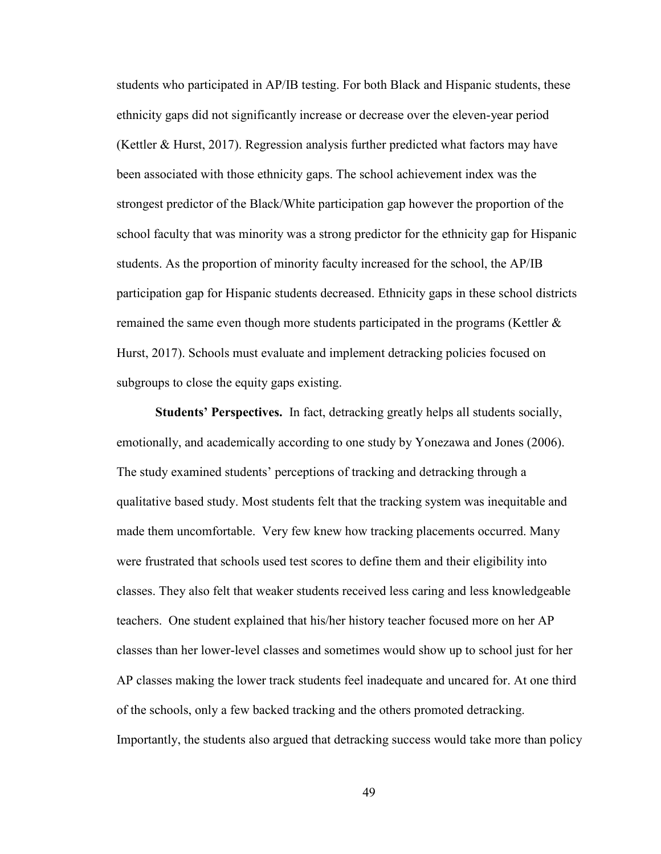students who participated in AP/IB testing. For both Black and Hispanic students, these ethnicity gaps did not significantly increase or decrease over the eleven-year period (Kettler & Hurst, 2017). Regression analysis further predicted what factors may have been associated with those ethnicity gaps. The school achievement index was the strongest predictor of the Black/White participation gap however the proportion of the school faculty that was minority was a strong predictor for the ethnicity gap for Hispanic students. As the proportion of minority faculty increased for the school, the AP/IB participation gap for Hispanic students decreased. Ethnicity gaps in these school districts remained the same even though more students participated in the programs (Kettler & Hurst, 2017). Schools must evaluate and implement detracking policies focused on subgroups to close the equity gaps existing.

**Students' Perspectives.** In fact, detracking greatly helps all students socially, emotionally, and academically according to one study by Yonezawa and Jones (2006). The study examined students' perceptions of tracking and detracking through a qualitative based study. Most students felt that the tracking system was inequitable and made them uncomfortable. Very few knew how tracking placements occurred. Many were frustrated that schools used test scores to define them and their eligibility into classes. They also felt that weaker students received less caring and less knowledgeable teachers. One student explained that his/her history teacher focused more on her AP classes than her lower-level classes and sometimes would show up to school just for her AP classes making the lower track students feel inadequate and uncared for. At one third of the schools, only a few backed tracking and the others promoted detracking. Importantly, the students also argued that detracking success would take more than policy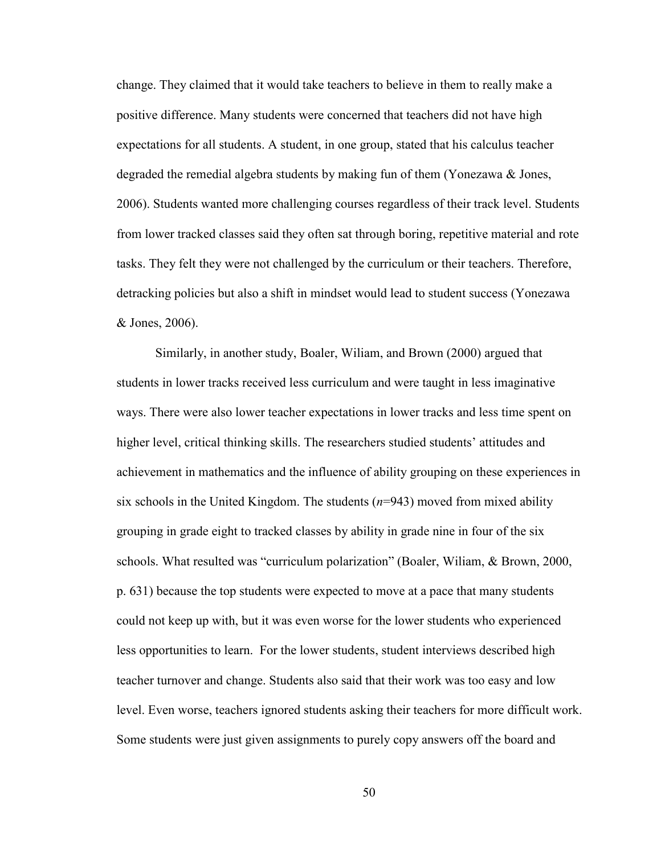change. They claimed that it would take teachers to believe in them to really make a positive difference. Many students were concerned that teachers did not have high expectations for all students. A student, in one group, stated that his calculus teacher degraded the remedial algebra students by making fun of them (Yonezawa & Jones, 2006). Students wanted more challenging courses regardless of their track level. Students from lower tracked classes said they often sat through boring, repetitive material and rote tasks. They felt they were not challenged by the curriculum or their teachers. Therefore, detracking policies but also a shift in mindset would lead to student success (Yonezawa & Jones, 2006).

Similarly, in another study, Boaler, Wiliam, and Brown (2000) argued that students in lower tracks received less curriculum and were taught in less imaginative ways. There were also lower teacher expectations in lower tracks and less time spent on higher level, critical thinking skills. The researchers studied students' attitudes and achievement in mathematics and the influence of ability grouping on these experiences in six schools in the United Kingdom. The students (*n*=943) moved from mixed ability grouping in grade eight to tracked classes by ability in grade nine in four of the six schools. What resulted was "curriculum polarization" (Boaler, Wiliam, & Brown, 2000, p. 631) because the top students were expected to move at a pace that many students could not keep up with, but it was even worse for the lower students who experienced less opportunities to learn. For the lower students, student interviews described high teacher turnover and change. Students also said that their work was too easy and low level. Even worse, teachers ignored students asking their teachers for more difficult work. Some students were just given assignments to purely copy answers off the board and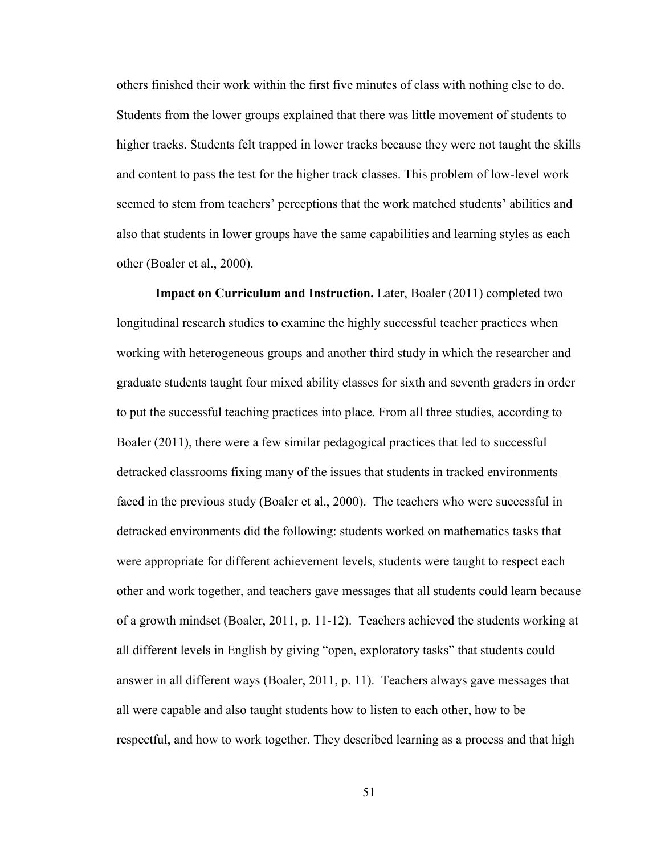others finished their work within the first five minutes of class with nothing else to do. Students from the lower groups explained that there was little movement of students to higher tracks. Students felt trapped in lower tracks because they were not taught the skills and content to pass the test for the higher track classes. This problem of low-level work seemed to stem from teachers' perceptions that the work matched students' abilities and also that students in lower groups have the same capabilities and learning styles as each other (Boaler et al., 2000).

**Impact on Curriculum and Instruction.** Later, Boaler (2011) completed two longitudinal research studies to examine the highly successful teacher practices when working with heterogeneous groups and another third study in which the researcher and graduate students taught four mixed ability classes for sixth and seventh graders in order to put the successful teaching practices into place. From all three studies, according to Boaler (2011), there were a few similar pedagogical practices that led to successful detracked classrooms fixing many of the issues that students in tracked environments faced in the previous study (Boaler et al., 2000). The teachers who were successful in detracked environments did the following: students worked on mathematics tasks that were appropriate for different achievement levels, students were taught to respect each other and work together, and teachers gave messages that all students could learn because of a growth mindset (Boaler, 2011, p. 11-12). Teachers achieved the students working at all different levels in English by giving "open, exploratory tasks" that students could answer in all different ways (Boaler, 2011, p. 11). Teachers always gave messages that all were capable and also taught students how to listen to each other, how to be respectful, and how to work together. They described learning as a process and that high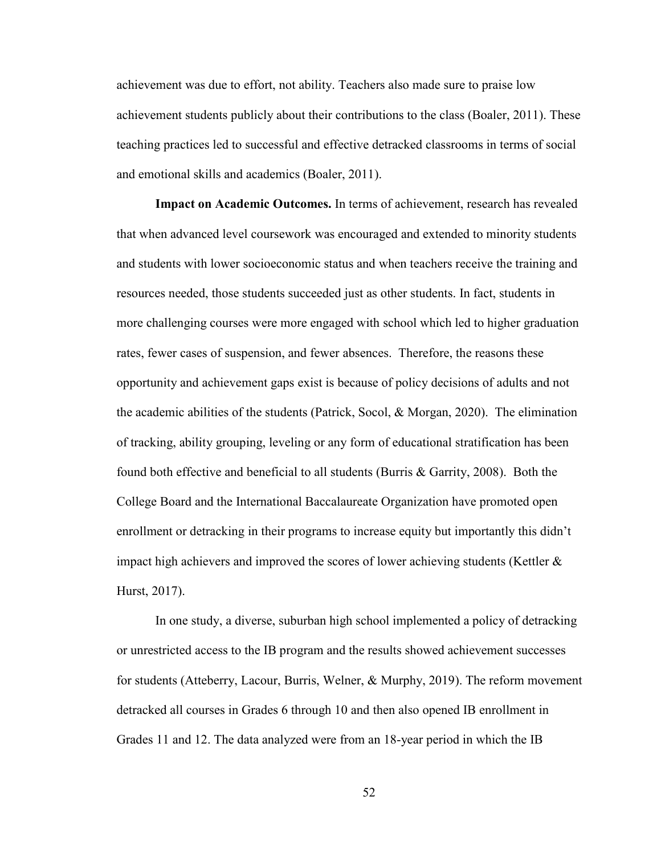achievement was due to effort, not ability. Teachers also made sure to praise low achievement students publicly about their contributions to the class (Boaler, 2011). These teaching practices led to successful and effective detracked classrooms in terms of social and emotional skills and academics (Boaler, 2011).

**Impact on Academic Outcomes.** In terms of achievement, research has revealed that when advanced level coursework was encouraged and extended to minority students and students with lower socioeconomic status and when teachers receive the training and resources needed, those students succeeded just as other students. In fact, students in more challenging courses were more engaged with school which led to higher graduation rates, fewer cases of suspension, and fewer absences. Therefore, the reasons these opportunity and achievement gaps exist is because of policy decisions of adults and not the academic abilities of the students (Patrick, Socol,  $\&$  Morgan, 2020). The elimination of tracking, ability grouping, leveling or any form of educational stratification has been found both effective and beneficial to all students (Burris & Garrity, 2008). Both the College Board and the International Baccalaureate Organization have promoted open enrollment or detracking in their programs to increase equity but importantly this didn't impact high achievers and improved the scores of lower achieving students (Kettler  $\&$ Hurst, 2017).

In one study, a diverse, suburban high school implemented a policy of detracking or unrestricted access to the IB program and the results showed achievement successes for students (Atteberry, Lacour, Burris, Welner, & Murphy, 2019). The reform movement detracked all courses in Grades 6 through 10 and then also opened IB enrollment in Grades 11 and 12. The data analyzed were from an 18-year period in which the IB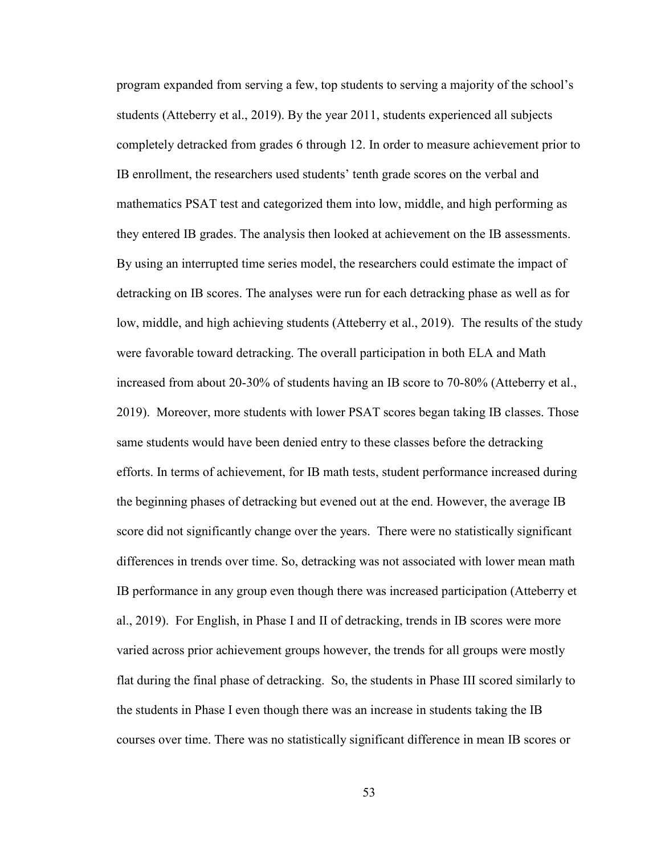program expanded from serving a few, top students to serving a majority of the school's students (Atteberry et al., 2019). By the year 2011, students experienced all subjects completely detracked from grades 6 through 12. In order to measure achievement prior to IB enrollment, the researchers used students' tenth grade scores on the verbal and mathematics PSAT test and categorized them into low, middle, and high performing as they entered IB grades. The analysis then looked at achievement on the IB assessments. By using an interrupted time series model, the researchers could estimate the impact of detracking on IB scores. The analyses were run for each detracking phase as well as for low, middle, and high achieving students (Atteberry et al., 2019). The results of the study were favorable toward detracking. The overall participation in both ELA and Math increased from about 20-30% of students having an IB score to 70-80% (Atteberry et al., 2019). Moreover, more students with lower PSAT scores began taking IB classes. Those same students would have been denied entry to these classes before the detracking efforts. In terms of achievement, for IB math tests, student performance increased during the beginning phases of detracking but evened out at the end. However, the average IB score did not significantly change over the years. There were no statistically significant differences in trends over time. So, detracking was not associated with lower mean math IB performance in any group even though there was increased participation (Atteberry et al., 2019). For English, in Phase I and II of detracking, trends in IB scores were more varied across prior achievement groups however, the trends for all groups were mostly flat during the final phase of detracking. So, the students in Phase III scored similarly to the students in Phase I even though there was an increase in students taking the IB courses over time. There was no statistically significant difference in mean IB scores or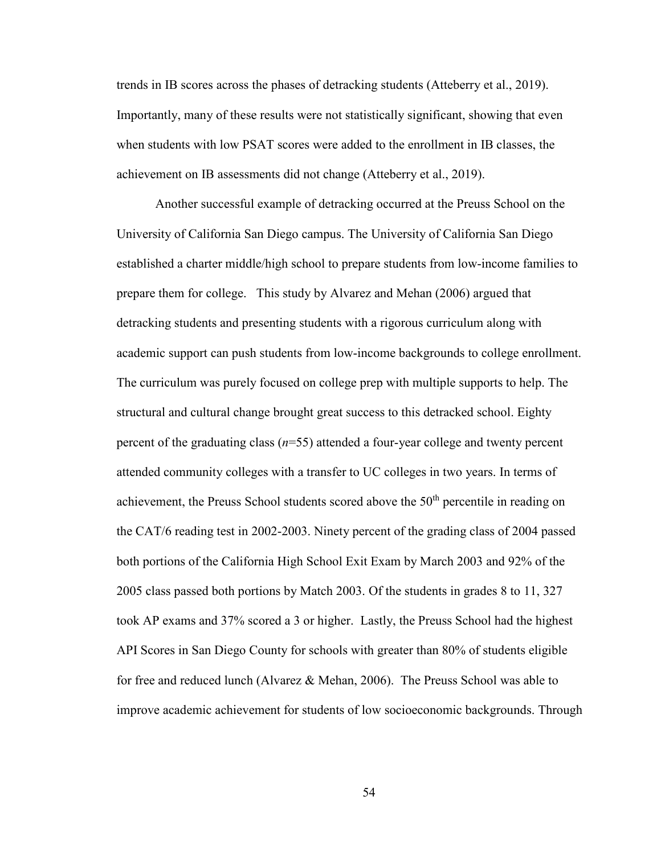trends in IB scores across the phases of detracking students (Atteberry et al., 2019). Importantly, many of these results were not statistically significant, showing that even when students with low PSAT scores were added to the enrollment in IB classes, the achievement on IB assessments did not change (Atteberry et al., 2019).

Another successful example of detracking occurred at the Preuss School on the University of California San Diego campus. The University of California San Diego established a charter middle/high school to prepare students from low-income families to prepare them for college. This study by Alvarez and Mehan (2006) argued that detracking students and presenting students with a rigorous curriculum along with academic support can push students from low-income backgrounds to college enrollment. The curriculum was purely focused on college prep with multiple supports to help. The structural and cultural change brought great success to this detracked school. Eighty percent of the graduating class (*n*=55) attended a four-year college and twenty percent attended community colleges with a transfer to UC colleges in two years. In terms of achievement, the Preuss School students scored above the 50<sup>th</sup> percentile in reading on the CAT/6 reading test in 2002-2003. Ninety percent of the grading class of 2004 passed both portions of the California High School Exit Exam by March 2003 and 92% of the 2005 class passed both portions by Match 2003. Of the students in grades 8 to 11, 327 took AP exams and 37% scored a 3 or higher. Lastly, the Preuss School had the highest API Scores in San Diego County for schools with greater than 80% of students eligible for free and reduced lunch (Alvarez & Mehan, 2006). The Preuss School was able to improve academic achievement for students of low socioeconomic backgrounds. Through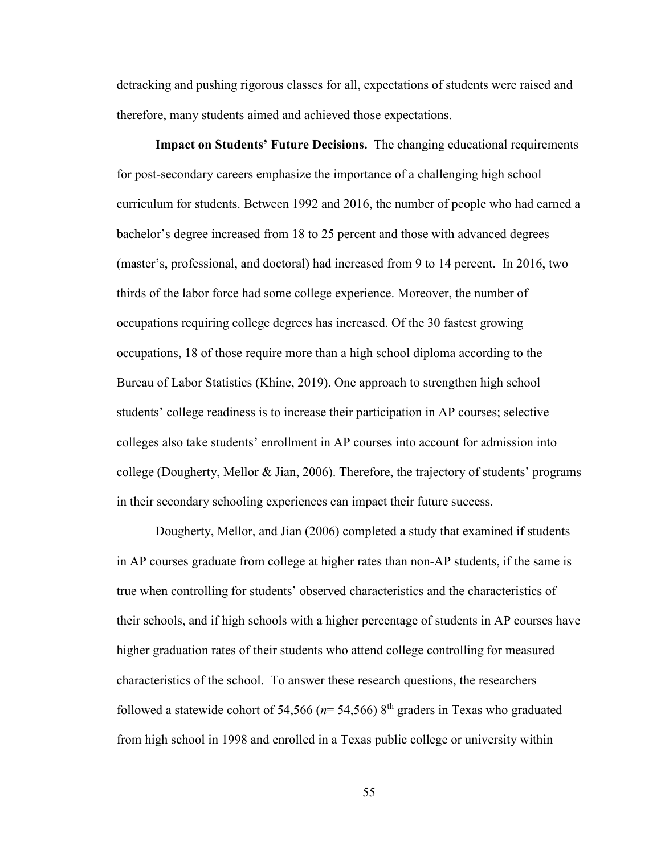detracking and pushing rigorous classes for all, expectations of students were raised and therefore, many students aimed and achieved those expectations.

**Impact on Students' Future Decisions.** The changing educational requirements for post-secondary careers emphasize the importance of a challenging high school curriculum for students. Between 1992 and 2016, the number of people who had earned a bachelor's degree increased from 18 to 25 percent and those with advanced degrees (master's, professional, and doctoral) had increased from 9 to 14 percent. In 2016, two thirds of the labor force had some college experience. Moreover, the number of occupations requiring college degrees has increased. Of the 30 fastest growing occupations, 18 of those require more than a high school diploma according to the Bureau of Labor Statistics (Khine, 2019). One approach to strengthen high school students' college readiness is to increase their participation in AP courses; selective colleges also take students' enrollment in AP courses into account for admission into college (Dougherty, Mellor & Jian, 2006). Therefore, the trajectory of students' programs in their secondary schooling experiences can impact their future success.

Dougherty, Mellor, and Jian (2006) completed a study that examined if students in AP courses graduate from college at higher rates than non-AP students, if the same is true when controlling for students' observed characteristics and the characteristics of their schools, and if high schools with a higher percentage of students in AP courses have higher graduation rates of their students who attend college controlling for measured characteristics of the school. To answer these research questions, the researchers followed a statewide cohort of 54,566 ( $n=$  54,566)  $8<sup>th</sup>$  graders in Texas who graduated from high school in 1998 and enrolled in a Texas public college or university within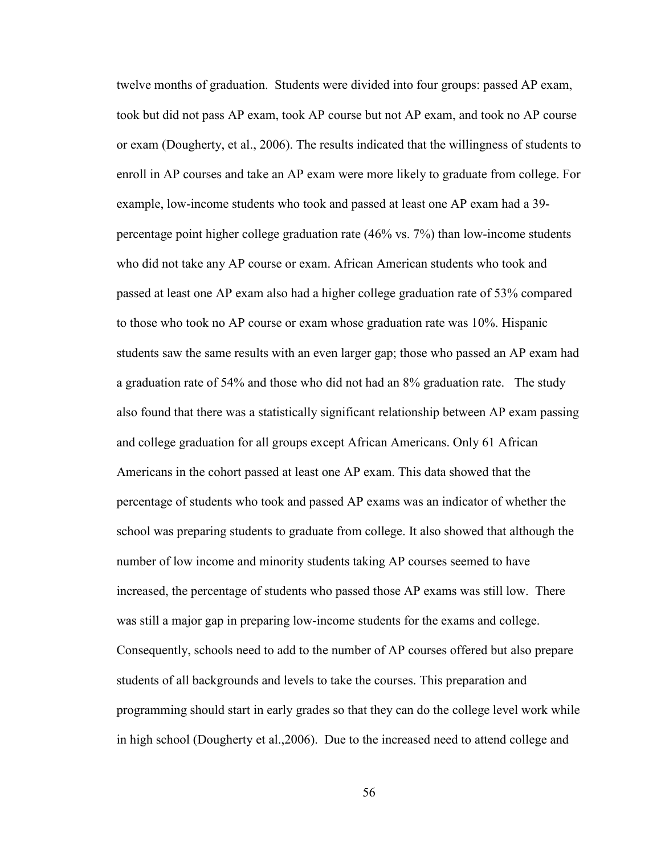twelve months of graduation. Students were divided into four groups: passed AP exam, took but did not pass AP exam, took AP course but not AP exam, and took no AP course or exam (Dougherty, et al., 2006). The results indicated that the willingness of students to enroll in AP courses and take an AP exam were more likely to graduate from college. For example, low-income students who took and passed at least one AP exam had a 39 percentage point higher college graduation rate (46% vs. 7%) than low-income students who did not take any AP course or exam. African American students who took and passed at least one AP exam also had a higher college graduation rate of 53% compared to those who took no AP course or exam whose graduation rate was 10%. Hispanic students saw the same results with an even larger gap; those who passed an AP exam had a graduation rate of 54% and those who did not had an 8% graduation rate. The study also found that there was a statistically significant relationship between AP exam passing and college graduation for all groups except African Americans. Only 61 African Americans in the cohort passed at least one AP exam. This data showed that the percentage of students who took and passed AP exams was an indicator of whether the school was preparing students to graduate from college. It also showed that although the number of low income and minority students taking AP courses seemed to have increased, the percentage of students who passed those AP exams was still low. There was still a major gap in preparing low-income students for the exams and college. Consequently, schools need to add to the number of AP courses offered but also prepare students of all backgrounds and levels to take the courses. This preparation and programming should start in early grades so that they can do the college level work while in high school (Dougherty et al.,2006). Due to the increased need to attend college and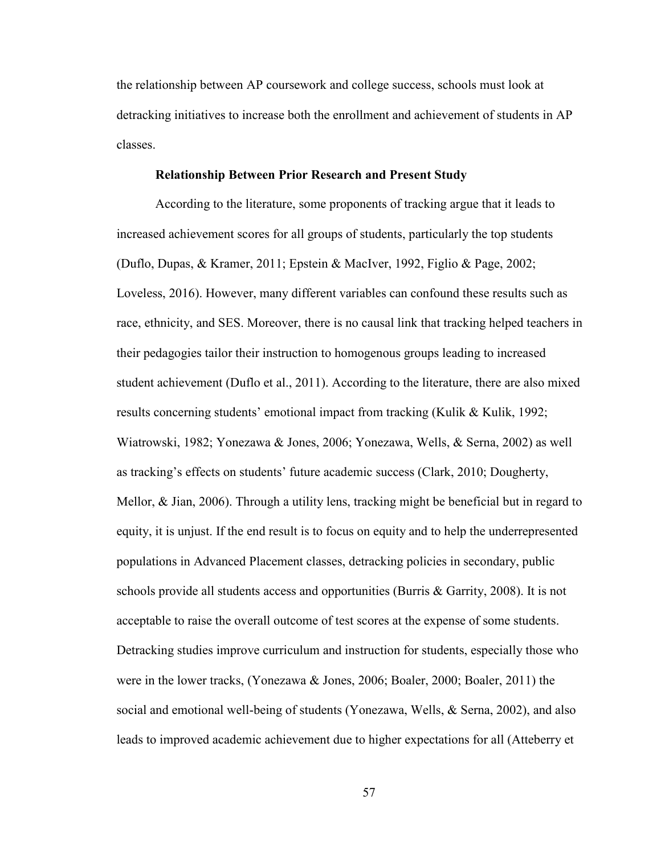the relationship between AP coursework and college success, schools must look at detracking initiatives to increase both the enrollment and achievement of students in AP classes.

### **Relationship Between Prior Research and Present Study**

According to the literature, some proponents of tracking argue that it leads to increased achievement scores for all groups of students, particularly the top students (Duflo, Dupas, & Kramer, 2011; Epstein & MacIver, 1992, Figlio & Page, 2002; Loveless, 2016). However, many different variables can confound these results such as race, ethnicity, and SES. Moreover, there is no causal link that tracking helped teachers in their pedagogies tailor their instruction to homogenous groups leading to increased student achievement (Duflo et al., 2011). According to the literature, there are also mixed results concerning students' emotional impact from tracking (Kulik & Kulik, 1992; Wiatrowski, 1982; Yonezawa & Jones, 2006; Yonezawa, Wells, & Serna, 2002) as well as tracking's effects on students' future academic success (Clark, 2010; Dougherty, Mellor, & Jian, 2006). Through a utility lens, tracking might be beneficial but in regard to equity, it is unjust. If the end result is to focus on equity and to help the underrepresented populations in Advanced Placement classes, detracking policies in secondary, public schools provide all students access and opportunities (Burris & Garrity, 2008). It is not acceptable to raise the overall outcome of test scores at the expense of some students. Detracking studies improve curriculum and instruction for students, especially those who were in the lower tracks, (Yonezawa & Jones, 2006; Boaler, 2000; Boaler, 2011) the social and emotional well-being of students (Yonezawa, Wells, & Serna, 2002), and also leads to improved academic achievement due to higher expectations for all (Atteberry et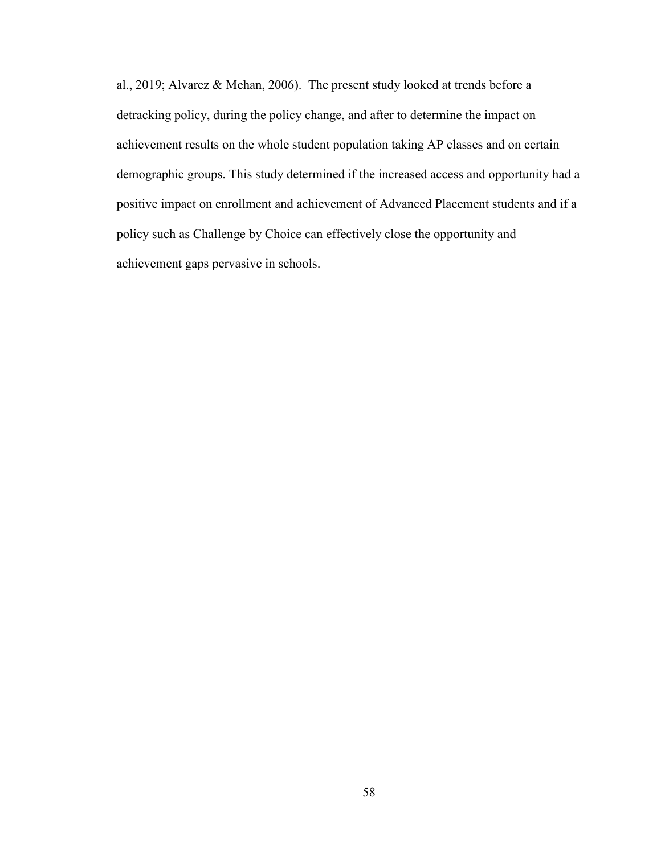al., 2019; Alvarez & Mehan, 2006). The present study looked at trends before a detracking policy, during the policy change, and after to determine the impact on achievement results on the whole student population taking AP classes and on certain demographic groups. This study determined if the increased access and opportunity had a positive impact on enrollment and achievement of Advanced Placement students and if a policy such as Challenge by Choice can effectively close the opportunity and achievement gaps pervasive in schools.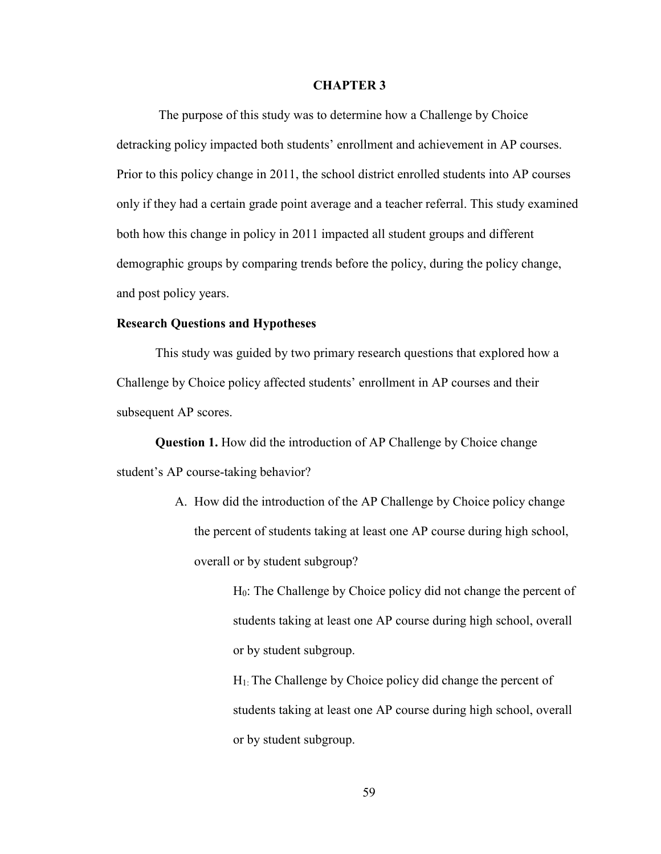### **CHAPTER 3**

 The purpose of this study was to determine how a Challenge by Choice detracking policy impacted both students' enrollment and achievement in AP courses. Prior to this policy change in 2011, the school district enrolled students into AP courses only if they had a certain grade point average and a teacher referral. This study examined both how this change in policy in 2011 impacted all student groups and different demographic groups by comparing trends before the policy, during the policy change, and post policy years.

## **Research Questions and Hypotheses**

This study was guided by two primary research questions that explored how a Challenge by Choice policy affected students' enrollment in AP courses and their subsequent AP scores.

**Question 1.** How did the introduction of AP Challenge by Choice change student's AP course-taking behavior?

> A. How did the introduction of the AP Challenge by Choice policy change the percent of students taking at least one AP course during high school, overall or by student subgroup?

> > H<sub>0</sub>: The Challenge by Choice policy did not change the percent of students taking at least one AP course during high school, overall or by student subgroup.

 $H<sub>1</sub>$ : The Challenge by Choice policy did change the percent of students taking at least one AP course during high school, overall or by student subgroup.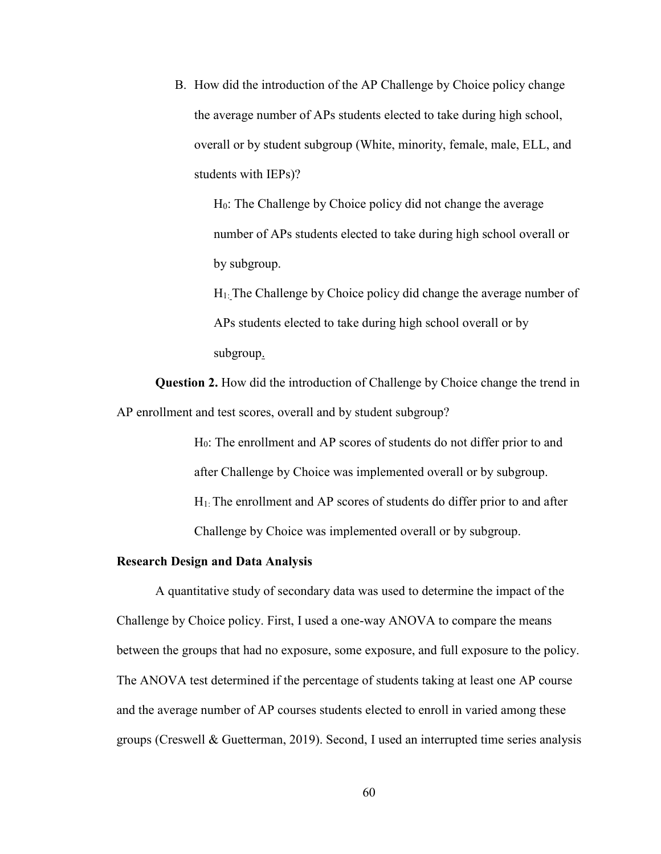B. How did the introduction of the AP Challenge by Choice policy change the average number of APs students elected to take during high school, overall or by student subgroup (White, minority, female, male, ELL, and students with IEPs)?

H0: The Challenge by Choice policy did not change the average number of APs students elected to take during high school overall or by subgroup.

 $H<sub>1</sub>$ : The Challenge by Choice policy did change the average number of APs students elected to take during high school overall or by subgroup.

**Question 2.** How did the introduction of Challenge by Choice change the trend in AP enrollment and test scores, overall and by student subgroup?

> H0: The enrollment and AP scores of students do not differ prior to and after Challenge by Choice was implemented overall or by subgroup. H1: The enrollment and AP scores of students do differ prior to and after Challenge by Choice was implemented overall or by subgroup.

#### **Research Design and Data Analysis**

A quantitative study of secondary data was used to determine the impact of the Challenge by Choice policy. First, I used a one-way ANOVA to compare the means between the groups that had no exposure, some exposure, and full exposure to the policy. The ANOVA test determined if the percentage of students taking at least one AP course and the average number of AP courses students elected to enroll in varied among these groups (Creswell & Guetterman, 2019). Second, I used an interrupted time series analysis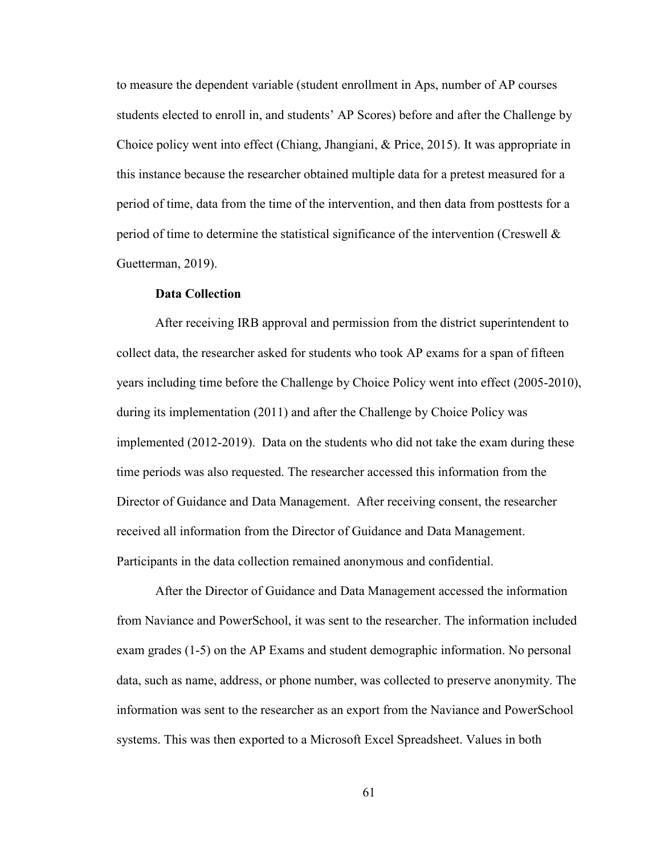to measure the dependent variable (student enrollment in Aps, number of AP courses students elected to enroll in, and students' AP Scores) before and after the Challenge by Choice policy went into effect (Chiang, Jhangiani, & Price, 2015). It was appropriate in this instance because the researcher obtained multiple data for a pretest measured for a period of time, data from the time of the intervention, and then data from posttests for a period of time to determine the statistical significance of the intervention (Creswell & Guetterman, 2019).

## **Data Collection**

After receiving IRB approval and permission from the district superintendent to collect data, the researcher asked for students who took AP exams for a span of fifteen years including time before the Challenge by Choice Policy went into effect (2005-2010), during its implementation (2011) and after the Challenge by Choice Policy was implemented (2012-2019). Data on the students who did not take the exam during these time periods was also requested. The researcher accessed this information from the Director of Guidance and Data Management. After receiving consent, the researcher received all information from the Director of Guidance and Data Management. Participants in the data collection remained anonymous and confidential.

After the Director of Guidance and Data Management accessed the information from Naviance and PowerSchool, it was sent to the researcher. The information included exam grades (1-5) on the AP Exams and student demographic information. No personal data, such as name, address, or phone number, was collected to preserve anonymity. The information was sent to the researcher as an export from the Naviance and PowerSchool systems. This was then exported to a Microsoft Excel Spreadsheet. Values in both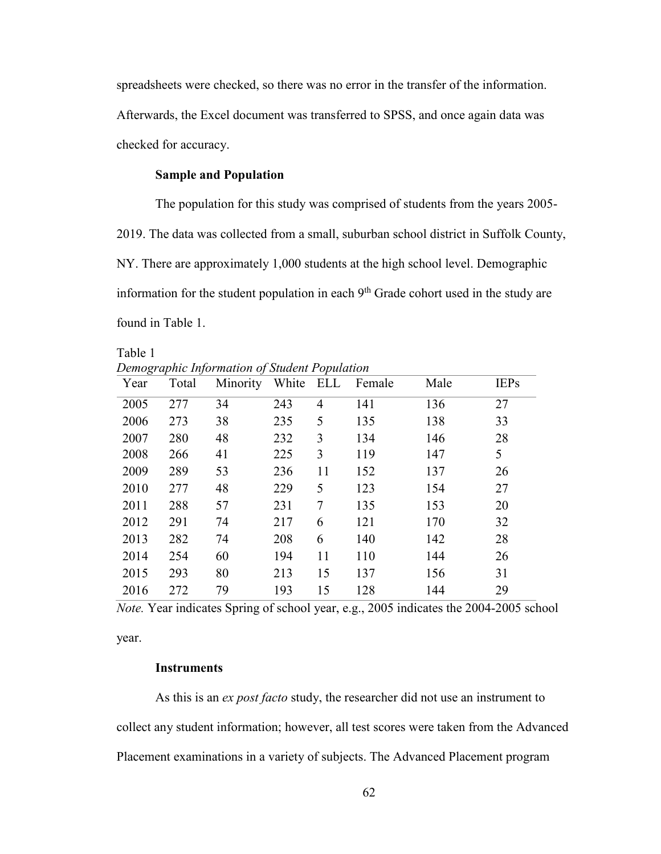spreadsheets were checked, so there was no error in the transfer of the information. Afterwards, the Excel document was transferred to SPSS, and once again data was checked for accuracy.

# **Sample and Population**

The population for this study was comprised of students from the years 2005- 2019. The data was collected from a small, suburban school district in Suffolk County, NY. There are approximately 1,000 students at the high school level. Demographic information for the student population in each  $9<sup>th</sup>$  Grade cohort used in the study are found in Table 1.

Table 1 *Demographic Information of Student Population* 

| ပ<br>Year | $\overline{ }$<br>◡<br>Total | ◡<br>Minority | White | x<br>ELL       | Female | Male | <b>IEPs</b> |
|-----------|------------------------------|---------------|-------|----------------|--------|------|-------------|
| 2005      | 277                          | 34            | 243   | $\overline{4}$ | 141    | 136  | 27          |
| 2006      | 273                          | 38            | 235   | 5              | 135    | 138  | 33          |
| 2007      | 280                          | 48            | 232   | 3              | 134    | 146  | 28          |
| 2008      | 266                          | 41            | 225   | 3              | 119    | 147  | 5           |
| 2009      | 289                          | 53            | 236   | 11             | 152    | 137  | 26          |
| 2010      | 277                          | 48            | 229   | 5              | 123    | 154  | 27          |
| 2011      | 288                          | 57            | 231   | 7              | 135    | 153  | 20          |
| 2012      | 291                          | 74            | 217   | 6              | 121    | 170  | 32          |
| 2013      | 282                          | 74            | 208   | 6              | 140    | 142  | 28          |
| 2014      | 254                          | 60            | 194   | 11             | 110    | 144  | 26          |
| 2015      | 293                          | 80            | 213   | 15             | 137    | 156  | 31          |
| 2016      | 272                          | 79            | 193   | 15             | 128    | 144  | 29          |

*Note.* Year indicates Spring of school year, e.g., 2005 indicates the 2004-2005 school

year.

## **Instruments**

As this is an *ex post facto* study, the researcher did not use an instrument to collect any student information; however, all test scores were taken from the Advanced Placement examinations in a variety of subjects. The Advanced Placement program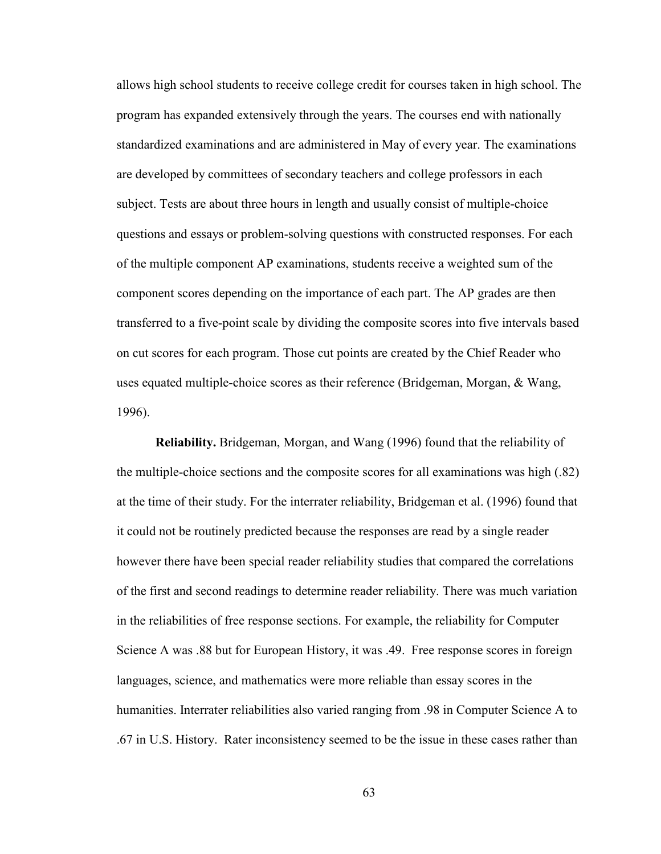allows high school students to receive college credit for courses taken in high school. The program has expanded extensively through the years. The courses end with nationally standardized examinations and are administered in May of every year. The examinations are developed by committees of secondary teachers and college professors in each subject. Tests are about three hours in length and usually consist of multiple-choice questions and essays or problem-solving questions with constructed responses. For each of the multiple component AP examinations, students receive a weighted sum of the component scores depending on the importance of each part. The AP grades are then transferred to a five-point scale by dividing the composite scores into five intervals based on cut scores for each program. Those cut points are created by the Chief Reader who uses equated multiple-choice scores as their reference (Bridgeman, Morgan, & Wang, 1996).

**Reliability.** Bridgeman, Morgan, and Wang (1996) found that the reliability of the multiple-choice sections and the composite scores for all examinations was high (.82) at the time of their study. For the interrater reliability, Bridgeman et al. (1996) found that it could not be routinely predicted because the responses are read by a single reader however there have been special reader reliability studies that compared the correlations of the first and second readings to determine reader reliability. There was much variation in the reliabilities of free response sections. For example, the reliability for Computer Science A was .88 but for European History, it was .49. Free response scores in foreign languages, science, and mathematics were more reliable than essay scores in the humanities. Interrater reliabilities also varied ranging from .98 in Computer Science A to .67 in U.S. History. Rater inconsistency seemed to be the issue in these cases rather than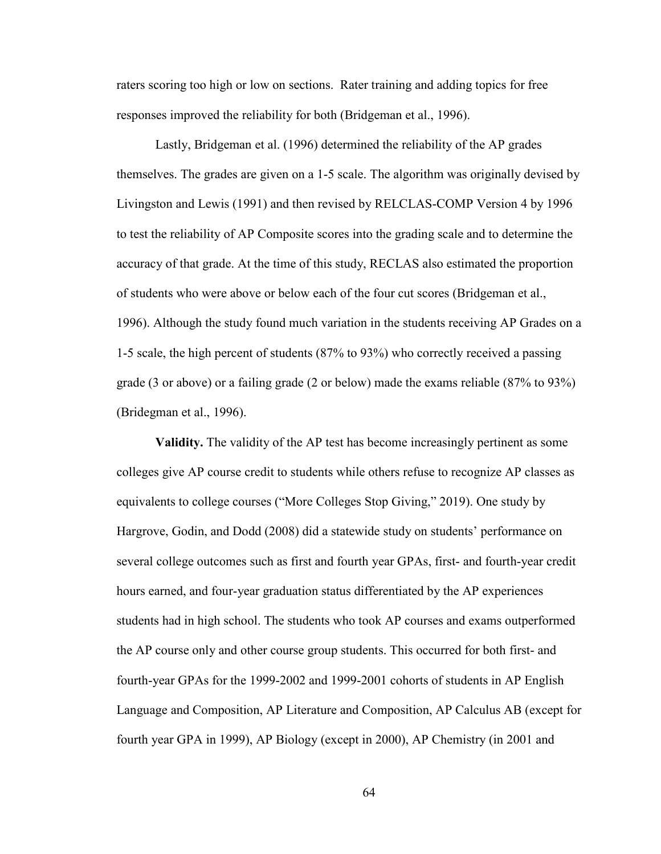raters scoring too high or low on sections. Rater training and adding topics for free responses improved the reliability for both (Bridgeman et al., 1996).

Lastly, Bridgeman et al. (1996) determined the reliability of the AP grades themselves. The grades are given on a 1-5 scale. The algorithm was originally devised by Livingston and Lewis (1991) and then revised by RELCLAS-COMP Version 4 by 1996 to test the reliability of AP Composite scores into the grading scale and to determine the accuracy of that grade. At the time of this study, RECLAS also estimated the proportion of students who were above or below each of the four cut scores (Bridgeman et al., 1996). Although the study found much variation in the students receiving AP Grades on a 1-5 scale, the high percent of students (87% to 93%) who correctly received a passing grade (3 or above) or a failing grade (2 or below) made the exams reliable (87% to 93%) (Bridegman et al., 1996).

**Validity.** The validity of the AP test has become increasingly pertinent as some colleges give AP course credit to students while others refuse to recognize AP classes as equivalents to college courses ("More Colleges Stop Giving," 2019). One study by Hargrove, Godin, and Dodd (2008) did a statewide study on students' performance on several college outcomes such as first and fourth year GPAs, first- and fourth-year credit hours earned, and four-year graduation status differentiated by the AP experiences students had in high school. The students who took AP courses and exams outperformed the AP course only and other course group students. This occurred for both first- and fourth-year GPAs for the 1999-2002 and 1999-2001 cohorts of students in AP English Language and Composition, AP Literature and Composition, AP Calculus AB (except for fourth year GPA in 1999), AP Biology (except in 2000), AP Chemistry (in 2001 and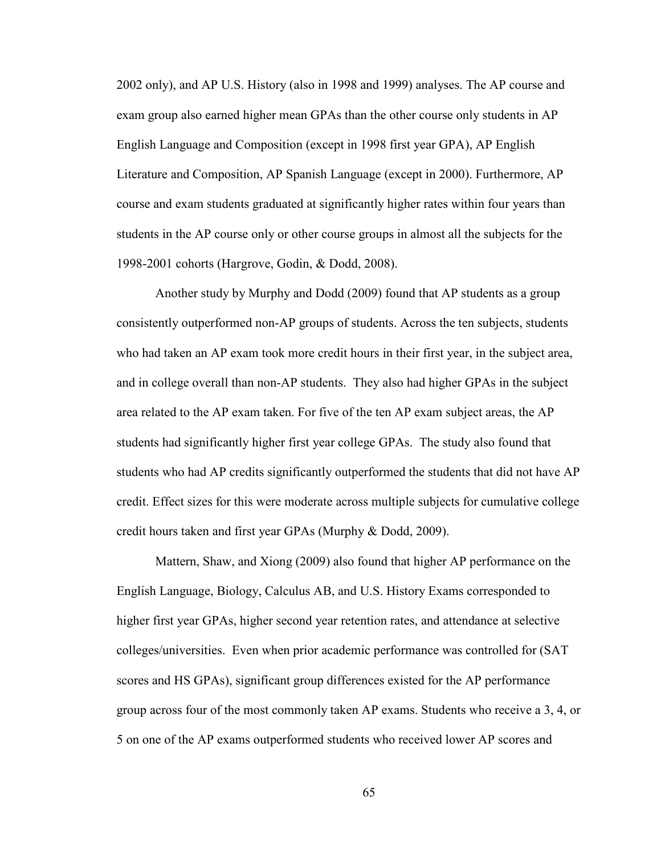2002 only), and AP U.S. History (also in 1998 and 1999) analyses. The AP course and exam group also earned higher mean GPAs than the other course only students in AP English Language and Composition (except in 1998 first year GPA), AP English Literature and Composition, AP Spanish Language (except in 2000). Furthermore, AP course and exam students graduated at significantly higher rates within four years than students in the AP course only or other course groups in almost all the subjects for the 1998-2001 cohorts (Hargrove, Godin, & Dodd, 2008).

Another study by Murphy and Dodd (2009) found that AP students as a group consistently outperformed non-AP groups of students. Across the ten subjects, students who had taken an AP exam took more credit hours in their first year, in the subject area, and in college overall than non-AP students. They also had higher GPAs in the subject area related to the AP exam taken. For five of the ten AP exam subject areas, the AP students had significantly higher first year college GPAs. The study also found that students who had AP credits significantly outperformed the students that did not have AP credit. Effect sizes for this were moderate across multiple subjects for cumulative college credit hours taken and first year GPAs (Murphy & Dodd, 2009).

Mattern, Shaw, and Xiong (2009) also found that higher AP performance on the English Language, Biology, Calculus AB, and U.S. History Exams corresponded to higher first year GPAs, higher second year retention rates, and attendance at selective colleges/universities. Even when prior academic performance was controlled for (SAT scores and HS GPAs), significant group differences existed for the AP performance group across four of the most commonly taken AP exams. Students who receive a 3, 4, or 5 on one of the AP exams outperformed students who received lower AP scores and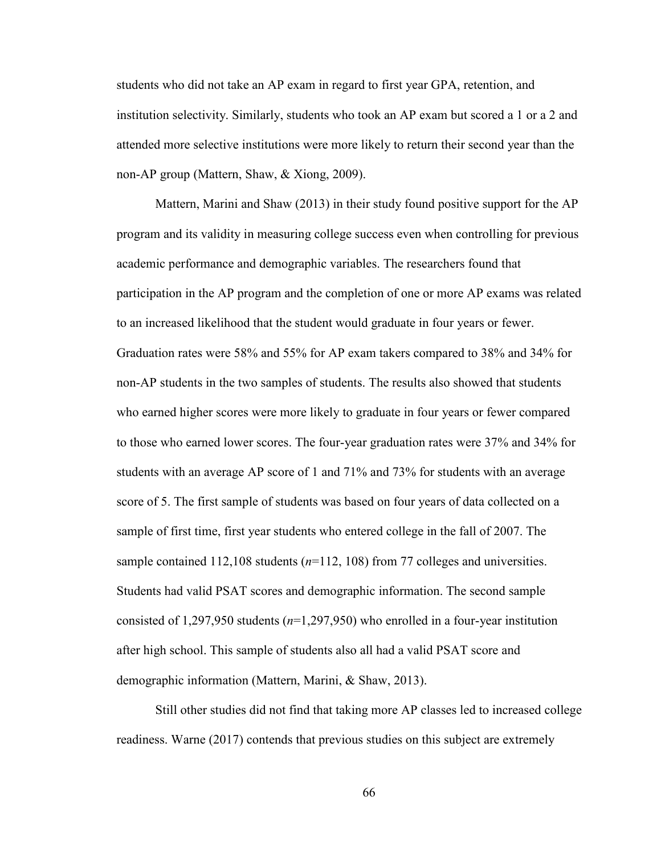students who did not take an AP exam in regard to first year GPA, retention, and institution selectivity. Similarly, students who took an AP exam but scored a 1 or a 2 and attended more selective institutions were more likely to return their second year than the non-AP group (Mattern, Shaw, & Xiong, 2009).

Mattern, Marini and Shaw (2013) in their study found positive support for the AP program and its validity in measuring college success even when controlling for previous academic performance and demographic variables. The researchers found that participation in the AP program and the completion of one or more AP exams was related to an increased likelihood that the student would graduate in four years or fewer. Graduation rates were 58% and 55% for AP exam takers compared to 38% and 34% for non-AP students in the two samples of students. The results also showed that students who earned higher scores were more likely to graduate in four years or fewer compared to those who earned lower scores. The four-year graduation rates were 37% and 34% for students with an average AP score of 1 and 71% and 73% for students with an average score of 5. The first sample of students was based on four years of data collected on a sample of first time, first year students who entered college in the fall of 2007. The sample contained 112,108 students (*n*=112, 108) from 77 colleges and universities. Students had valid PSAT scores and demographic information. The second sample consisted of 1,297,950 students (*n*=1,297,950) who enrolled in a four-year institution after high school. This sample of students also all had a valid PSAT score and demographic information (Mattern, Marini, & Shaw, 2013).

Still other studies did not find that taking more AP classes led to increased college readiness. Warne (2017) contends that previous studies on this subject are extremely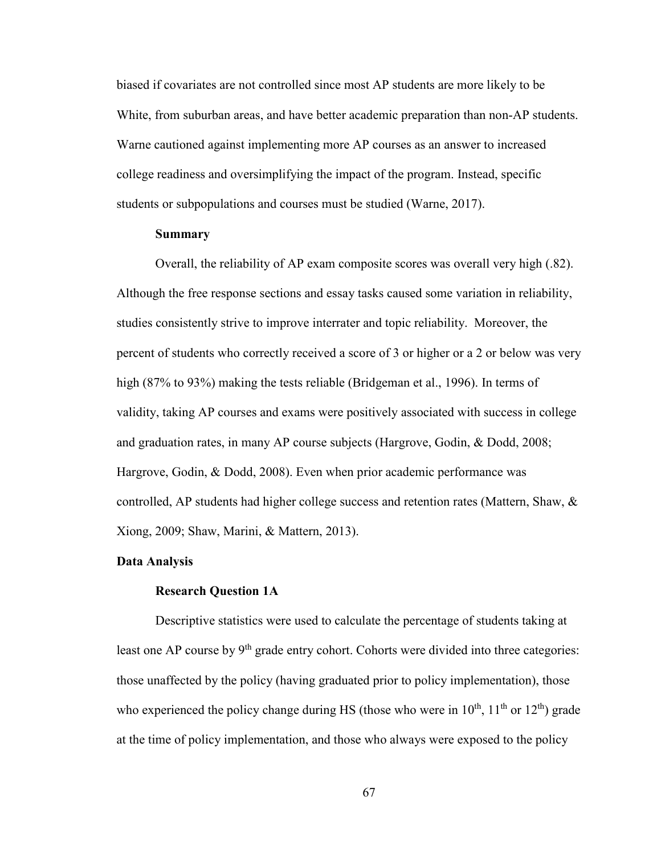biased if covariates are not controlled since most AP students are more likely to be White, from suburban areas, and have better academic preparation than non-AP students. Warne cautioned against implementing more AP courses as an answer to increased college readiness and oversimplifying the impact of the program. Instead, specific students or subpopulations and courses must be studied (Warne, 2017).

#### **Summary**

Overall, the reliability of AP exam composite scores was overall very high (.82). Although the free response sections and essay tasks caused some variation in reliability, studies consistently strive to improve interrater and topic reliability. Moreover, the percent of students who correctly received a score of 3 or higher or a 2 or below was very high (87% to 93%) making the tests reliable (Bridgeman et al., 1996). In terms of validity, taking AP courses and exams were positively associated with success in college and graduation rates, in many AP course subjects (Hargrove, Godin, & Dodd, 2008; Hargrove, Godin, & Dodd, 2008). Even when prior academic performance was controlled, AP students had higher college success and retention rates (Mattern, Shaw, & Xiong, 2009; Shaw, Marini, & Mattern, 2013).

#### **Data Analysis**

#### **Research Question 1A**

Descriptive statistics were used to calculate the percentage of students taking at least one AP course by  $9<sup>th</sup>$  grade entry cohort. Cohorts were divided into three categories: those unaffected by the policy (having graduated prior to policy implementation), those who experienced the policy change during HS (those who were in  $10^{th}$ ,  $11^{th}$  or  $12^{th}$ ) grade at the time of policy implementation, and those who always were exposed to the policy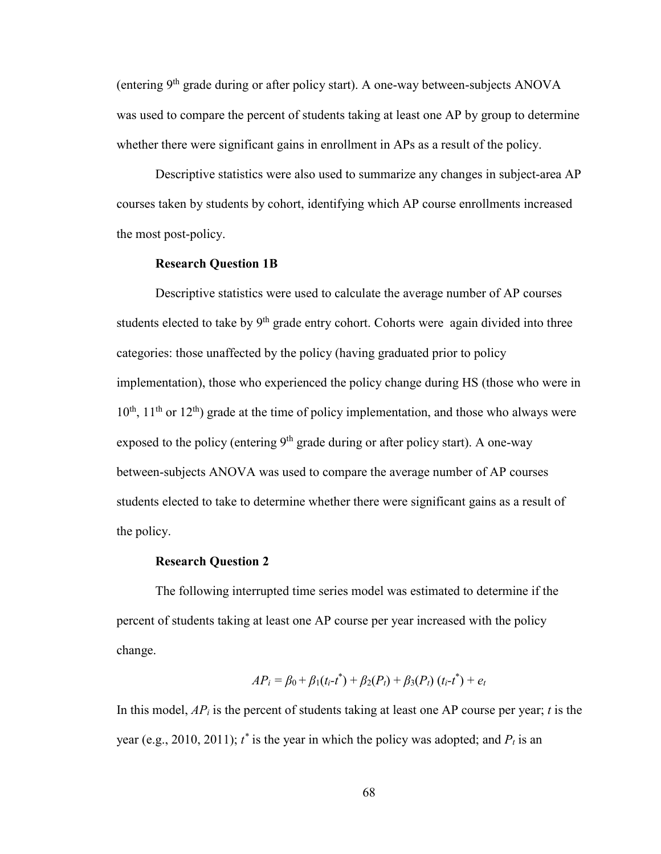(entering  $9<sup>th</sup>$  grade during or after policy start). A one-way between-subjects ANOVA was used to compare the percent of students taking at least one AP by group to determine whether there were significant gains in enrollment in APs as a result of the policy.

Descriptive statistics were also used to summarize any changes in subject-area AP courses taken by students by cohort, identifying which AP course enrollments increased the most post-policy.

#### **Research Question 1B**

Descriptive statistics were used to calculate the average number of AP courses students elected to take by  $9<sup>th</sup>$  grade entry cohort. Cohorts were again divided into three categories: those unaffected by the policy (having graduated prior to policy implementation), those who experienced the policy change during HS (those who were in  $10^{th}$ ,  $11^{th}$  or  $12^{th}$ ) grade at the time of policy implementation, and those who always were exposed to the policy (entering  $9<sup>th</sup>$  grade during or after policy start). A one-way between-subjects ANOVA was used to compare the average number of AP courses students elected to take to determine whether there were significant gains as a result of the policy.

#### **Research Question 2**

The following interrupted time series model was estimated to determine if the percent of students taking at least one AP course per year increased with the policy change.

$$
AP_i = \beta_0 + \beta_1(t_i - t^*) + \beta_2(P_t) + \beta_3(P_t) (t_i - t^*) + e_t
$$

In this model, *APi* is the percent of students taking at least one AP course per year; *t* is the year (e.g., 2010, 2011);  $t^*$  is the year in which the policy was adopted; and  $P_t$  is an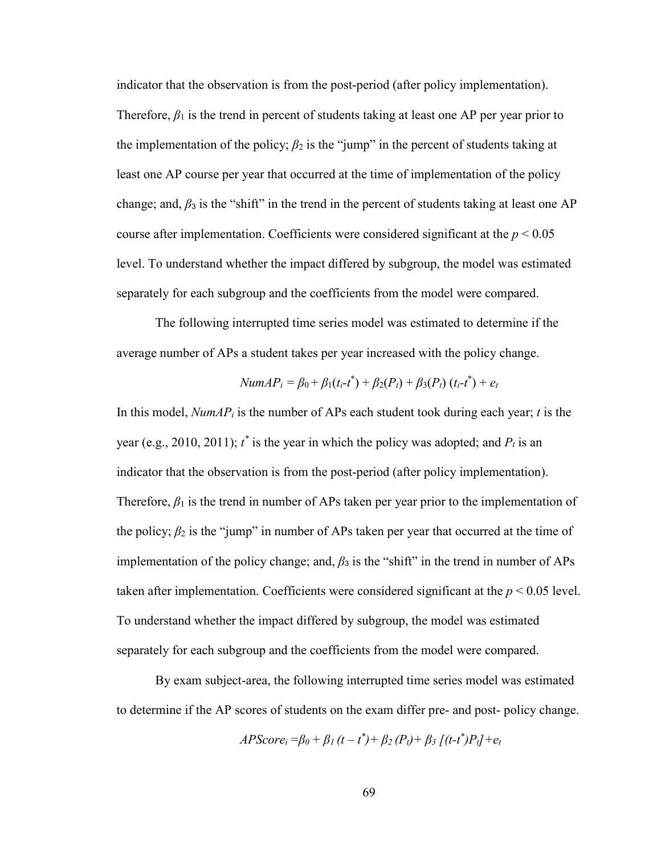indicator that the observation is from the post-period (after policy implementation). Therefore,  $\beta_1$  is the trend in percent of students taking at least one AP per year prior to the implementation of the policy;  $\beta_2$  is the "jump" in the percent of students taking at least one AP course per year that occurred at the time of implementation of the policy change; and,  $\beta_3$  is the "shift" in the trend in the percent of students taking at least one AP course after implementation. Coefficients were considered significant at the  $p < 0.05$ level. To understand whether the impact differed by subgroup, the model was estimated separately for each subgroup and the coefficients from the model were compared.

The following interrupted time series model was estimated to determine if the average number of APs a student takes per year increased with the policy change.

$$
NumAP_i = \beta_0 + \beta_1(t_i-t^*) + \beta_2(P_t) + \beta_3(P_t) (t_i-t^*) + e_t
$$

In this model, *NumAPi* is the number of APs each student took during each year; *t* is the year (e.g., 2010, 2011);  $t^*$  is the year in which the policy was adopted; and  $P_t$  is an indicator that the observation is from the post-period (after policy implementation). Therefore,  $\beta_1$  is the trend in number of APs taken per year prior to the implementation of the policy;  $\beta_2$  is the "jump" in number of APs taken per year that occurred at the time of implementation of the policy change; and,  $\beta_3$  is the "shift" in the trend in number of APs taken after implementation. Coefficients were considered significant at the  $p < 0.05$  level. To understand whether the impact differed by subgroup, the model was estimated separately for each subgroup and the coefficients from the model were compared.

By exam subject-area, the following interrupted time series model was estimated to determine if the AP scores of students on the exam differ pre- and post- policy change.

$$
APScore_i = \beta_0 + \beta_1(t - t^*) + \beta_2(P_t) + \beta_3[(t - t^*)P_t] + e_t
$$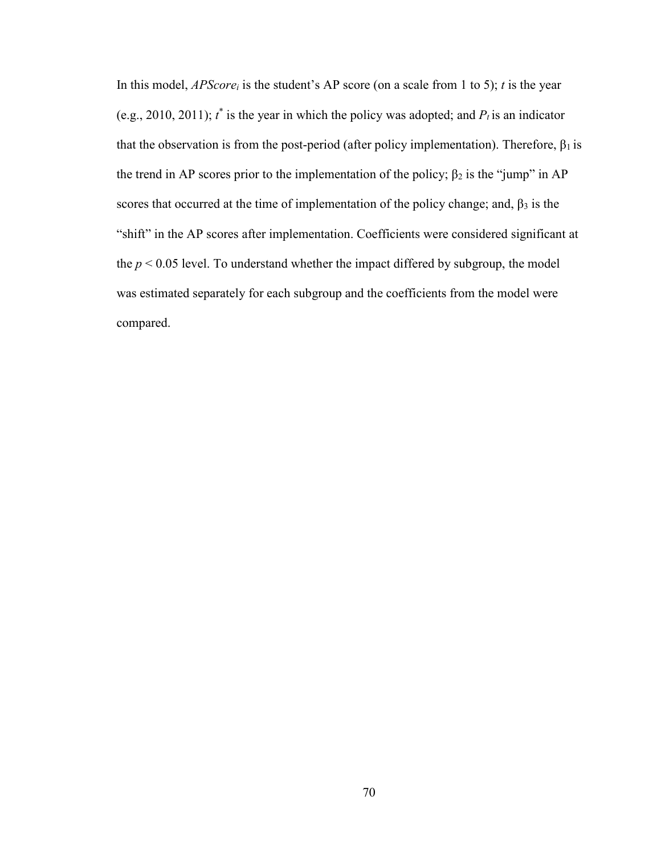In this model, *APScorei* is the student's AP score (on a scale from 1 to 5); *t* is the year (e.g., 2010, 2011);  $t^*$  is the year in which the policy was adopted; and  $P_t$  is an indicator that the observation is from the post-period (after policy implementation). Therefore,  $\beta_1$  is the trend in AP scores prior to the implementation of the policy;  $\beta_2$  is the "jump" in AP scores that occurred at the time of implementation of the policy change; and,  $\beta_3$  is the "shift" in the AP scores after implementation. Coefficients were considered significant at the  $p < 0.05$  level. To understand whether the impact differed by subgroup, the model was estimated separately for each subgroup and the coefficients from the model were compared.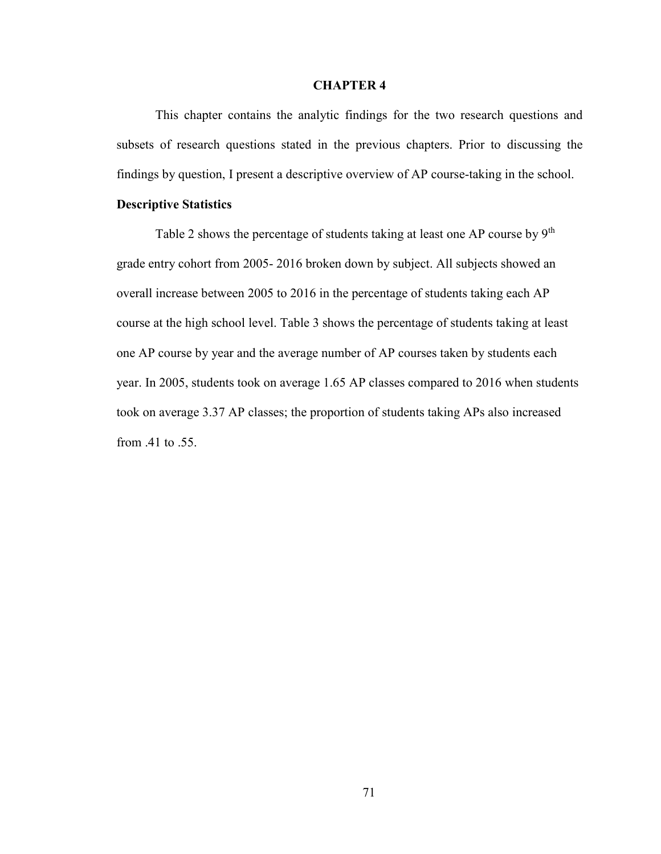#### **CHAPTER 4**

This chapter contains the analytic findings for the two research questions and subsets of research questions stated in the previous chapters. Prior to discussing the findings by question, I present a descriptive overview of AP course-taking in the school.

#### **Descriptive Statistics**

Table 2 shows the percentage of students taking at least one AP course by  $9<sup>th</sup>$ grade entry cohort from 2005- 2016 broken down by subject. All subjects showed an overall increase between 2005 to 2016 in the percentage of students taking each AP course at the high school level. Table 3 shows the percentage of students taking at least one AP course by year and the average number of AP courses taken by students each year. In 2005, students took on average 1.65 AP classes compared to 2016 when students took on average 3.37 AP classes; the proportion of students taking APs also increased from .41 to .55.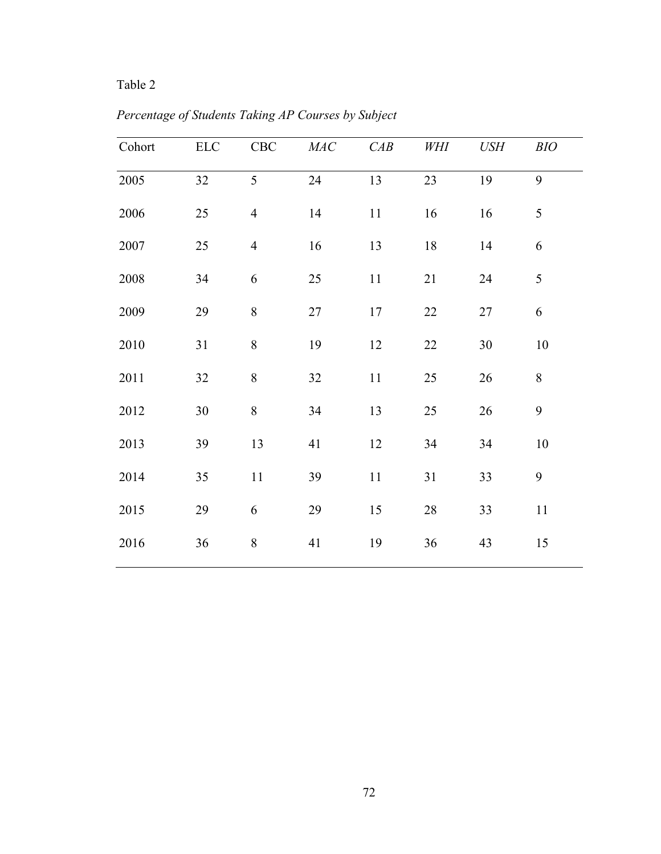# Table 2

| Cohort | ${\rm ELC}$ | ${\rm CBC}$    | $\cal{M}\!A\cal{C}$ | CAB | WHI    | <b>USH</b> | BIO    |
|--------|-------------|----------------|---------------------|-----|--------|------------|--------|
| 2005   | 32          | 5              | 24                  | 13  | 23     | 19         | 9      |
| 2006   | 25          | $\overline{4}$ | 14                  | 11  | 16     | 16         | 5      |
| 2007   | 25          | $\overline{4}$ | 16                  | 13  | 18     | 14         | 6      |
| 2008   | 34          | 6              | 25                  | 11  | 21     | 24         | 5      |
| 2009   | 29          | $\,8\,$        | 27                  | 17  | 22     | $27\,$     | 6      |
| 2010   | 31          | $8\,$          | 19                  | 12  | $22\,$ | $30\,$     | 10     |
| 2011   | 32          | $8\,$          | 32                  | 11  | 25     | 26         | 8      |
| 2012   | $30\,$      | $8\,$          | 34                  | 13  | $25\,$ | 26         | 9      |
| 2013   | 39          | 13             | 41                  | 12  | 34     | 34         | $10\,$ |
| 2014   | 35          | $11\,$         | 39                  | 11  | 31     | 33         | 9      |
| 2015   | 29          | 6              | 29                  | 15  | $28\,$ | 33         | 11     |
| 2016   | 36          | $8\,$          | 41                  | 19  | 36     | 43         | 15     |

*Percentage of Students Taking AP Courses by Subject*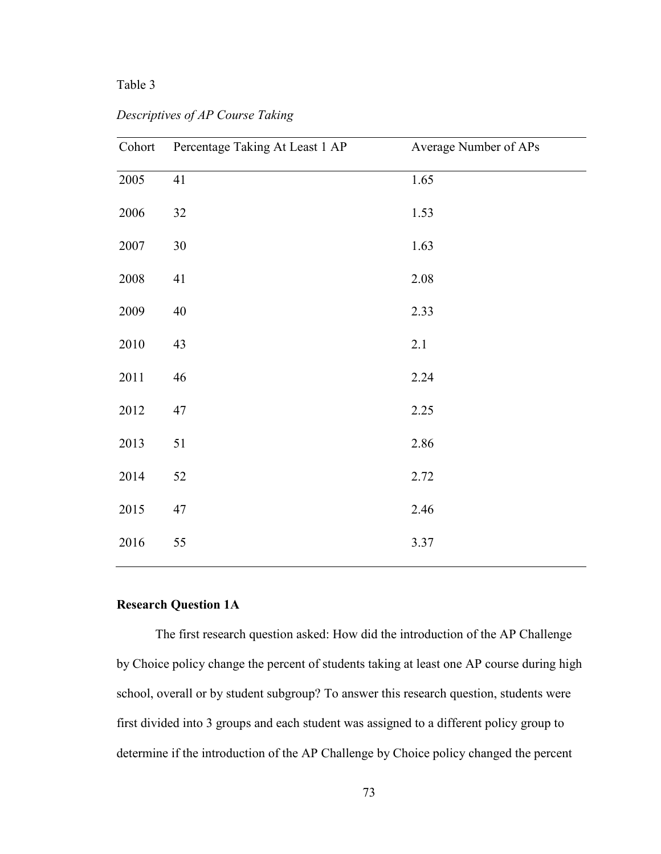### Table 3

| Cohort   | Percentage Taking At Least 1 AP | Average Number of APs |
|----------|---------------------------------|-----------------------|
| 2005     | 41                              | 1.65                  |
| 2006     | 32                              | 1.53                  |
| $2007\,$ | $30\,$                          | 1.63                  |
| $2008\,$ | 41                              | 2.08                  |
| 2009     | 40                              | 2.33                  |
| 2010     | 43                              | 2.1                   |
| 2011     | 46                              | 2.24                  |
| 2012     | 47                              | 2.25                  |
| 2013     | 51                              | 2.86                  |
| 2014     | 52                              | 2.72                  |
| 2015     | 47                              | 2.46                  |
| 2016     | 55                              | 3.37                  |

*Descriptives of AP Course Taking* 

## **Research Question 1A**

The first research question asked: How did the introduction of the AP Challenge by Choice policy change the percent of students taking at least one AP course during high school, overall or by student subgroup? To answer this research question, students were first divided into 3 groups and each student was assigned to a different policy group to determine if the introduction of the AP Challenge by Choice policy changed the percent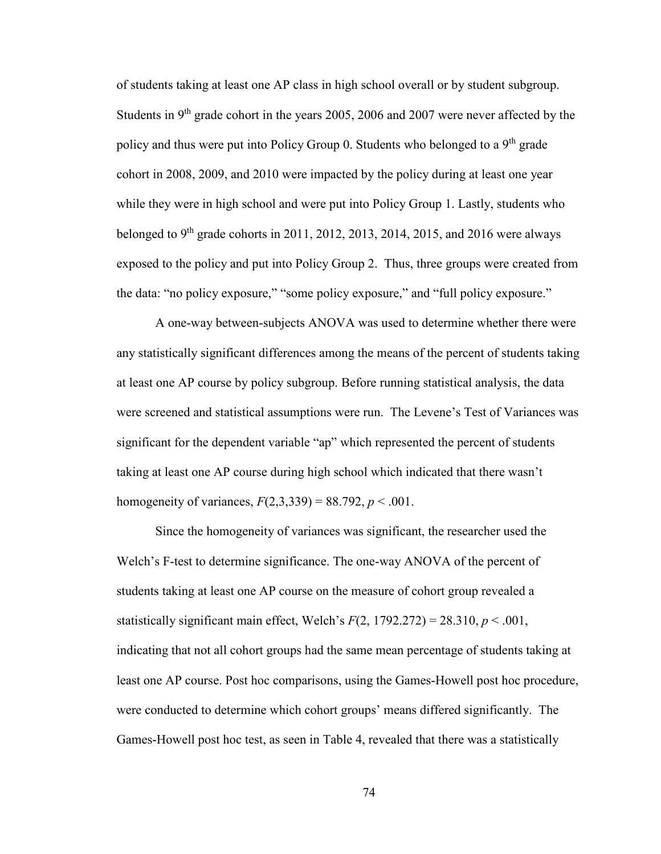of students taking at least one AP class in high school overall or by student subgroup. Students in  $9<sup>th</sup>$  grade cohort in the years 2005, 2006 and 2007 were never affected by the policy and thus were put into Policy Group 0. Students who belonged to a 9<sup>th</sup> grade cohort in 2008, 2009, and 2010 were impacted by the policy during at least one year while they were in high school and were put into Policy Group 1. Lastly, students who belonged to  $9<sup>th</sup>$  grade cohorts in 2011, 2012, 2013, 2014, 2015, and 2016 were always exposed to the policy and put into Policy Group 2. Thus, three groups were created from the data: "no policy exposure," "some policy exposure," and "full policy exposure."

A one-way between-subjects ANOVA was used to determine whether there were any statistically significant differences among the means of the percent of students taking at least one AP course by policy subgroup. Before running statistical analysis, the data were screened and statistical assumptions were run. The Levene's Test of Variances was significant for the dependent variable "ap" which represented the percent of students taking at least one AP course during high school which indicated that there wasn't homogeneity of variances,  $F(2,3,339) = 88.792$ ,  $p < .001$ .

Since the homogeneity of variances was significant, the researcher used the Welch's F-test to determine significance. The one-way ANOVA of the percent of students taking at least one AP course on the measure of cohort group revealed a statistically significant main effect, Welch's  $F(2, 1792.272) = 28.310, p < .001$ , indicating that not all cohort groups had the same mean percentage of students taking at least one AP course. Post hoc comparisons, using the Games-Howell post hoc procedure, were conducted to determine which cohort groups' means differed significantly. The Games-Howell post hoc test, as seen in Table 4, revealed that there was a statistically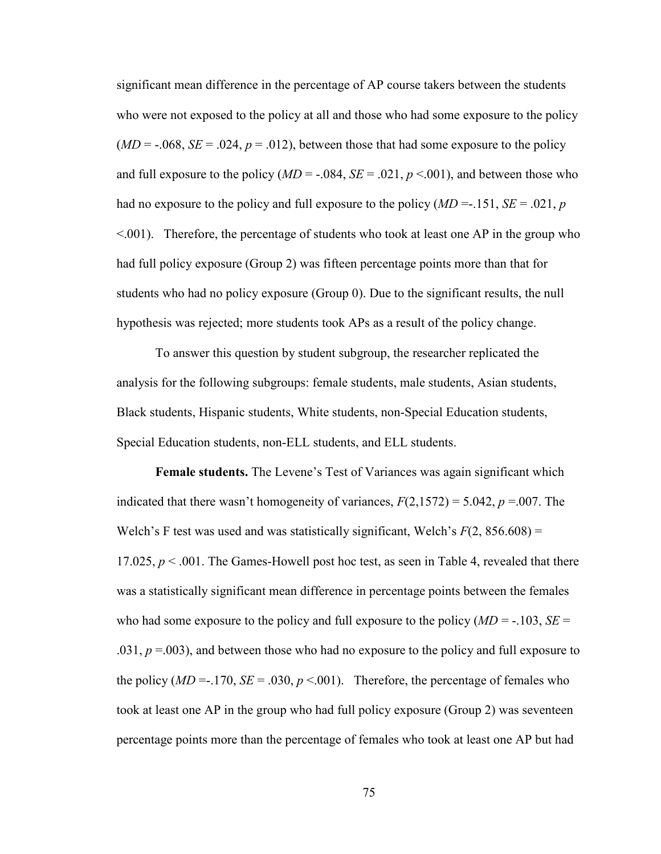significant mean difference in the percentage of AP course takers between the students who were not exposed to the policy at all and those who had some exposure to the policy  $(MD = -0.068, SE = 0.024, p = 0.012)$ , between those that had some exposure to the policy and full exposure to the policy  $(MD = -0.084, SE = .021, p < .001)$ , and between those who had no exposure to the policy and full exposure to the policy (*MD* =-.151, *SE* = .021, *p*  $\leq 0.001$ ). Therefore, the percentage of students who took at least one AP in the group who had full policy exposure (Group 2) was fifteen percentage points more than that for students who had no policy exposure (Group 0). Due to the significant results, the null hypothesis was rejected; more students took APs as a result of the policy change.

To answer this question by student subgroup, the researcher replicated the analysis for the following subgroups: female students, male students, Asian students, Black students, Hispanic students, White students, non-Special Education students, Special Education students, non-ELL students, and ELL students.

**Female students.** The Levene's Test of Variances was again significant which indicated that there wasn't homogeneity of variances,  $F(2,1572) = 5.042$ ,  $p = .007$ . The Welch's F test was used and was statistically significant, Welch's  $F(2, 856.608) =$ 17.025, *p* < .001. The Games-Howell post hoc test, as seen in Table 4, revealed that there was a statistically significant mean difference in percentage points between the females who had some exposure to the policy and full exposure to the policy  $(MD = -103, SE =$  $(0.031, p = 0.003)$ , and between those who had no exposure to the policy and full exposure to the policy  $(MD = -170, SE = .030, p < .001)$ . Therefore, the percentage of females who took at least one AP in the group who had full policy exposure (Group 2) was seventeen percentage points more than the percentage of females who took at least one AP but had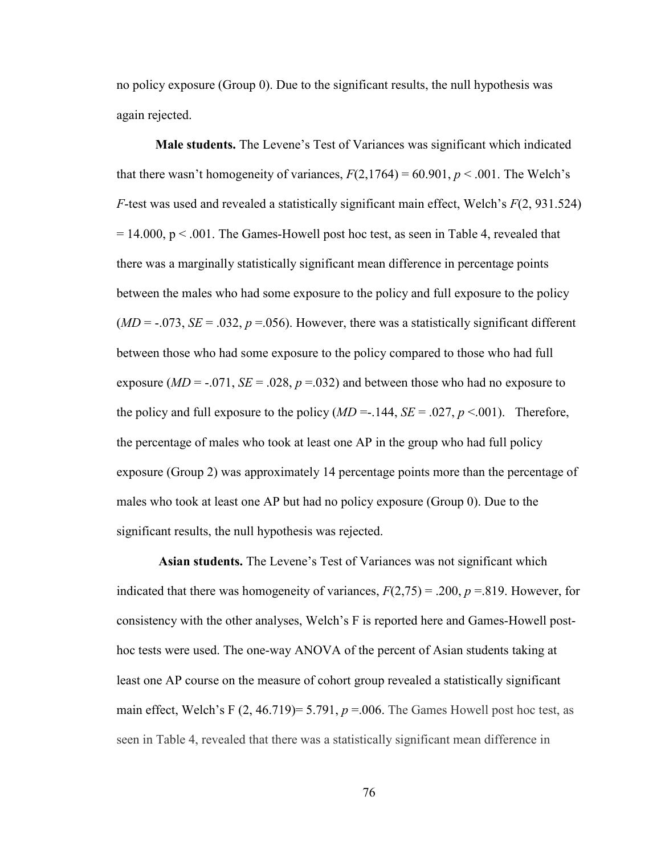no policy exposure (Group 0). Due to the significant results, the null hypothesis was again rejected.

**Male students.** The Levene's Test of Variances was significant which indicated that there wasn't homogeneity of variances,  $F(2,1764) = 60.901$ ,  $p < .001$ . The Welch's *F*-test was used and revealed a statistically significant main effect, Welch's *F*(2, 931.524)  $= 14.000$ ,  $p < .001$ . The Games-Howell post hoc test, as seen in Table 4, revealed that there was a marginally statistically significant mean difference in percentage points between the males who had some exposure to the policy and full exposure to the policy  $(MD = -0.073, SE = 0.032, p = 0.056)$ . However, there was a statistically significant different between those who had some exposure to the policy compared to those who had full exposure  $(MD = -0.071, SE = 0.028, p = 0.032)$  and between those who had no exposure to the policy and full exposure to the policy  $(MD = .144, SE = .027, p < .001)$ . Therefore, the percentage of males who took at least one AP in the group who had full policy exposure (Group 2) was approximately 14 percentage points more than the percentage of males who took at least one AP but had no policy exposure (Group 0). Due to the significant results, the null hypothesis was rejected.

**Asian students.** The Levene's Test of Variances was not significant which indicated that there was homogeneity of variances,  $F(2,75) = .200$ ,  $p = .819$ . However, for consistency with the other analyses, Welch's F is reported here and Games-Howell posthoc tests were used. The one-way ANOVA of the percent of Asian students taking at least one AP course on the measure of cohort group revealed a statistically significant main effect, Welch's F  $(2, 46.719) = 5.791$ ,  $p = 0.006$ . The Games Howell post hoc test, as seen in Table 4, revealed that there was a statistically significant mean difference in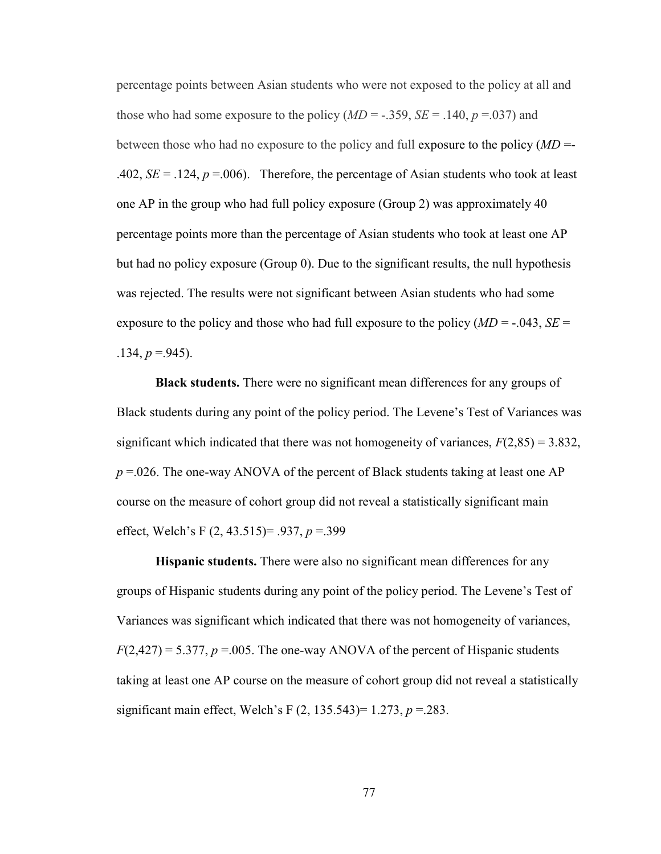percentage points between Asian students who were not exposed to the policy at all and those who had some exposure to the policy  $(MD = -.359, SE = .140, p = .037)$  and between those who had no exposure to the policy and full exposure to the policy (*MD* =- .402,  $SE = .124$ ,  $p = .006$ ). Therefore, the percentage of Asian students who took at least one AP in the group who had full policy exposure (Group 2) was approximately 40 percentage points more than the percentage of Asian students who took at least one AP but had no policy exposure (Group 0). Due to the significant results, the null hypothesis was rejected. The results were not significant between Asian students who had some exposure to the policy and those who had full exposure to the policy  $(MD = -0.043, SE =$  $.134, p = .945$ ).

**Black students.** There were no significant mean differences for any groups of Black students during any point of the policy period. The Levene's Test of Variances was significant which indicated that there was not homogeneity of variances,  $F(2,85) = 3.832$ ,  $p = 0.026$ . The one-way ANOVA of the percent of Black students taking at least one AP course on the measure of cohort group did not reveal a statistically significant main effect, Welch's F (2, 43.515)= .937, *p* =.399

**Hispanic students.** There were also no significant mean differences for any groups of Hispanic students during any point of the policy period. The Levene's Test of Variances was significant which indicated that there was not homogeneity of variances,  $F(2,427) = 5.377$ ,  $p = .005$ . The one-way ANOVA of the percent of Hispanic students taking at least one AP course on the measure of cohort group did not reveal a statistically significant main effect, Welch's F (2, 135.543)= 1.273, *p* =.283.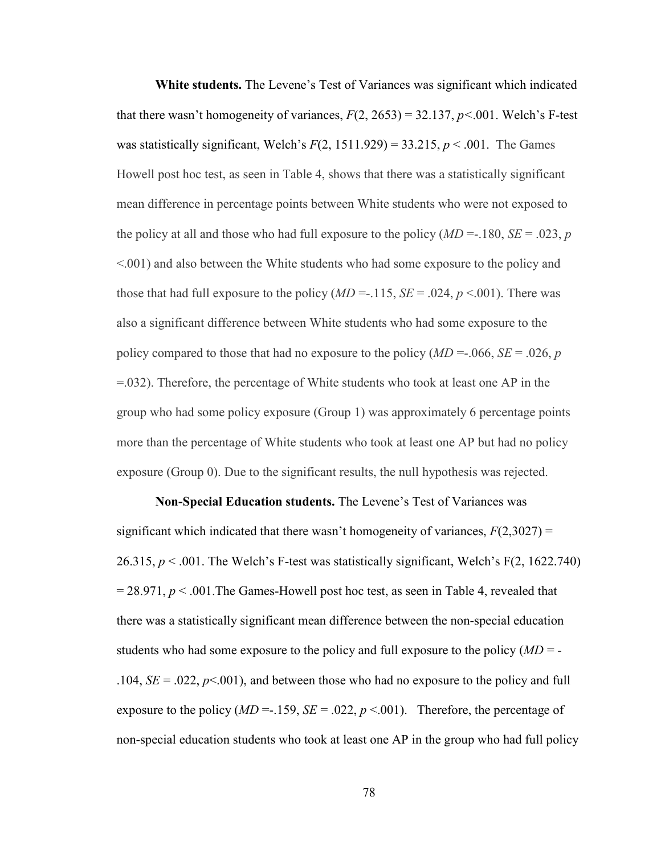**White students.** The Levene's Test of Variances was significant which indicated that there wasn't homogeneity of variances,  $F(2, 2653) = 32.137$ ,  $p < .001$ . Welch's F-test was statistically significant, Welch's  $F(2, 1511.929) = 33.215$ ,  $p < .001$ . The Games Howell post hoc test, as seen in Table 4, shows that there was a statistically significant mean difference in percentage points between White students who were not exposed to the policy at all and those who had full exposure to the policy  $(MD = -180, SE = .023, p$ <.001) and also between the White students who had some exposure to the policy and those that had full exposure to the policy  $(MD = -115, SE = .024, p < .001)$ . There was also a significant difference between White students who had some exposure to the policy compared to those that had no exposure to the policy  $(MD = 0.066, SE = 0.026, p)$ =.032). Therefore, the percentage of White students who took at least one AP in the group who had some policy exposure (Group 1) was approximately 6 percentage points more than the percentage of White students who took at least one AP but had no policy exposure (Group 0). Due to the significant results, the null hypothesis was rejected.

**Non-Special Education students.** The Levene's Test of Variances was significant which indicated that there wasn't homogeneity of variances,  $F(2,3027) =$ 26.315,  $p < .001$ . The Welch's F-test was statistically significant, Welch's F(2, 1622.740)  $= 28.971, p \le 0.001$ . The Games-Howell post hoc test, as seen in Table 4, revealed that there was a statistically significant mean difference between the non-special education students who had some exposure to the policy and full exposure to the policy (*MD* = - .104,  $SE = .022$ ,  $p \le 0.001$ ), and between those who had no exposure to the policy and full exposure to the policy ( $MD = -.159$ ,  $SE = .022$ ,  $p < .001$ ). Therefore, the percentage of non-special education students who took at least one AP in the group who had full policy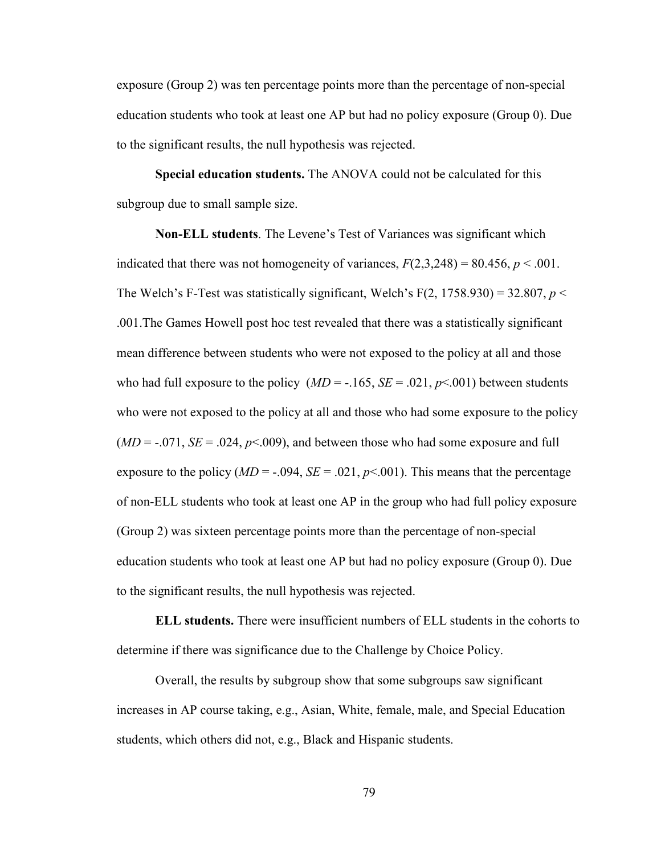exposure (Group 2) was ten percentage points more than the percentage of non-special education students who took at least one AP but had no policy exposure (Group 0). Due to the significant results, the null hypothesis was rejected.

**Special education students.** The ANOVA could not be calculated for this subgroup due to small sample size.

**Non-ELL students**. The Levene's Test of Variances was significant which indicated that there was not homogeneity of variances,  $F(2,3,248) = 80.456$ ,  $p < .001$ . The Welch's F-Test was statistically significant, Welch's F $(2, 1758.930) = 32.807$ ,  $p <$ .001.The Games Howell post hoc test revealed that there was a statistically significant mean difference between students who were not exposed to the policy at all and those who had full exposure to the policy  $(MD = -.165, SE = .021, p < .001)$  between students who were not exposed to the policy at all and those who had some exposure to the policy  $(MD = -0.071, SE = 0.024, p < 0.009)$ , and between those who had some exposure and full exposure to the policy  $(MD = -0.094, SE = 0.021, p < 0.001)$ . This means that the percentage of non-ELL students who took at least one AP in the group who had full policy exposure (Group 2) was sixteen percentage points more than the percentage of non-special education students who took at least one AP but had no policy exposure (Group 0). Due to the significant results, the null hypothesis was rejected.

**ELL students.** There were insufficient numbers of ELL students in the cohorts to determine if there was significance due to the Challenge by Choice Policy.

Overall, the results by subgroup show that some subgroups saw significant increases in AP course taking, e.g., Asian, White, female, male, and Special Education students, which others did not, e.g., Black and Hispanic students.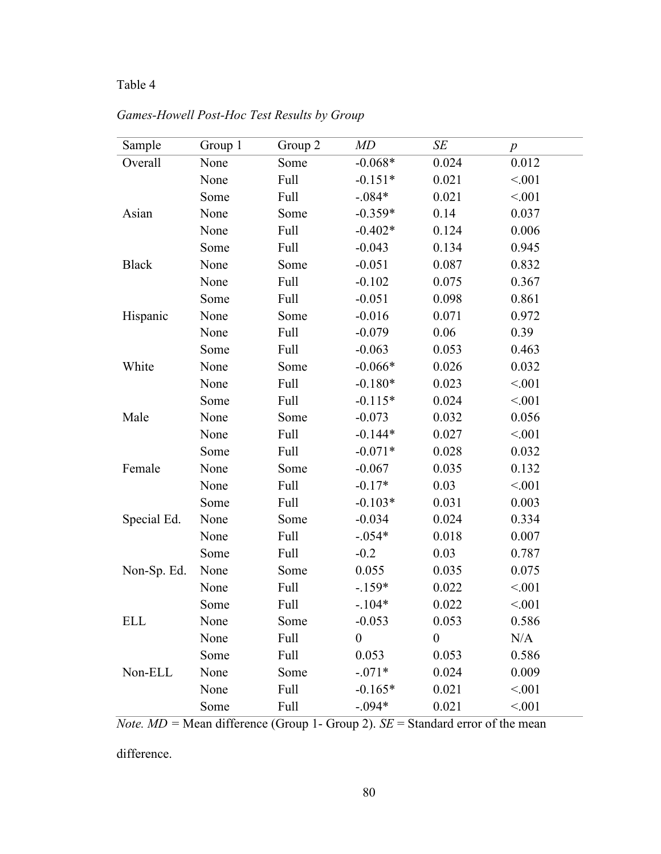## Table 4

| Sample       | Group 1 | Group 2     | MD               | SE               | $\boldsymbol{p}$ |
|--------------|---------|-------------|------------------|------------------|------------------|
| Overall      | None    | Some        | $-0.068*$        | 0.024            | 0.012            |
|              | None    | Full        | $-0.151*$        | 0.021            | < 0.01           |
|              | Some    | Full        | $-.084*$         | 0.021            | < 0.01           |
| Asian        | None    | Some        | $-0.359*$        | 0.14             | 0.037            |
|              | None    | Full        | $-0.402*$        | 0.124            | 0.006            |
|              | Some    | Full        | $-0.043$         | 0.134            | 0.945            |
| <b>Black</b> | None    | Some        | $-0.051$         | 0.087            | 0.832            |
|              | None    | Full        | $-0.102$         | 0.075            | 0.367            |
|              | Some    | Full        | $-0.051$         | 0.098            | 0.861            |
| Hispanic     | None    | Some        | $-0.016$         | 0.071            | 0.972            |
|              | None    | Full        | $-0.079$         | 0.06             | 0.39             |
|              | Some    | Full        | $-0.063$         | 0.053            | 0.463            |
| White        | None    | Some        | $-0.066*$        | 0.026            | 0.032            |
|              | None    | Full        | $-0.180*$        | 0.023            | < 0.01           |
|              | Some    | Full        | $-0.115*$        | 0.024            | < 0.01           |
| Male         | None    | Some        | $-0.073$         | 0.032            | 0.056            |
|              | None    | Full        | $-0.144*$        | 0.027            | < 0.01           |
|              | Some    | Full        | $-0.071*$        | 0.028            | 0.032            |
| Female       | None    | Some        | $-0.067$         | 0.035            | 0.132            |
|              | None    | Full        | $-0.17*$         | 0.03             | < 0.01           |
|              | Some    | Full        | $-0.103*$        | 0.031            | 0.003            |
| Special Ed.  | None    | Some        | $-0.034$         | 0.024            | 0.334            |
|              | None    | Full        | $-.054*$         | 0.018            | 0.007            |
|              | Some    | Full        | $-0.2$           | 0.03             | 0.787            |
| Non-Sp. Ed.  | None    | Some        | 0.055            | 0.035            | 0.075            |
|              | None    | Full        | $-.159*$         | 0.022            | < 0.01           |
|              | Some    | <b>Full</b> | $-.104*$         | 0.022            | < 0.01           |
| <b>ELL</b>   | None    | Some        | $-0.053$         | 0.053            | 0.586            |
|              | None    | <b>Full</b> | $\boldsymbol{0}$ | $\boldsymbol{0}$ | N/A              |
|              | Some    | Full        | 0.053            | 0.053            | 0.586            |
| Non-ELL      | None    | Some        | $-.071*$         | 0.024            | 0.009            |
|              | None    | Full        | $-0.165*$        | 0.021            | < 001            |
|              | Some    | Full        | $-.094*$         | 0.021            | < 0.01           |

*Games-Howell Post-Hoc Test Results by Group* 

*Note.*  $MD =$  Mean difference (Group 1- Group 2).  $SE =$  Standard error of the mean

difference.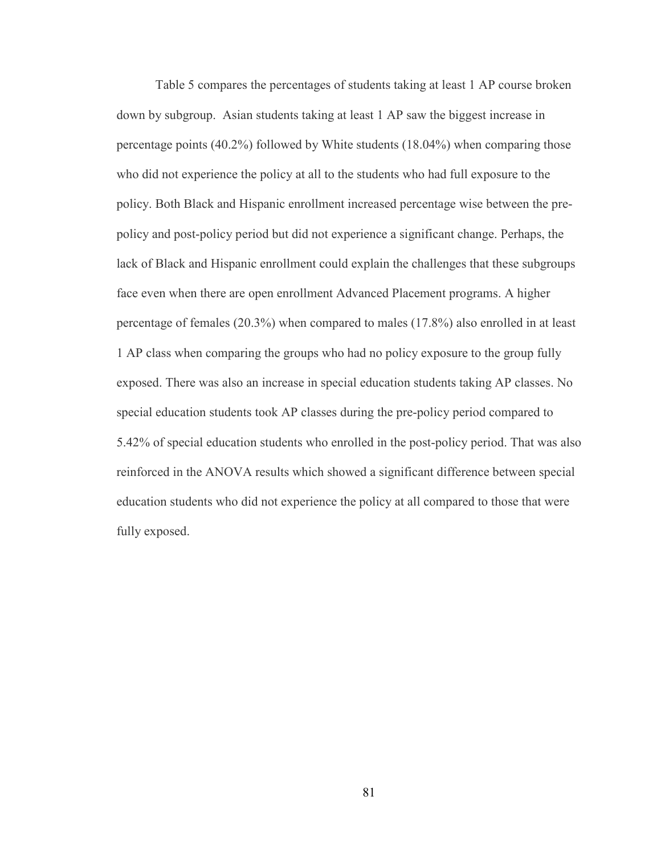Table 5 compares the percentages of students taking at least 1 AP course broken down by subgroup. Asian students taking at least 1 AP saw the biggest increase in percentage points (40.2%) followed by White students (18.04%) when comparing those who did not experience the policy at all to the students who had full exposure to the policy. Both Black and Hispanic enrollment increased percentage wise between the prepolicy and post-policy period but did not experience a significant change. Perhaps, the lack of Black and Hispanic enrollment could explain the challenges that these subgroups face even when there are open enrollment Advanced Placement programs. A higher percentage of females (20.3%) when compared to males (17.8%) also enrolled in at least 1 AP class when comparing the groups who had no policy exposure to the group fully exposed. There was also an increase in special education students taking AP classes. No special education students took AP classes during the pre-policy period compared to 5.42% of special education students who enrolled in the post-policy period. That was also reinforced in the ANOVA results which showed a significant difference between special education students who did not experience the policy at all compared to those that were fully exposed.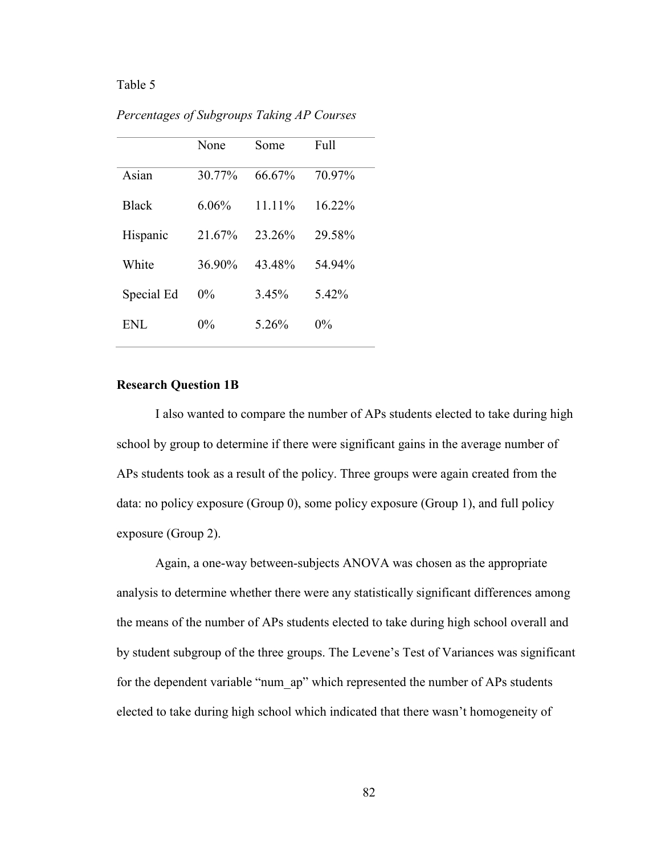#### Table 5

|              | None     | Some   | Full   |
|--------------|----------|--------|--------|
| Asian        | 30.77%   | 66.67% | 70.97% |
| <b>Black</b> | $6.06\%$ | 11.11% | 16.22% |
| Hispanic     | 21.67%   | 23.26% | 29.58% |
| White        | 36.90%   | 43.48% | 54.94% |
| Special Ed   | $0\%$    | 3.45%  | 5.42%  |
| <b>ENL</b>   | $0\%$    | 5.26%  | $0\%$  |

*Percentages of Subgroups Taking AP Courses* 

#### **Research Question 1B**

I also wanted to compare the number of APs students elected to take during high school by group to determine if there were significant gains in the average number of APs students took as a result of the policy. Three groups were again created from the data: no policy exposure (Group 0), some policy exposure (Group 1), and full policy exposure (Group 2).

Again, a one-way between-subjects ANOVA was chosen as the appropriate analysis to determine whether there were any statistically significant differences among the means of the number of APs students elected to take during high school overall and by student subgroup of the three groups. The Levene's Test of Variances was significant for the dependent variable "num\_ap" which represented the number of APs students elected to take during high school which indicated that there wasn't homogeneity of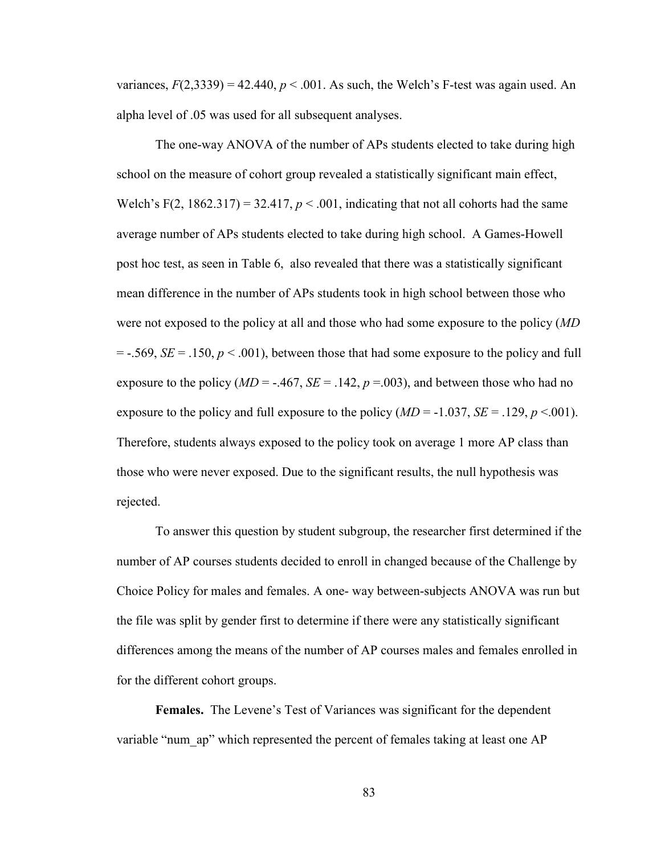variances,  $F(2,3339) = 42.440$ ,  $p < .001$ . As such, the Welch's F-test was again used. An alpha level of .05 was used for all subsequent analyses.

The one-way ANOVA of the number of APs students elected to take during high school on the measure of cohort group revealed a statistically significant main effect, Welch's F(2,  $1862.317$ ) =  $32.417$ ,  $p < .001$ , indicating that not all cohorts had the same average number of APs students elected to take during high school. A Games-Howell post hoc test, as seen in Table 6, also revealed that there was a statistically significant mean difference in the number of APs students took in high school between those who were not exposed to the policy at all and those who had some exposure to the policy (*MD*  $=$  -.569, *SE* = .150,  $p < .001$ , between those that had some exposure to the policy and full exposure to the policy ( $MD = -.467$ ,  $SE = .142$ ,  $p = .003$ ), and between those who had no exposure to the policy and full exposure to the policy  $(MD = -1.037, SE = .129, p < .001)$ . Therefore, students always exposed to the policy took on average 1 more AP class than those who were never exposed. Due to the significant results, the null hypothesis was rejected.

To answer this question by student subgroup, the researcher first determined if the number of AP courses students decided to enroll in changed because of the Challenge by Choice Policy for males and females. A one- way between-subjects ANOVA was run but the file was split by gender first to determine if there were any statistically significant differences among the means of the number of AP courses males and females enrolled in for the different cohort groups.

**Females.** The Levene's Test of Variances was significant for the dependent variable "num ap" which represented the percent of females taking at least one AP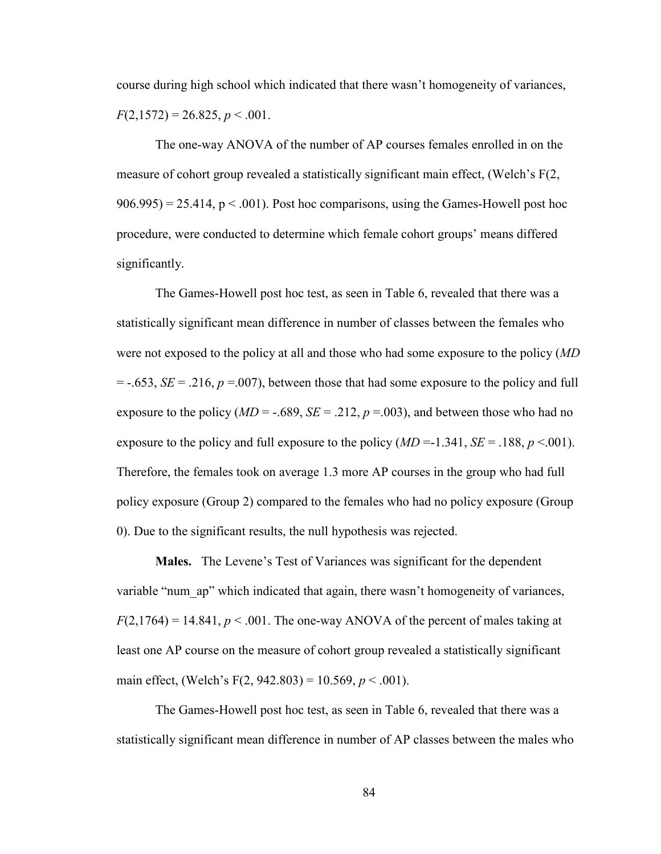course during high school which indicated that there wasn't homogeneity of variances,  $F(2,1572) = 26.825, p < .001.$ 

The one-way ANOVA of the number of AP courses females enrolled in on the measure of cohort group revealed a statistically significant main effect, (Welch's F(2,  $906.995$  = 25.414, p < .001). Post hoc comparisons, using the Games-Howell post hoc procedure, were conducted to determine which female cohort groups' means differed significantly.

The Games-Howell post hoc test, as seen in Table 6, revealed that there was a statistically significant mean difference in number of classes between the females who were not exposed to the policy at all and those who had some exposure to the policy (*MD*  $=$  -.653, *SE* = .216, *p* = .007), between those that had some exposure to the policy and full exposure to the policy ( $MD = -.689$ ,  $SE = .212$ ,  $p = .003$ ), and between those who had no exposure to the policy and full exposure to the policy  $(MD = -1.341, SE = .188, p < .001)$ . Therefore, the females took on average 1.3 more AP courses in the group who had full policy exposure (Group 2) compared to the females who had no policy exposure (Group 0). Due to the significant results, the null hypothesis was rejected.

**Males.** The Levene's Test of Variances was significant for the dependent variable "num ap" which indicated that again, there wasn't homogeneity of variances,  $F(2,1764) = 14.841$ ,  $p < .001$ . The one-way ANOVA of the percent of males taking at least one AP course on the measure of cohort group revealed a statistically significant main effect, (Welch's F(2, 942.803) = 10.569, *p* < .001).

The Games-Howell post hoc test, as seen in Table 6, revealed that there was a statistically significant mean difference in number of AP classes between the males who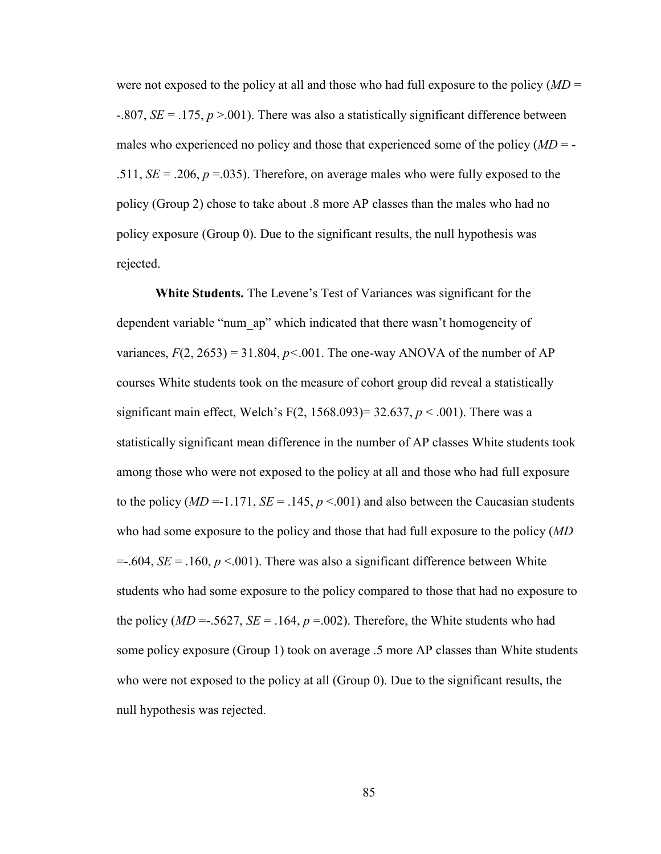were not exposed to the policy at all and those who had full exposure to the policy (*MD* = -.807, *SE* = .175, *p* >.001). There was also a statistically significant difference between males who experienced no policy and those that experienced some of the policy (*MD* = - .511,  $SE = .206$ ,  $p = .035$ ). Therefore, on average males who were fully exposed to the policy (Group 2) chose to take about .8 more AP classes than the males who had no policy exposure (Group 0). Due to the significant results, the null hypothesis was rejected.

**White Students.** The Levene's Test of Variances was significant for the dependent variable "num\_ap" which indicated that there wasn't homogeneity of variances,  $F(2, 2653) = 31.804$ ,  $p < .001$ . The one-way ANOVA of the number of AP courses White students took on the measure of cohort group did reveal a statistically significant main effect, Welch's F(2, 1568.093)=  $32.637$ ,  $p < .001$ ). There was a statistically significant mean difference in the number of AP classes White students took among those who were not exposed to the policy at all and those who had full exposure to the policy ( $MD = -1.171$ ,  $SE = .145$ ,  $p < .001$ ) and also between the Caucasian students who had some exposure to the policy and those that had full exposure to the policy (*MD*  $=$ -.604, *SE* = .160,  $p$  <.001). There was also a significant difference between White students who had some exposure to the policy compared to those that had no exposure to the policy ( $MD = .5627$ ,  $SE = .164$ ,  $p = .002$ ). Therefore, the White students who had some policy exposure (Group 1) took on average .5 more AP classes than White students who were not exposed to the policy at all (Group 0). Due to the significant results, the null hypothesis was rejected.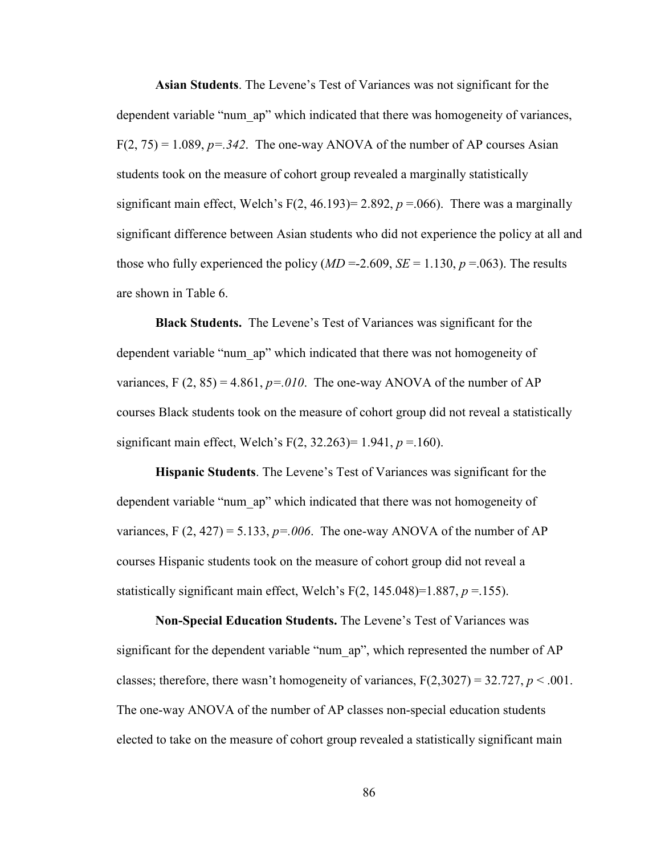**Asian Students**. The Levene's Test of Variances was not significant for the dependent variable "num\_ap" which indicated that there was homogeneity of variances,  $F(2, 75) = 1.089$ ,  $p = 0.342$ . The one-way ANOVA of the number of AP courses Asian students took on the measure of cohort group revealed a marginally statistically significant main effect, Welch's  $F(2, 46.193) = 2.892$ ,  $p = .066$ ). There was a marginally significant difference between Asian students who did not experience the policy at all and those who fully experienced the policy  $(MD = 2.609, SE = 1.130, p = .063)$ . The results are shown in Table 6.

**Black Students.** The Levene's Test of Variances was significant for the dependent variable "num\_ap" which indicated that there was not homogeneity of variances,  $F(2, 85) = 4.861$ ,  $p = 010$ . The one-way ANOVA of the number of AP courses Black students took on the measure of cohort group did not reveal a statistically significant main effect, Welch's F(2, 32.263)= 1.941, *p* =.160).

**Hispanic Students**. The Levene's Test of Variances was significant for the dependent variable "num\_ap" which indicated that there was not homogeneity of variances, F  $(2, 427) = 5.133$ ,  $p = 0.006$ . The one-way ANOVA of the number of AP courses Hispanic students took on the measure of cohort group did not reveal a statistically significant main effect, Welch's  $F(2, 145.048)=1.887, p = 155$ ).

**Non-Special Education Students.** The Levene's Test of Variances was significant for the dependent variable "num\_ap", which represented the number of AP classes; therefore, there wasn't homogeneity of variances,  $F(2,3027) = 32.727$ ,  $p < .001$ . The one-way ANOVA of the number of AP classes non-special education students elected to take on the measure of cohort group revealed a statistically significant main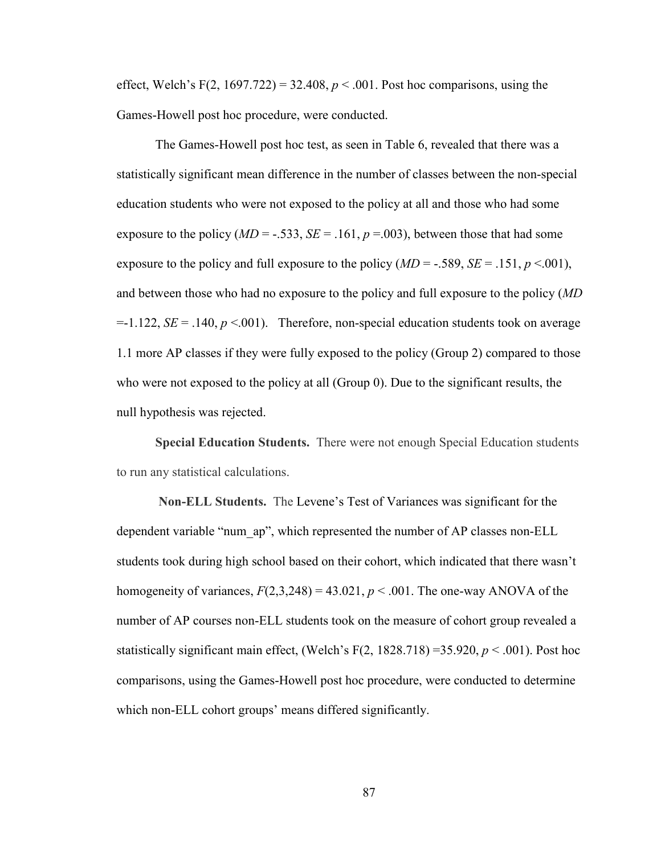effect, Welch's F(2, 1697.722) = 32.408,  $p < .001$ . Post hoc comparisons, using the Games-Howell post hoc procedure, were conducted.

The Games-Howell post hoc test, as seen in Table 6, revealed that there was a statistically significant mean difference in the number of classes between the non-special education students who were not exposed to the policy at all and those who had some exposure to the policy ( $MD = -.533$ ,  $SE = .161$ ,  $p = .003$ ), between those that had some exposure to the policy and full exposure to the policy (*MD* = -.589, *SE* = .151, *p* <.001), and between those who had no exposure to the policy and full exposure to the policy (*MD*  $=1.122$ , *SE* = .140, *p* <.001). Therefore, non-special education students took on average 1.1 more AP classes if they were fully exposed to the policy (Group 2) compared to those who were not exposed to the policy at all (Group 0). Due to the significant results, the null hypothesis was rejected.

**Special Education Students.** There were not enough Special Education students to run any statistical calculations.

**Non-ELL Students.** The Levene's Test of Variances was significant for the dependent variable "num\_ap", which represented the number of AP classes non-ELL students took during high school based on their cohort, which indicated that there wasn't homogeneity of variances,  $F(2,3,248) = 43.021$ ,  $p < .001$ . The one-way ANOVA of the number of AP courses non-ELL students took on the measure of cohort group revealed a statistically significant main effect, (Welch's F $(2, 1828.718) = 35.920, p < .001$ ). Post hoc comparisons, using the Games-Howell post hoc procedure, were conducted to determine which non-ELL cohort groups' means differed significantly.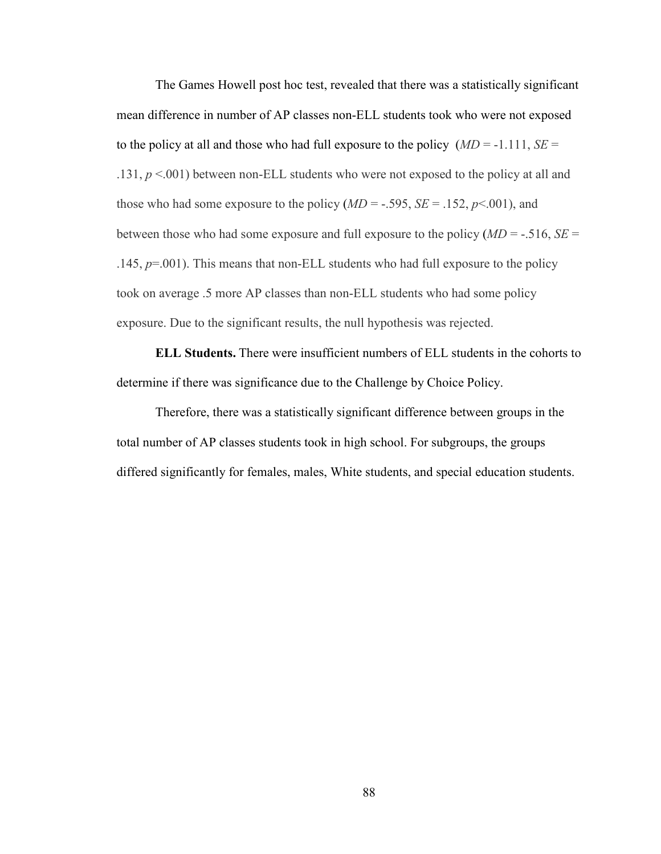The Games Howell post hoc test, revealed that there was a statistically significant mean difference in number of AP classes non-ELL students took who were not exposed to the policy at all and those who had full exposure to the policy  $(MD = -1.111, SE =$ .131, *p* <.001) between non-ELL students who were not exposed to the policy at all and those who had some exposure to the policy  $(MD = -.595, SE = .152, p < .001)$ , and between those who had some exposure and full exposure to the policy (*MD* = -.516, *SE* = .145, *p*=.001). This means that non-ELL students who had full exposure to the policy took on average .5 more AP classes than non-ELL students who had some policy exposure. Due to the significant results, the null hypothesis was rejected.

**ELL Students.** There were insufficient numbers of ELL students in the cohorts to determine if there was significance due to the Challenge by Choice Policy.

Therefore, there was a statistically significant difference between groups in the total number of AP classes students took in high school. For subgroups, the groups differed significantly for females, males, White students, and special education students.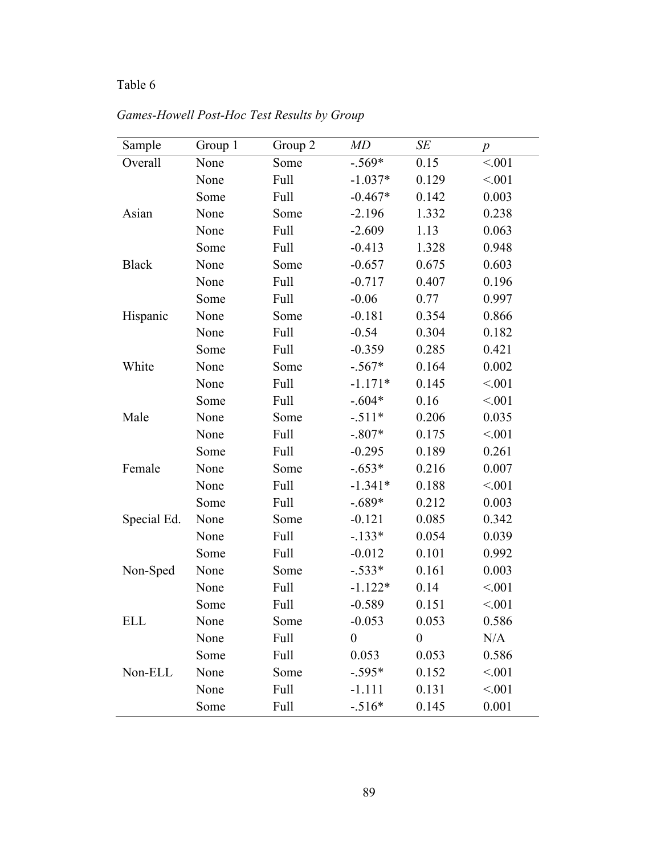# Table 6

| Sample       | Group 1 | Group 2 | MD               | $\cal SE$      | $\boldsymbol{p}$ |
|--------------|---------|---------|------------------|----------------|------------------|
| Overall      | None    | Some    | $-.569*$         | 0.15           | < .001           |
|              | None    | Full    | $-1.037*$        | 0.129          | < 0.01           |
|              | Some    | Full    | $-0.467*$        | 0.142          | 0.003            |
| Asian        | None    | Some    | $-2.196$         | 1.332          | 0.238            |
|              | None    | Full    | $-2.609$         | 1.13           | 0.063            |
|              | Some    | Full    | $-0.413$         | 1.328          | 0.948            |
| <b>Black</b> | None    | Some    | $-0.657$         | 0.675          | 0.603            |
|              | None    | Full    | $-0.717$         | 0.407          | 0.196            |
|              | Some    | Full    | $-0.06$          | 0.77           | 0.997            |
| Hispanic     | None    | Some    | $-0.181$         | 0.354          | 0.866            |
|              | None    | Full    | $-0.54$          | 0.304          | 0.182            |
|              | Some    | Full    | $-0.359$         | 0.285          | 0.421            |
| White        | None    | Some    | $-.567*$         | 0.164          | 0.002            |
|              | None    | Full    | $-1.171*$        | 0.145          | < 0.01           |
|              | Some    | Full    | $-.604*$         | 0.16           | < 0.01           |
| Male         | None    | Some    | $-.511*$         | 0.206          | 0.035            |
|              | None    | Full    | $-.807*$         | 0.175          | < 0.01           |
|              | Some    | Full    | $-0.295$         | 0.189          | 0.261            |
| Female       | None    | Some    | $-.653*$         | 0.216          | 0.007            |
|              | None    | Full    | $-1.341*$        | 0.188          | < 0.01           |
|              | Some    | Full    | $-.689*$         | 0.212          | 0.003            |
| Special Ed.  | None    | Some    | $-0.121$         | 0.085          | 0.342            |
|              | None    | Full    | $-.133*$         | 0.054          | 0.039            |
|              | Some    | Full    | $-0.012$         | 0.101          | 0.992            |
| Non-Sped     | None    | Some    | $-.533*$         | 0.161          | 0.003            |
|              | None    | Full    | $-1.122*$        | 0.14           | < 0.01           |
|              | Some    | Full    | $-0.589$         | 0.151          | < 0.01           |
| <b>ELL</b>   | None    | Some    | $-0.053$         | 0.053          | 0.586            |
|              | None    | Full    | $\boldsymbol{0}$ | $\overline{0}$ | N/A              |
|              | Some    | Full    | 0.053            | 0.053          | 0.586            |
| Non-ELL      | None    | Some    | $-.595*$         | 0.152          | < 0.001          |
|              | None    | Full    | $-1.111$         | 0.131          | < 0.01           |
|              | Some    | Full    | $-.516*$         | 0.145          | 0.001            |

*Games-Howell Post-Hoc Test Results by Group*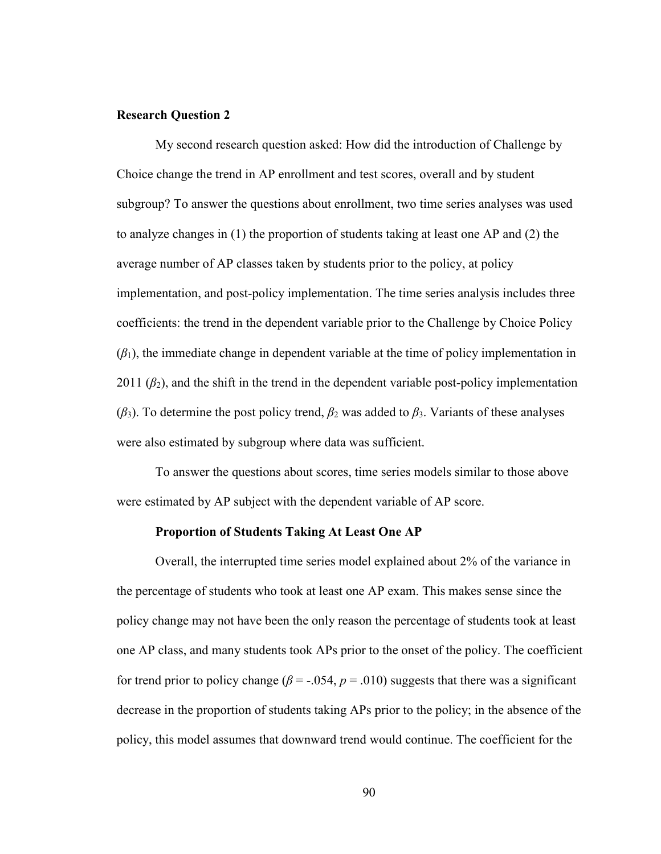#### **Research Question 2**

My second research question asked: How did the introduction of Challenge by Choice change the trend in AP enrollment and test scores, overall and by student subgroup? To answer the questions about enrollment, two time series analyses was used to analyze changes in (1) the proportion of students taking at least one AP and (2) the average number of AP classes taken by students prior to the policy, at policy implementation, and post-policy implementation. The time series analysis includes three coefficients: the trend in the dependent variable prior to the Challenge by Choice Policy  $(\beta_1)$ , the immediate change in dependent variable at the time of policy implementation in 2011  $(\beta_2)$ , and the shift in the trend in the dependent variable post-policy implementation  $(\beta_3)$ . To determine the post policy trend,  $\beta_2$  was added to  $\beta_3$ . Variants of these analyses were also estimated by subgroup where data was sufficient.

To answer the questions about scores, time series models similar to those above were estimated by AP subject with the dependent variable of AP score.

#### **Proportion of Students Taking At Least One AP**

Overall, the interrupted time series model explained about 2% of the variance in the percentage of students who took at least one AP exam. This makes sense since the policy change may not have been the only reason the percentage of students took at least one AP class, and many students took APs prior to the onset of the policy. The coefficient for trend prior to policy change ( $\beta$  = -.054,  $p$  = .010) suggests that there was a significant decrease in the proportion of students taking APs prior to the policy; in the absence of the policy, this model assumes that downward trend would continue. The coefficient for the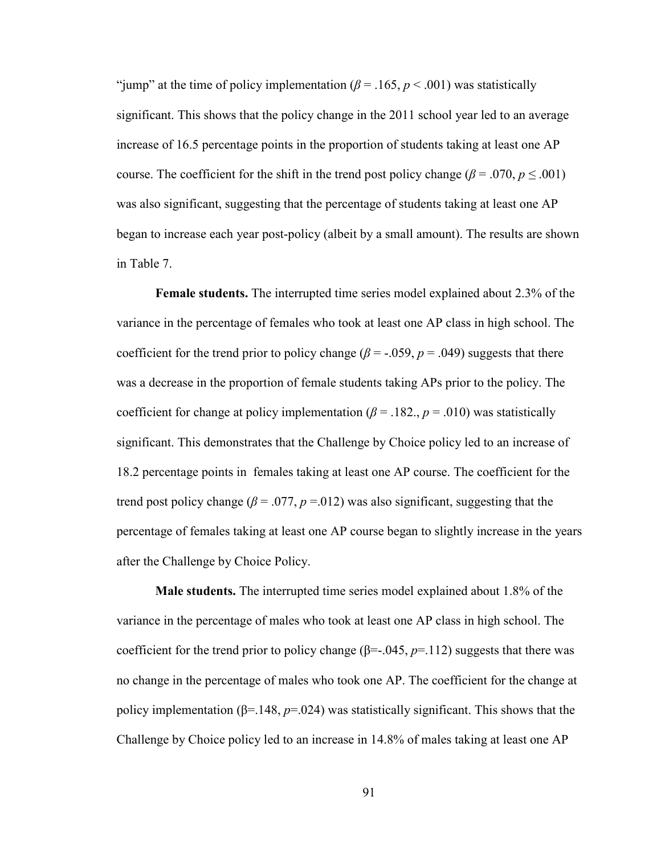"jump" at the time of policy implementation  $(\beta = .165, p < .001)$  was statistically significant. This shows that the policy change in the 2011 school year led to an average increase of 16.5 percentage points in the proportion of students taking at least one AP course. The coefficient for the shift in the trend post policy change ( $\beta$  = .070,  $p \le 0.001$ ) was also significant, suggesting that the percentage of students taking at least one AP began to increase each year post-policy (albeit by a small amount). The results are shown in Table 7.

**Female students.** The interrupted time series model explained about 2.3% of the variance in the percentage of females who took at least one AP class in high school. The coefficient for the trend prior to policy change ( $\beta$  = -.059,  $p$  = .049) suggests that there was a decrease in the proportion of female students taking APs prior to the policy. The coefficient for change at policy implementation ( $\beta$  = .182.,  $p$  = .010) was statistically significant. This demonstrates that the Challenge by Choice policy led to an increase of 18.2 percentage points in females taking at least one AP course. The coefficient for the trend post policy change ( $\beta$  = .077,  $p$  =.012) was also significant, suggesting that the percentage of females taking at least one AP course began to slightly increase in the years after the Challenge by Choice Policy.

**Male students.** The interrupted time series model explained about 1.8% of the variance in the percentage of males who took at least one AP class in high school. The coefficient for the trend prior to policy change  $(\beta = .045, p = .112)$  suggests that there was no change in the percentage of males who took one AP. The coefficient for the change at policy implementation (β=.148, *p*=.024) was statistically significant. This shows that the Challenge by Choice policy led to an increase in 14.8% of males taking at least one AP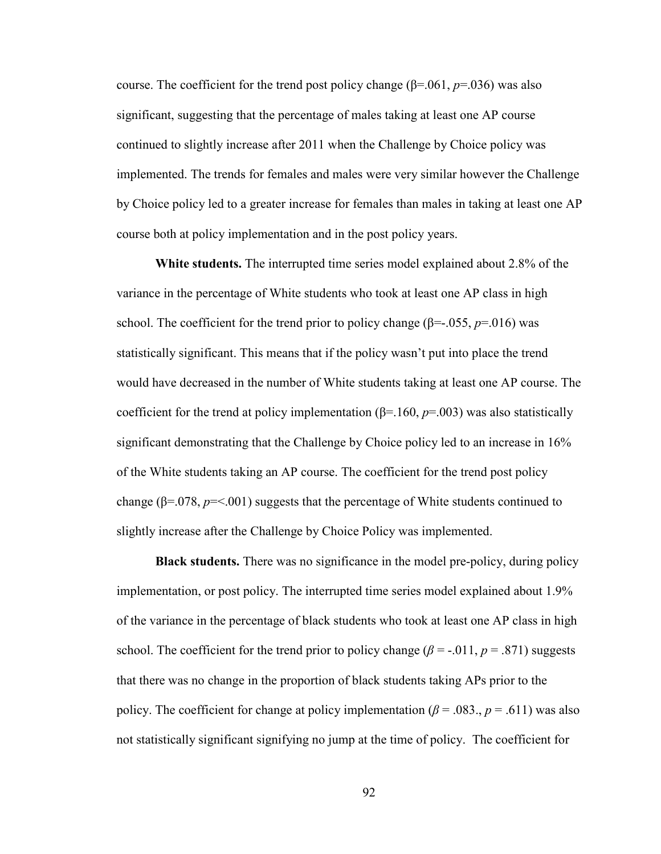course. The coefficient for the trend post policy change (β=.061, *p*=.036) was also significant, suggesting that the percentage of males taking at least one AP course continued to slightly increase after 2011 when the Challenge by Choice policy was implemented. The trends for females and males were very similar however the Challenge by Choice policy led to a greater increase for females than males in taking at least one AP course both at policy implementation and in the post policy years.

**White students.** The interrupted time series model explained about 2.8% of the variance in the percentage of White students who took at least one AP class in high school. The coefficient for the trend prior to policy change ( $\beta$ =-.055,  $p$ =.016) was statistically significant. This means that if the policy wasn't put into place the trend would have decreased in the number of White students taking at least one AP course. The coefficient for the trend at policy implementation ( $\beta$ =.160,  $p$ =.003) was also statistically significant demonstrating that the Challenge by Choice policy led to an increase in 16% of the White students taking an AP course. The coefficient for the trend post policy change ( $\beta$ =.078,  $p$ =<.001) suggests that the percentage of White students continued to slightly increase after the Challenge by Choice Policy was implemented.

**Black students.** There was no significance in the model pre-policy, during policy implementation, or post policy. The interrupted time series model explained about 1.9% of the variance in the percentage of black students who took at least one AP class in high school. The coefficient for the trend prior to policy change ( $\beta$  = -.011,  $p$  = .871) suggests that there was no change in the proportion of black students taking APs prior to the policy. The coefficient for change at policy implementation ( $\beta$  = .083.,  $p$  = .611) was also not statistically significant signifying no jump at the time of policy. The coefficient for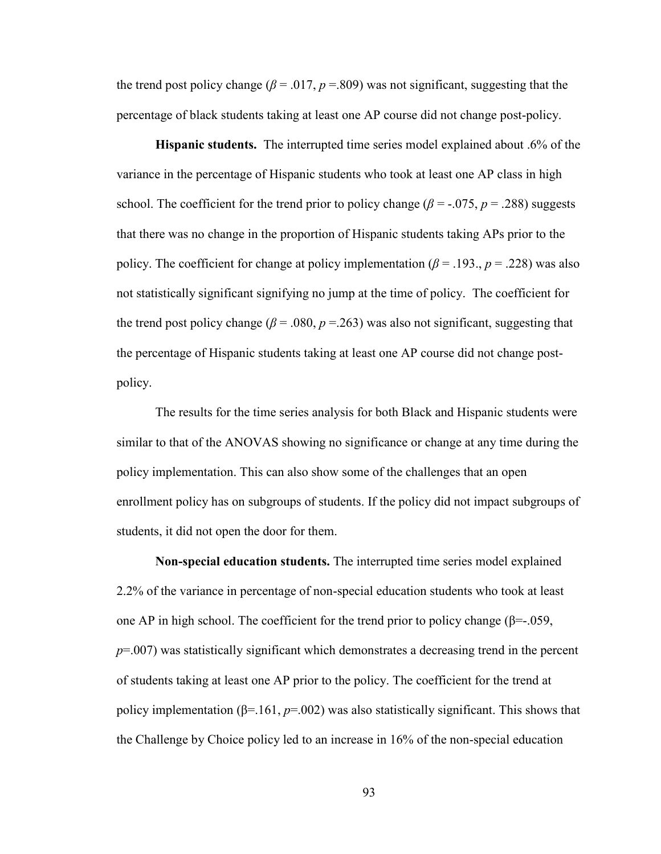the trend post policy change ( $\beta$  = .017,  $p$  = .809) was not significant, suggesting that the percentage of black students taking at least one AP course did not change post-policy.

**Hispanic students.** The interrupted time series model explained about .6% of the variance in the percentage of Hispanic students who took at least one AP class in high school. The coefficient for the trend prior to policy change ( $\beta$  = -.075,  $p$  = .288) suggests that there was no change in the proportion of Hispanic students taking APs prior to the policy. The coefficient for change at policy implementation (*β* = .193., *p* = .228) was also not statistically significant signifying no jump at the time of policy. The coefficient for the trend post policy change ( $\beta$  = .080,  $p$  = .263) was also not significant, suggesting that the percentage of Hispanic students taking at least one AP course did not change postpolicy.

The results for the time series analysis for both Black and Hispanic students were similar to that of the ANOVAS showing no significance or change at any time during the policy implementation. This can also show some of the challenges that an open enrollment policy has on subgroups of students. If the policy did not impact subgroups of students, it did not open the door for them.

**Non-special education students.** The interrupted time series model explained 2.2% of the variance in percentage of non-special education students who took at least one AP in high school. The coefficient for the trend prior to policy change ( $\beta$ =-.059, *p*=.007) was statistically significant which demonstrates a decreasing trend in the percent of students taking at least one AP prior to the policy. The coefficient for the trend at policy implementation (β=.161, *p*=.002) was also statistically significant. This shows that the Challenge by Choice policy led to an increase in 16% of the non-special education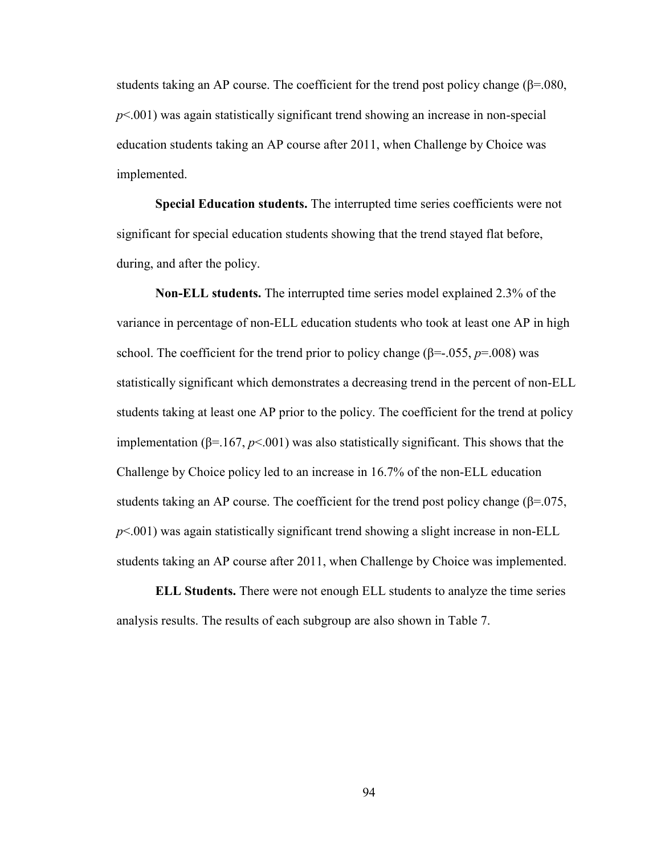students taking an AP course. The coefficient for the trend post policy change ( $\beta$ =.080, *p*<.001) was again statistically significant trend showing an increase in non-special education students taking an AP course after 2011, when Challenge by Choice was implemented.

**Special Education students.** The interrupted time series coefficients were not significant for special education students showing that the trend stayed flat before, during, and after the policy.

**Non-ELL students.** The interrupted time series model explained 2.3% of the variance in percentage of non-ELL education students who took at least one AP in high school. The coefficient for the trend prior to policy change ( $\beta$ =-.055, *p*=.008) was statistically significant which demonstrates a decreasing trend in the percent of non-ELL students taking at least one AP prior to the policy. The coefficient for the trend at policy implementation ( $β=167$ ,  $p<001$ ) was also statistically significant. This shows that the Challenge by Choice policy led to an increase in 16.7% of the non-ELL education students taking an AP course. The coefficient for the trend post policy change ( $\beta$ =.075, *p*<.001) was again statistically significant trend showing a slight increase in non-ELL students taking an AP course after 2011, when Challenge by Choice was implemented.

**ELL Students.** There were not enough ELL students to analyze the time series analysis results. The results of each subgroup are also shown in Table 7.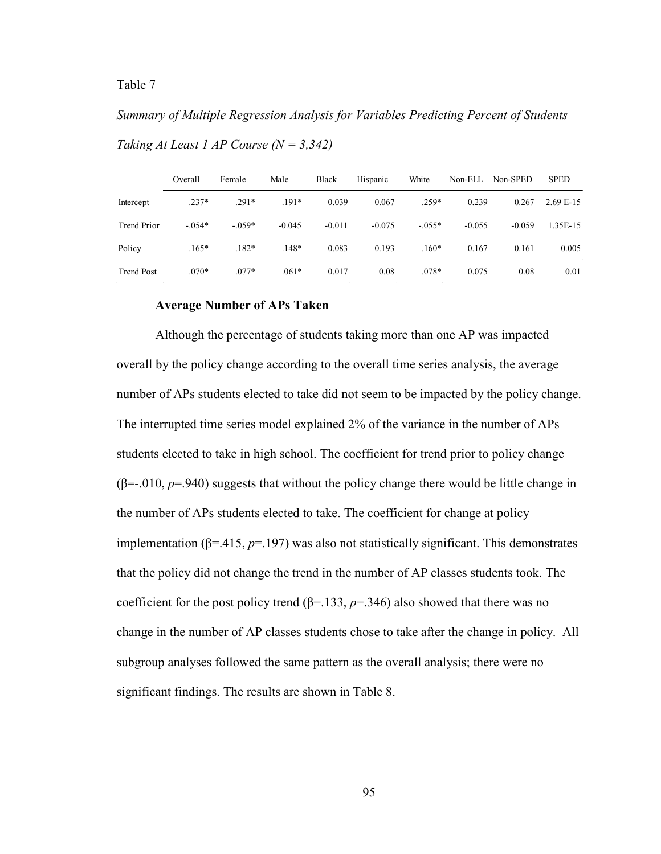# *Summary of Multiple Regression Analysis for Variables Predicting Percent of Students*

|                    | Overall  | Female   | Male     | Black    | Hispanic | White    | Non-ELL  | Non-SPED | <b>SPED</b> |
|--------------------|----------|----------|----------|----------|----------|----------|----------|----------|-------------|
| Intercept          | $.237*$  | $.291*$  | $.191*$  | 0.039    | 0.067    | $.259*$  | 0.239    | 0.267    | $2.69E-15$  |
| <b>Trend Prior</b> | $-.054*$ | $-.059*$ | $-0.045$ | $-0.011$ | $-0.075$ | $-.055*$ | $-0.055$ | $-0.059$ | 1.35E-15    |
| Policy             | $.165*$  | $.182*$  | $.148*$  | 0.083    | 0.193    | $.160*$  | 0.167    | 0.161    | 0.005       |
| <b>Trend Post</b>  | $.070*$  | $.077*$  | $.061*$  | 0.017    | 0.08     | $.078*$  | 0.075    | 0.08     | 0.01        |

*Taking At Least 1 AP Course (N = 3,342)* 

#### **Average Number of APs Taken**

Although the percentage of students taking more than one AP was impacted overall by the policy change according to the overall time series analysis, the average number of APs students elected to take did not seem to be impacted by the policy change. The interrupted time series model explained 2% of the variance in the number of APs students elected to take in high school. The coefficient for trend prior to policy change  $(\beta = .010, p = .940)$  suggests that without the policy change there would be little change in the number of APs students elected to take. The coefficient for change at policy implementation ( $β = .415$ ,  $p = .197$ ) was also not statistically significant. This demonstrates that the policy did not change the trend in the number of AP classes students took. The coefficient for the post policy trend ( $\beta$ =.133,  $p$ =.346) also showed that there was no change in the number of AP classes students chose to take after the change in policy. All subgroup analyses followed the same pattern as the overall analysis; there were no significant findings. The results are shown in Table 8.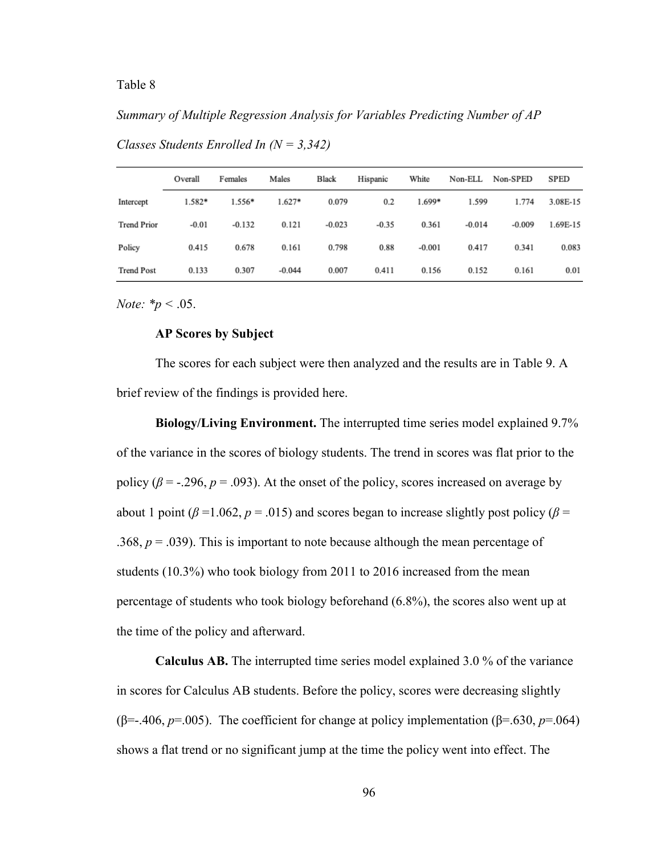#### *Summary of Multiple Regression Analysis for Variables Predicting Number of AP*

|                    | Overall  | Females  | Males    | Black    | Hispanic | White    | Non-ELL  | Non-SPED | <b>SPED</b> |
|--------------------|----------|----------|----------|----------|----------|----------|----------|----------|-------------|
| Intercept          | $1.582*$ | $1.556*$ | $1.627*$ | 0.079    | 0.2      | $1.699*$ | 1.599    | 1.774    | 3.08E-15    |
| <b>Trend Prior</b> | $-0.01$  | $-0.132$ | 0.121    | $-0.023$ | $-0.35$  | 0.361    | $-0.014$ | $-0.009$ | 1.69E-15    |
| Policy             | 0.415    | 0.678    | 0.161    | 0.798    | 0.88     | $-0.001$ | 0.417    | 0.341    | 0.083       |
| <b>Trend Post</b>  | 0.133    | 0.307    | $-0.044$ | 0.007    | 0.411    | 0.156    | 0.152    | 0.161    | 0.01        |

*Classes Students Enrolled In (N = 3,342)*

*Note: \*p <* .05.

#### **AP Scores by Subject**

The scores for each subject were then analyzed and the results are in Table 9. A brief review of the findings is provided here.

**Biology/Living Environment.** The interrupted time series model explained 9.7% of the variance in the scores of biology students. The trend in scores was flat prior to the policy ( $\beta$  = -.296,  $p$  = .093). At the onset of the policy, scores increased on average by about 1 point ( $\beta$  =1.062,  $p$  = .015) and scores began to increase slightly post policy ( $\beta$  = .368,  $p = .039$ ). This is important to note because although the mean percentage of students (10.3%) who took biology from 2011 to 2016 increased from the mean percentage of students who took biology beforehand (6.8%), the scores also went up at the time of the policy and afterward.

**Calculus AB.** The interrupted time series model explained 3.0 % of the variance in scores for Calculus AB students. Before the policy, scores were decreasing slightly (β=-.406, *p*=.005). The coefficient for change at policy implementation (β=.630, *p*=.064) shows a flat trend or no significant jump at the time the policy went into effect. The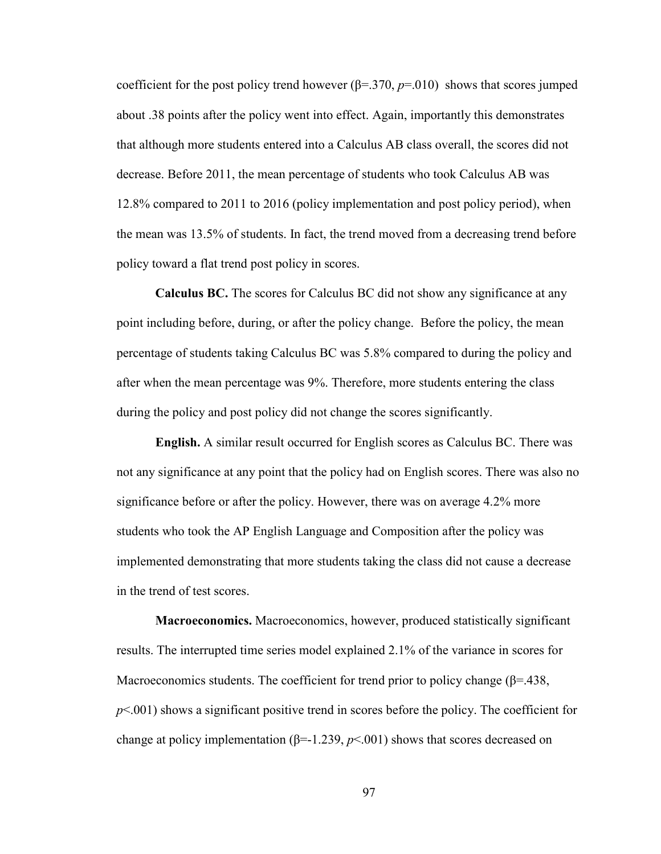coefficient for the post policy trend however  $(\beta = 0.370, p = 0.010)$  shows that scores jumped about .38 points after the policy went into effect. Again, importantly this demonstrates that although more students entered into a Calculus AB class overall, the scores did not decrease. Before 2011, the mean percentage of students who took Calculus AB was 12.8% compared to 2011 to 2016 (policy implementation and post policy period), when the mean was 13.5% of students. In fact, the trend moved from a decreasing trend before policy toward a flat trend post policy in scores.

**Calculus BC.** The scores for Calculus BC did not show any significance at any point including before, during, or after the policy change. Before the policy, the mean percentage of students taking Calculus BC was 5.8% compared to during the policy and after when the mean percentage was 9%. Therefore, more students entering the class during the policy and post policy did not change the scores significantly.

**English.** A similar result occurred for English scores as Calculus BC. There was not any significance at any point that the policy had on English scores. There was also no significance before or after the policy. However, there was on average 4.2% more students who took the AP English Language and Composition after the policy was implemented demonstrating that more students taking the class did not cause a decrease in the trend of test scores.

**Macroeconomics.** Macroeconomics, however, produced statistically significant results. The interrupted time series model explained 2.1% of the variance in scores for Macroeconomics students. The coefficient for trend prior to policy change ( $\beta$ =.438, *p*<.001) shows a significant positive trend in scores before the policy. The coefficient for change at policy implementation  $(\beta = 1.239, p < 0.001)$  shows that scores decreased on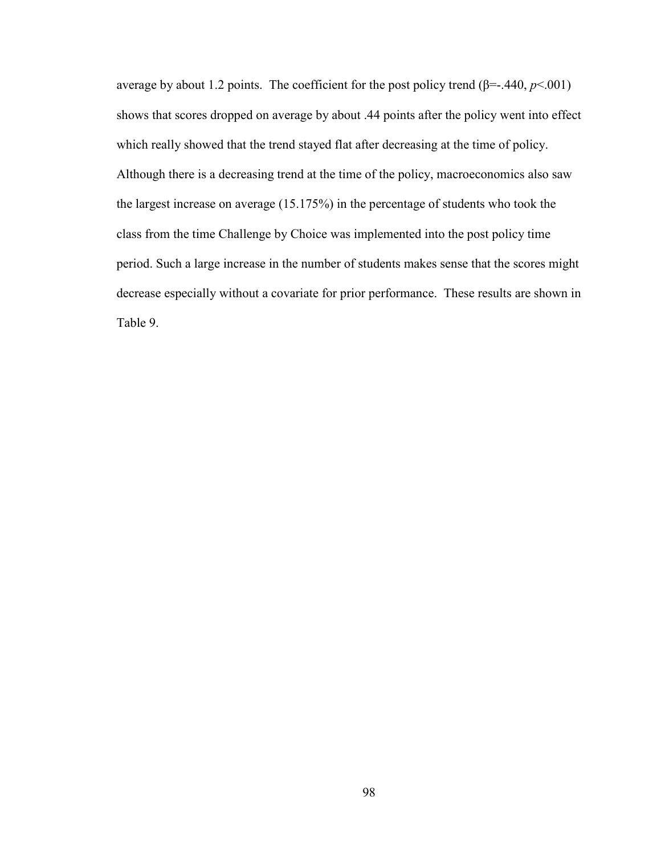average by about 1.2 points. The coefficient for the post policy trend (β=-.440, *p*<.001) shows that scores dropped on average by about .44 points after the policy went into effect which really showed that the trend stayed flat after decreasing at the time of policy. Although there is a decreasing trend at the time of the policy, macroeconomics also saw the largest increase on average (15.175%) in the percentage of students who took the class from the time Challenge by Choice was implemented into the post policy time period. Such a large increase in the number of students makes sense that the scores might decrease especially without a covariate for prior performance. These results are shown in Table 9.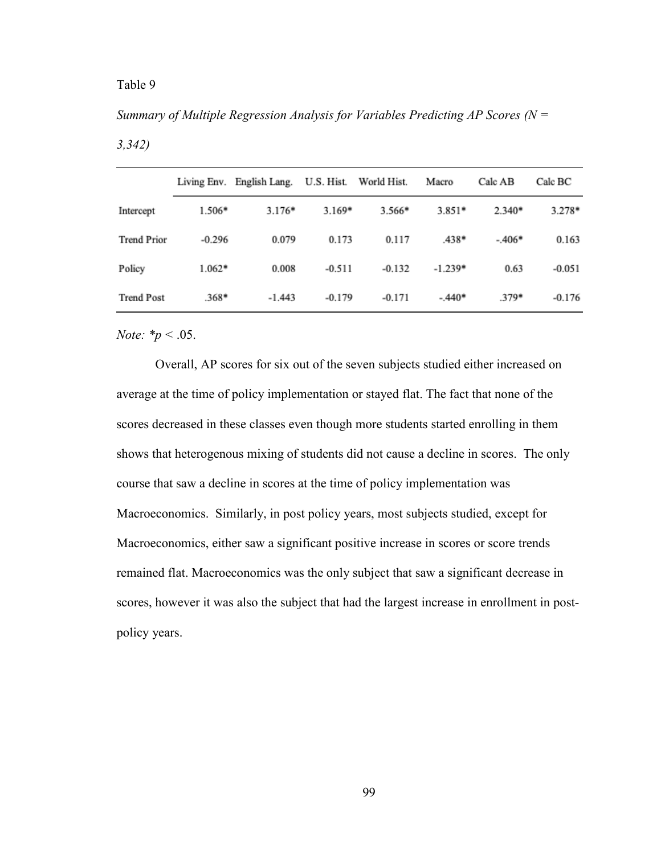## *Summary of Multiple Regression Analysis for Variables Predicting AP Scores (N =*

|                    |          | Living Env. English Lang. |          | U.S. Hist. World Hist. | Macro     | Calc AB  | Calc BC  |
|--------------------|----------|---------------------------|----------|------------------------|-----------|----------|----------|
| Intercept          | $1.506*$ | $3.176*$                  | $3.169*$ | $3.566*$               | $3.851*$  | $2.340*$ | $3.278*$ |
| <b>Trend Prior</b> | $-0.296$ | 0.079                     | 0.173    | 0.117                  | .438*     | $-.406*$ | 0.163    |
| Policy             | $1.062*$ | 0.008                     | $-0.511$ | $-0.132$               | $-1.239*$ | 0.63     | $-0.051$ |
| <b>Trend Post</b>  | $.368*$  | $-1.443$                  | $-0.179$ | $-0.171$               | $-.440*$  | $.379*$  | $-0.176$ |

*Note: \*p <* .05.

Overall, AP scores for six out of the seven subjects studied either increased on average at the time of policy implementation or stayed flat. The fact that none of the scores decreased in these classes even though more students started enrolling in them shows that heterogenous mixing of students did not cause a decline in scores. The only course that saw a decline in scores at the time of policy implementation was Macroeconomics. Similarly, in post policy years, most subjects studied, except for Macroeconomics, either saw a significant positive increase in scores or score trends remained flat. Macroeconomics was the only subject that saw a significant decrease in scores, however it was also the subject that had the largest increase in enrollment in postpolicy years.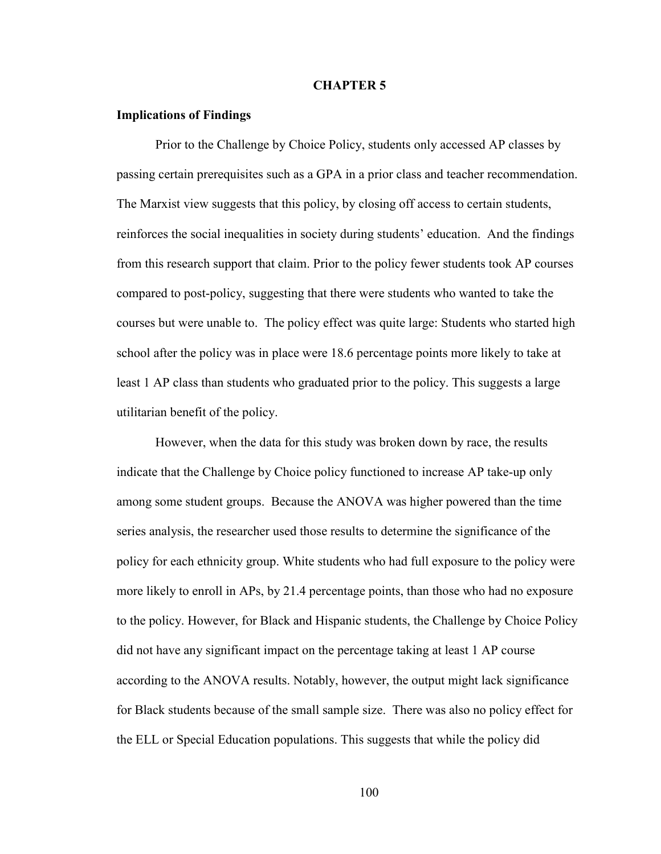### **CHAPTER 5**

## **Implications of Findings**

Prior to the Challenge by Choice Policy, students only accessed AP classes by passing certain prerequisites such as a GPA in a prior class and teacher recommendation. The Marxist view suggests that this policy, by closing off access to certain students, reinforces the social inequalities in society during students' education. And the findings from this research support that claim. Prior to the policy fewer students took AP courses compared to post-policy, suggesting that there were students who wanted to take the courses but were unable to. The policy effect was quite large: Students who started high school after the policy was in place were 18.6 percentage points more likely to take at least 1 AP class than students who graduated prior to the policy. This suggests a large utilitarian benefit of the policy.

However, when the data for this study was broken down by race, the results indicate that the Challenge by Choice policy functioned to increase AP take-up only among some student groups. Because the ANOVA was higher powered than the time series analysis, the researcher used those results to determine the significance of the policy for each ethnicity group. White students who had full exposure to the policy were more likely to enroll in APs, by 21.4 percentage points, than those who had no exposure to the policy. However, for Black and Hispanic students, the Challenge by Choice Policy did not have any significant impact on the percentage taking at least 1 AP course according to the ANOVA results. Notably, however, the output might lack significance for Black students because of the small sample size. There was also no policy effect for the ELL or Special Education populations. This suggests that while the policy did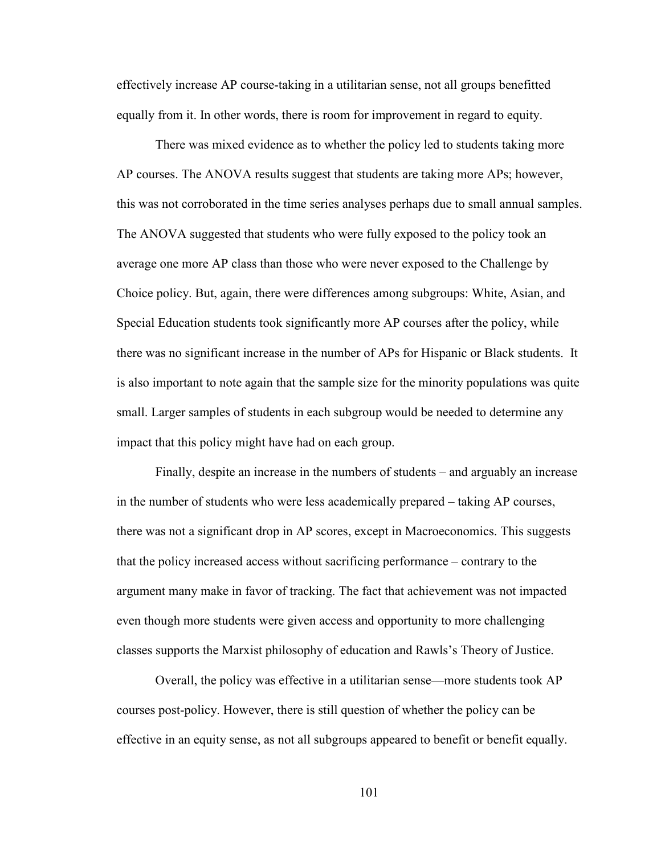effectively increase AP course-taking in a utilitarian sense, not all groups benefitted equally from it. In other words, there is room for improvement in regard to equity.

There was mixed evidence as to whether the policy led to students taking more AP courses. The ANOVA results suggest that students are taking more APs; however, this was not corroborated in the time series analyses perhaps due to small annual samples. The ANOVA suggested that students who were fully exposed to the policy took an average one more AP class than those who were never exposed to the Challenge by Choice policy. But, again, there were differences among subgroups: White, Asian, and Special Education students took significantly more AP courses after the policy, while there was no significant increase in the number of APs for Hispanic or Black students. It is also important to note again that the sample size for the minority populations was quite small. Larger samples of students in each subgroup would be needed to determine any impact that this policy might have had on each group.

Finally, despite an increase in the numbers of students – and arguably an increase in the number of students who were less academically prepared – taking AP courses, there was not a significant drop in AP scores, except in Macroeconomics. This suggests that the policy increased access without sacrificing performance – contrary to the argument many make in favor of tracking. The fact that achievement was not impacted even though more students were given access and opportunity to more challenging classes supports the Marxist philosophy of education and Rawls's Theory of Justice.

Overall, the policy was effective in a utilitarian sense—more students took AP courses post-policy. However, there is still question of whether the policy can be effective in an equity sense, as not all subgroups appeared to benefit or benefit equally.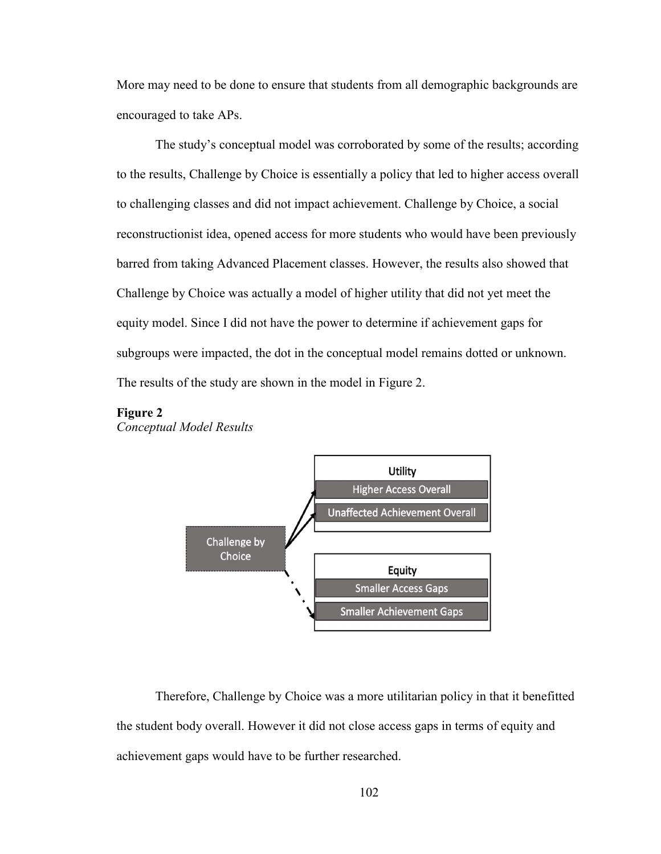More may need to be done to ensure that students from all demographic backgrounds are encouraged to take APs.

The study's conceptual model was corroborated by some of the results; according to the results, Challenge by Choice is essentially a policy that led to higher access overall to challenging classes and did not impact achievement. Challenge by Choice, a social reconstructionist idea, opened access for more students who would have been previously barred from taking Advanced Placement classes. However, the results also showed that Challenge by Choice was actually a model of higher utility that did not yet meet the equity model. Since I did not have the power to determine if achievement gaps for subgroups were impacted, the dot in the conceptual model remains dotted or unknown. The results of the study are shown in the model in Figure 2.

#### **Figure 2**

*Conceptual Model Results* 



 Therefore, Challenge by Choice was a more utilitarian policy in that it benefitted the student body overall. However it did not close access gaps in terms of equity and achievement gaps would have to be further researched.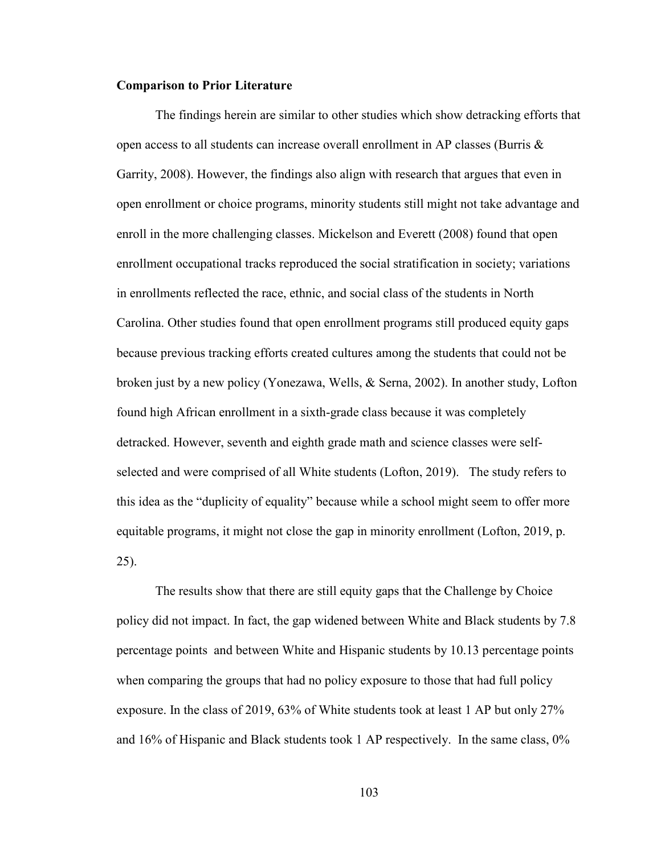#### **Comparison to Prior Literature**

The findings herein are similar to other studies which show detracking efforts that open access to all students can increase overall enrollment in AP classes (Burris  $\&$ Garrity, 2008). However, the findings also align with research that argues that even in open enrollment or choice programs, minority students still might not take advantage and enroll in the more challenging classes. Mickelson and Everett (2008) found that open enrollment occupational tracks reproduced the social stratification in society; variations in enrollments reflected the race, ethnic, and social class of the students in North Carolina. Other studies found that open enrollment programs still produced equity gaps because previous tracking efforts created cultures among the students that could not be broken just by a new policy (Yonezawa, Wells, & Serna, 2002). In another study, Lofton found high African enrollment in a sixth-grade class because it was completely detracked. However, seventh and eighth grade math and science classes were selfselected and were comprised of all White students (Lofton, 2019). The study refers to this idea as the "duplicity of equality" because while a school might seem to offer more equitable programs, it might not close the gap in minority enrollment (Lofton, 2019, p. 25).

The results show that there are still equity gaps that the Challenge by Choice policy did not impact. In fact, the gap widened between White and Black students by 7.8 percentage points and between White and Hispanic students by 10.13 percentage points when comparing the groups that had no policy exposure to those that had full policy exposure. In the class of 2019, 63% of White students took at least 1 AP but only 27% and 16% of Hispanic and Black students took 1 AP respectively. In the same class, 0%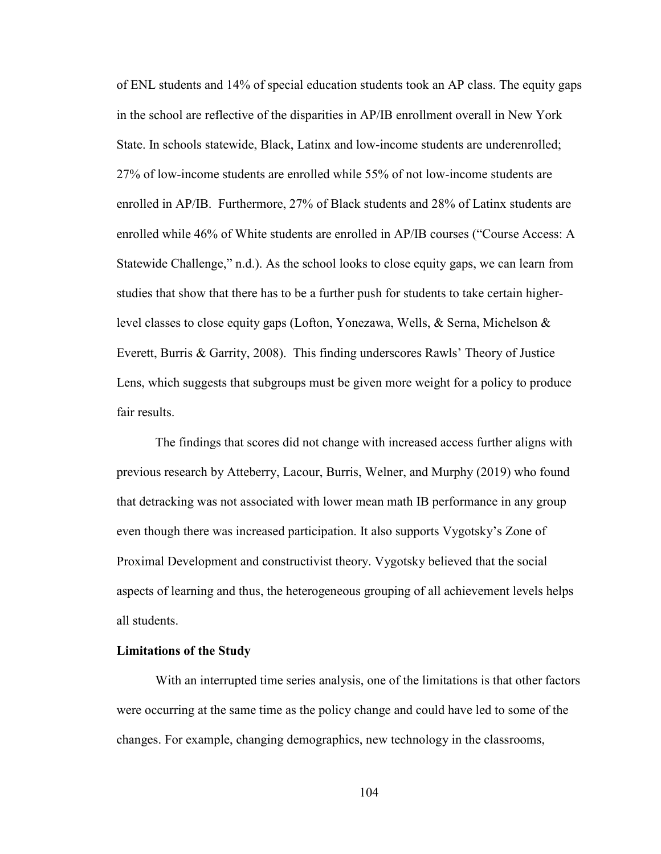of ENL students and 14% of special education students took an AP class. The equity gaps in the school are reflective of the disparities in AP/IB enrollment overall in New York State. In schools statewide, Black, Latinx and low-income students are underenrolled; 27% of low-income students are enrolled while 55% of not low-income students are enrolled in AP/IB. Furthermore, 27% of Black students and 28% of Latinx students are enrolled while 46% of White students are enrolled in AP/IB courses ("Course Access: A Statewide Challenge," n.d.). As the school looks to close equity gaps, we can learn from studies that show that there has to be a further push for students to take certain higherlevel classes to close equity gaps (Lofton, Yonezawa, Wells, & Serna, Michelson & Everett, Burris & Garrity, 2008). This finding underscores Rawls' Theory of Justice Lens, which suggests that subgroups must be given more weight for a policy to produce fair results.

The findings that scores did not change with increased access further aligns with previous research by Atteberry, Lacour, Burris, Welner, and Murphy (2019) who found that detracking was not associated with lower mean math IB performance in any group even though there was increased participation. It also supports Vygotsky's Zone of Proximal Development and constructivist theory. Vygotsky believed that the social aspects of learning and thus, the heterogeneous grouping of all achievement levels helps all students.

### **Limitations of the Study**

With an interrupted time series analysis, one of the limitations is that other factors were occurring at the same time as the policy change and could have led to some of the changes. For example, changing demographics, new technology in the classrooms,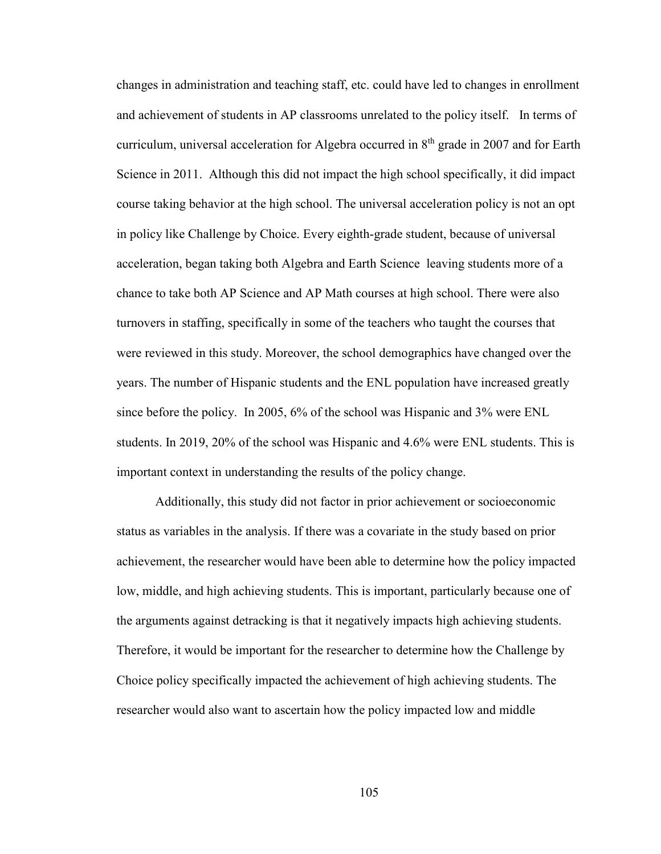changes in administration and teaching staff, etc. could have led to changes in enrollment and achievement of students in AP classrooms unrelated to the policy itself. In terms of curriculum, universal acceleration for Algebra occurred in 8th grade in 2007 and for Earth Science in 2011. Although this did not impact the high school specifically, it did impact course taking behavior at the high school. The universal acceleration policy is not an opt in policy like Challenge by Choice. Every eighth-grade student, because of universal acceleration, began taking both Algebra and Earth Science leaving students more of a chance to take both AP Science and AP Math courses at high school. There were also turnovers in staffing, specifically in some of the teachers who taught the courses that were reviewed in this study. Moreover, the school demographics have changed over the years. The number of Hispanic students and the ENL population have increased greatly since before the policy. In 2005, 6% of the school was Hispanic and 3% were ENL students. In 2019, 20% of the school was Hispanic and 4.6% were ENL students. This is important context in understanding the results of the policy change.

Additionally, this study did not factor in prior achievement or socioeconomic status as variables in the analysis. If there was a covariate in the study based on prior achievement, the researcher would have been able to determine how the policy impacted low, middle, and high achieving students. This is important, particularly because one of the arguments against detracking is that it negatively impacts high achieving students. Therefore, it would be important for the researcher to determine how the Challenge by Choice policy specifically impacted the achievement of high achieving students. The researcher would also want to ascertain how the policy impacted low and middle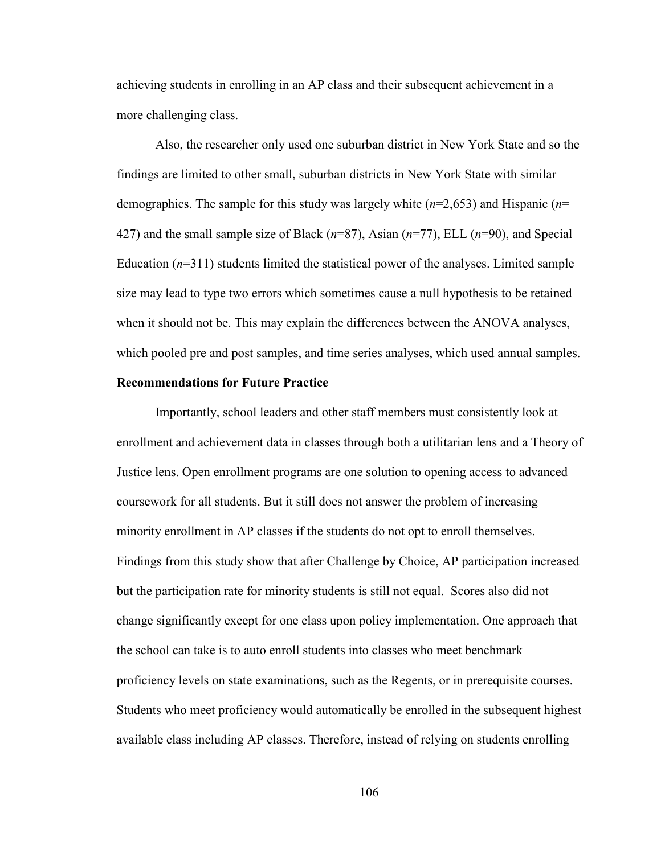achieving students in enrolling in an AP class and their subsequent achievement in a more challenging class.

Also, the researcher only used one suburban district in New York State and so the findings are limited to other small, suburban districts in New York State with similar demographics. The sample for this study was largely white (*n*=2,653) and Hispanic (*n*= 427) and the small sample size of Black (*n*=87), Asian (*n*=77), ELL (*n*=90), and Special Education  $(n=311)$  students limited the statistical power of the analyses. Limited sample size may lead to type two errors which sometimes cause a null hypothesis to be retained when it should not be. This may explain the differences between the ANOVA analyses, which pooled pre and post samples, and time series analyses, which used annual samples.

# **Recommendations for Future Practice**

Importantly, school leaders and other staff members must consistently look at enrollment and achievement data in classes through both a utilitarian lens and a Theory of Justice lens. Open enrollment programs are one solution to opening access to advanced coursework for all students. But it still does not answer the problem of increasing minority enrollment in AP classes if the students do not opt to enroll themselves. Findings from this study show that after Challenge by Choice, AP participation increased but the participation rate for minority students is still not equal. Scores also did not change significantly except for one class upon policy implementation. One approach that the school can take is to auto enroll students into classes who meet benchmark proficiency levels on state examinations, such as the Regents, or in prerequisite courses. Students who meet proficiency would automatically be enrolled in the subsequent highest available class including AP classes. Therefore, instead of relying on students enrolling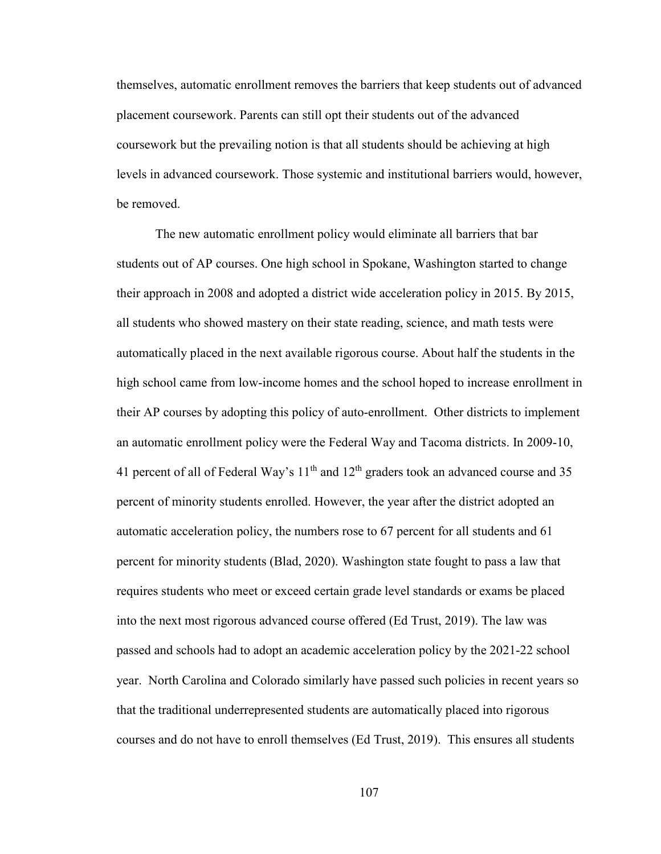themselves, automatic enrollment removes the barriers that keep students out of advanced placement coursework. Parents can still opt their students out of the advanced coursework but the prevailing notion is that all students should be achieving at high levels in advanced coursework. Those systemic and institutional barriers would, however, be removed.

The new automatic enrollment policy would eliminate all barriers that bar students out of AP courses. One high school in Spokane, Washington started to change their approach in 2008 and adopted a district wide acceleration policy in 2015. By 2015, all students who showed mastery on their state reading, science, and math tests were automatically placed in the next available rigorous course. About half the students in the high school came from low-income homes and the school hoped to increase enrollment in their AP courses by adopting this policy of auto-enrollment. Other districts to implement an automatic enrollment policy were the Federal Way and Tacoma districts. In 2009-10, 41 percent of all of Federal Way's  $11<sup>th</sup>$  and  $12<sup>th</sup>$  graders took an advanced course and 35 percent of minority students enrolled. However, the year after the district adopted an automatic acceleration policy, the numbers rose to 67 percent for all students and 61 percent for minority students (Blad, 2020). Washington state fought to pass a law that requires students who meet or exceed certain grade level standards or exams be placed into the next most rigorous advanced course offered (Ed Trust, 2019). The law was passed and schools had to adopt an academic acceleration policy by the 2021-22 school year. North Carolina and Colorado similarly have passed such policies in recent years so that the traditional underrepresented students are automatically placed into rigorous courses and do not have to enroll themselves (Ed Trust, 2019). This ensures all students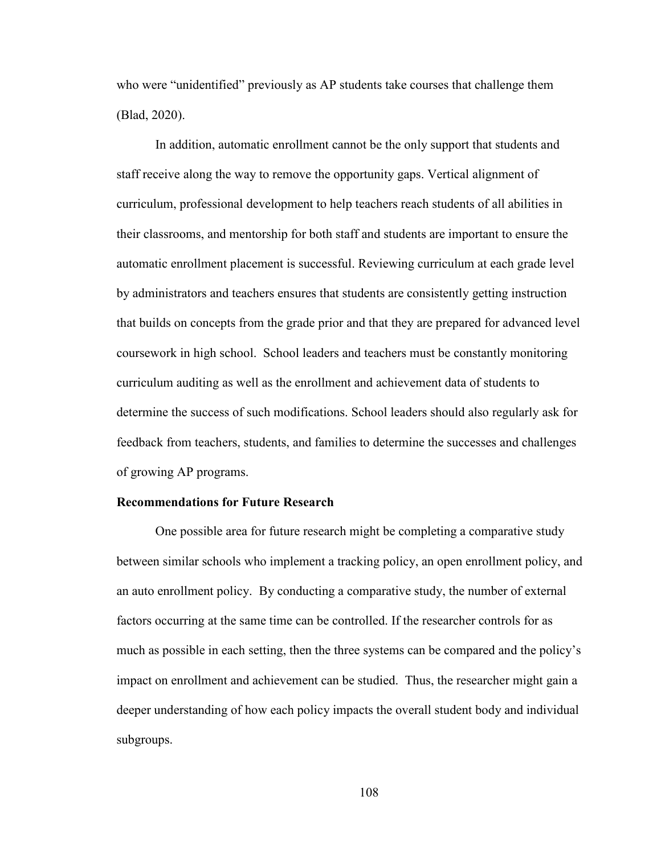who were "unidentified" previously as AP students take courses that challenge them (Blad, 2020).

In addition, automatic enrollment cannot be the only support that students and staff receive along the way to remove the opportunity gaps. Vertical alignment of curriculum, professional development to help teachers reach students of all abilities in their classrooms, and mentorship for both staff and students are important to ensure the automatic enrollment placement is successful. Reviewing curriculum at each grade level by administrators and teachers ensures that students are consistently getting instruction that builds on concepts from the grade prior and that they are prepared for advanced level coursework in high school. School leaders and teachers must be constantly monitoring curriculum auditing as well as the enrollment and achievement data of students to determine the success of such modifications. School leaders should also regularly ask for feedback from teachers, students, and families to determine the successes and challenges of growing AP programs.

### **Recommendations for Future Research**

One possible area for future research might be completing a comparative study between similar schools who implement a tracking policy, an open enrollment policy, and an auto enrollment policy. By conducting a comparative study, the number of external factors occurring at the same time can be controlled. If the researcher controls for as much as possible in each setting, then the three systems can be compared and the policy's impact on enrollment and achievement can be studied. Thus, the researcher might gain a deeper understanding of how each policy impacts the overall student body and individual subgroups.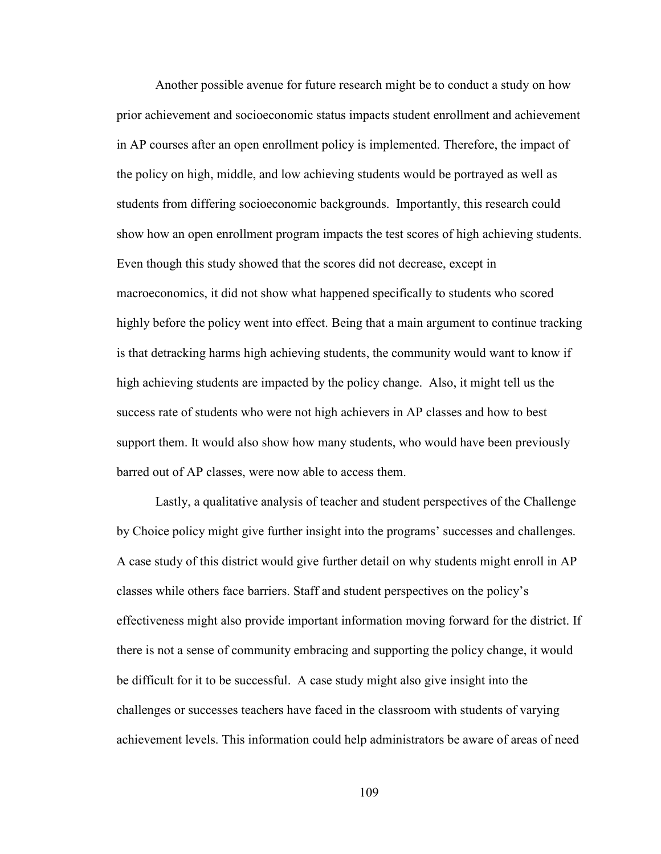Another possible avenue for future research might be to conduct a study on how prior achievement and socioeconomic status impacts student enrollment and achievement in AP courses after an open enrollment policy is implemented. Therefore, the impact of the policy on high, middle, and low achieving students would be portrayed as well as students from differing socioeconomic backgrounds. Importantly, this research could show how an open enrollment program impacts the test scores of high achieving students. Even though this study showed that the scores did not decrease, except in macroeconomics, it did not show what happened specifically to students who scored highly before the policy went into effect. Being that a main argument to continue tracking is that detracking harms high achieving students, the community would want to know if high achieving students are impacted by the policy change. Also, it might tell us the success rate of students who were not high achievers in AP classes and how to best support them. It would also show how many students, who would have been previously barred out of AP classes, were now able to access them.

Lastly, a qualitative analysis of teacher and student perspectives of the Challenge by Choice policy might give further insight into the programs' successes and challenges. A case study of this district would give further detail on why students might enroll in AP classes while others face barriers. Staff and student perspectives on the policy's effectiveness might also provide important information moving forward for the district. If there is not a sense of community embracing and supporting the policy change, it would be difficult for it to be successful. A case study might also give insight into the challenges or successes teachers have faced in the classroom with students of varying achievement levels. This information could help administrators be aware of areas of need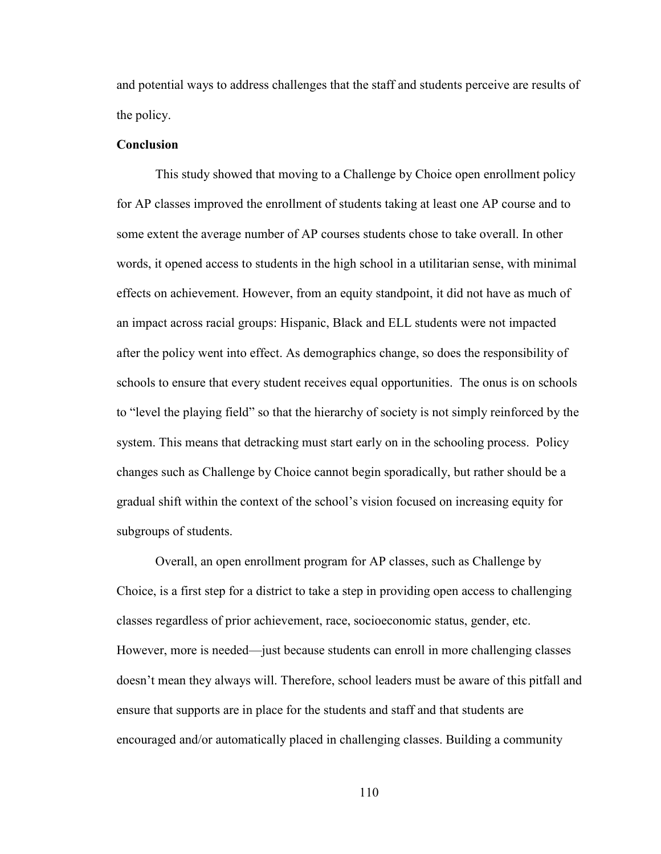and potential ways to address challenges that the staff and students perceive are results of the policy.

# **Conclusion**

This study showed that moving to a Challenge by Choice open enrollment policy for AP classes improved the enrollment of students taking at least one AP course and to some extent the average number of AP courses students chose to take overall. In other words, it opened access to students in the high school in a utilitarian sense, with minimal effects on achievement. However, from an equity standpoint, it did not have as much of an impact across racial groups: Hispanic, Black and ELL students were not impacted after the policy went into effect. As demographics change, so does the responsibility of schools to ensure that every student receives equal opportunities. The onus is on schools to "level the playing field" so that the hierarchy of society is not simply reinforced by the system. This means that detracking must start early on in the schooling process. Policy changes such as Challenge by Choice cannot begin sporadically, but rather should be a gradual shift within the context of the school's vision focused on increasing equity for subgroups of students.

Overall, an open enrollment program for AP classes, such as Challenge by Choice, is a first step for a district to take a step in providing open access to challenging classes regardless of prior achievement, race, socioeconomic status, gender, etc. However, more is needed—just because students can enroll in more challenging classes doesn't mean they always will. Therefore, school leaders must be aware of this pitfall and ensure that supports are in place for the students and staff and that students are encouraged and/or automatically placed in challenging classes. Building a community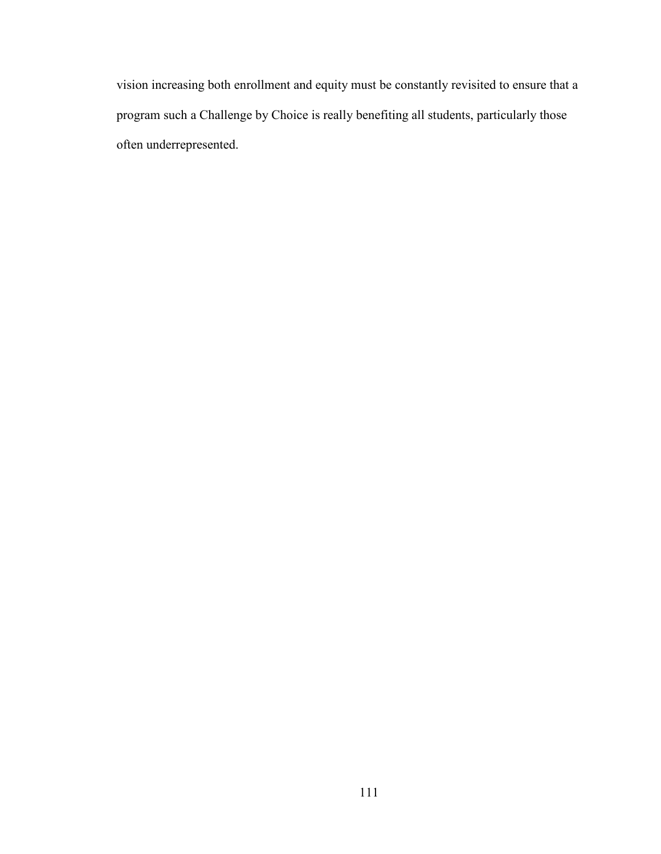vision increasing both enrollment and equity must be constantly revisited to ensure that a program such a Challenge by Choice is really benefiting all students, particularly those often underrepresented.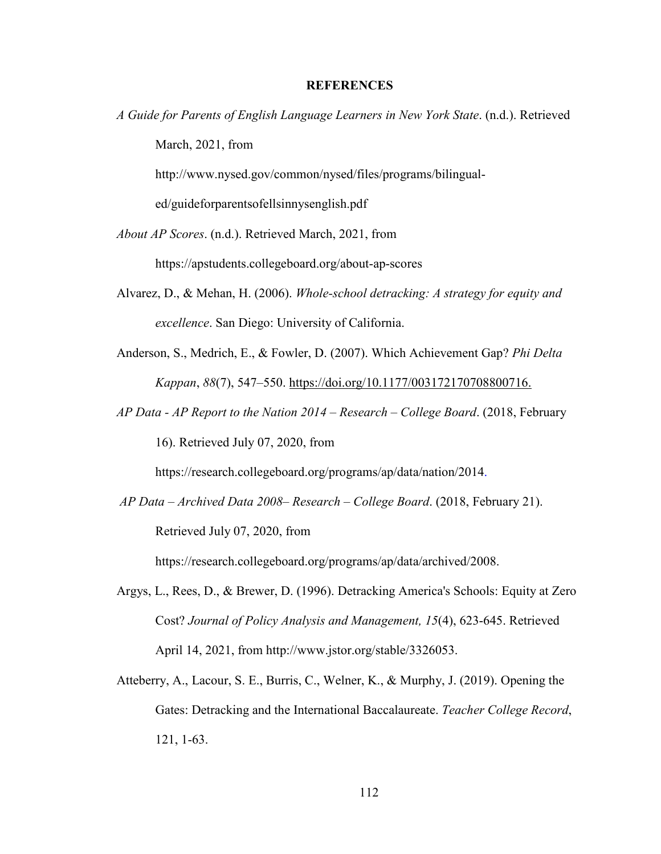### **REFERENCES**

*A Guide for Parents of English Language Learners in New York State*. (n.d.). Retrieved March, 2021, from

http://www.nysed.gov/common/nysed/files/programs/bilingual-

ed/guideforparentsofellsinnysenglish.pdf

*About AP Scores*. (n.d.). Retrieved March, 2021, from

https://apstudents.collegeboard.org/about-ap-scores

- Alvarez, D., & Mehan, H. (2006). *Whole-school detracking: A strategy for equity and excellence*. San Diego: University of California.
- Anderson, S., Medrich, E., & Fowler, D. (2007). Which Achievement Gap? *Phi Delta Kappan*, *88*(7), 547–550. https://doi.org/10.1177/003172170708800716.
- *AP Data AP Report to the Nation 2014 Research College Board*. (2018, February 16). Retrieved July 07, 2020, from

https://research.collegeboard.org/programs/ap/data/nation/2014.

*AP Data – Archived Data 2008– Research – College Board*. (2018, February 21). Retrieved July 07, 2020, from

https://research.collegeboard.org/programs/ap/data/archived/2008.

- Argys, L., Rees, D., & Brewer, D. (1996). Detracking America's Schools: Equity at Zero Cost? *Journal of Policy Analysis and Management, 15*(4), 623-645. Retrieved April 14, 2021, from http://www.jstor.org/stable/3326053.
- Atteberry, A., Lacour, S. E., Burris, C., Welner, K., & Murphy, J. (2019). Opening the Gates: Detracking and the International Baccalaureate. *Teacher College Record*, 121, 1-63.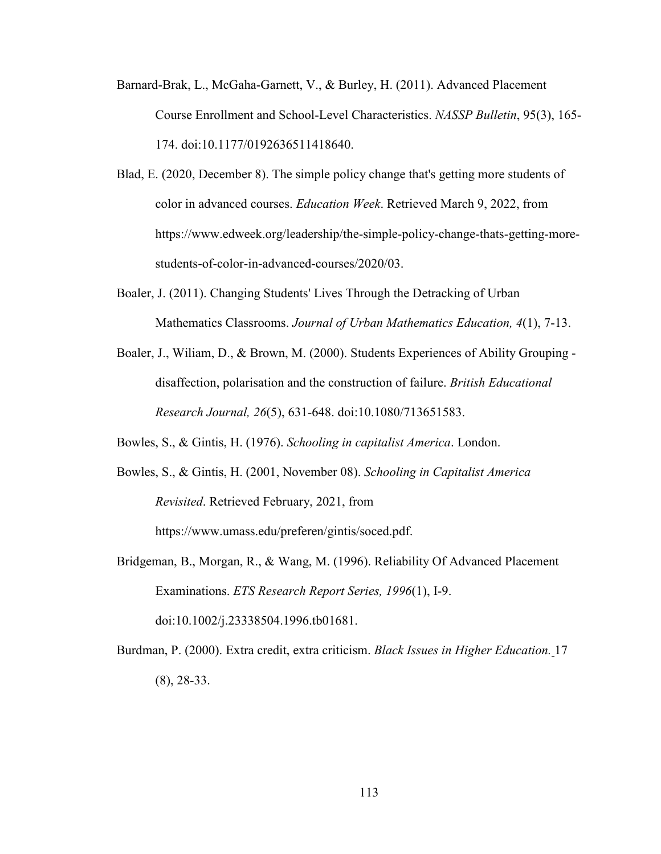- Barnard-Brak, L., McGaha-Garnett, V., & Burley, H. (2011). Advanced Placement Course Enrollment and School-Level Characteristics. *NASSP Bulletin*, 95(3), 165- 174. doi:10.1177/0192636511418640.
- Blad, E. (2020, December 8). The simple policy change that's getting more students of color in advanced courses. *Education Week*. Retrieved March 9, 2022, from https://www.edweek.org/leadership/the-simple-policy-change-thats-getting-morestudents-of-color-in-advanced-courses/2020/03.
- Boaler, J. (2011). Changing Students' Lives Through the Detracking of Urban Mathematics Classrooms. *Journal of Urban Mathematics Education, 4*(1), 7-13.
- Boaler, J., Wiliam, D., & Brown, M. (2000). Students Experiences of Ability Grouping disaffection, polarisation and the construction of failure. *British Educational Research Journal, 26*(5), 631-648. doi:10.1080/713651583.

Bowles, S., & Gintis, H. (1976). *Schooling in capitalist America*. London.

Bowles, S., & Gintis, H. (2001, November 08). *Schooling in Capitalist America Revisited*. Retrieved February, 2021, from https://www.umass.edu/preferen/gintis/soced.pdf.

Bridgeman, B., Morgan, R., & Wang, M. (1996). Reliability Of Advanced Placement Examinations. *ETS Research Report Series, 1996*(1), I-9. doi:10.1002/j.23338504.1996.tb01681.

Burdman, P. (2000). Extra credit, extra criticism. *Black Issues in Higher Education.* 17 (8), 28-33.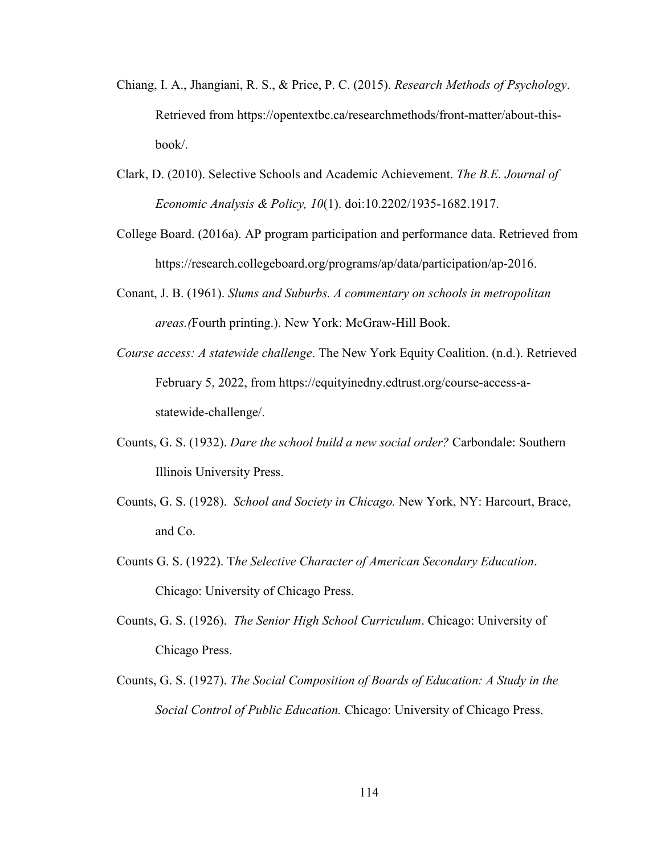- Chiang, I. A., Jhangiani, R. S., & Price, P. C. (2015). *Research Methods of Psychology*. Retrieved from https://opentextbc.ca/researchmethods/front-matter/about-thisbook/.
- Clark, D. (2010). Selective Schools and Academic Achievement. *The B.E. Journal of Economic Analysis & Policy, 10*(1). doi:10.2202/1935-1682.1917.
- College Board. (2016a). AP program participation and performance data. Retrieved from https://research.collegeboard.org/programs/ap/data/participation/ap-2016.
- Conant, J. B. (1961). *Slums and Suburbs. A commentary on schools in metropolitan areas.(*Fourth printing.). New York: McGraw-Hill Book.
- *Course access: A statewide challenge*. The New York Equity Coalition. (n.d.). Retrieved February 5, 2022, from https://equityinedny.edtrust.org/course-access-astatewide-challenge/.
- Counts, G. S. (1932). *Dare the school build a new social order?* Carbondale: Southern Illinois University Press.
- Counts, G. S. (1928). *School and Society in Chicago.* New York, NY: Harcourt, Brace, and Co.
- Counts G. S. (1922). T*he Selective Character of American Secondary Education*. Chicago: University of Chicago Press.
- Counts, G. S. (1926). *The Senior High School Curriculum*. Chicago: University of Chicago Press.
- Counts, G. S. (1927). *The Social Composition of Boards of Education: A Study in the Social Control of Public Education.* Chicago: University of Chicago Press.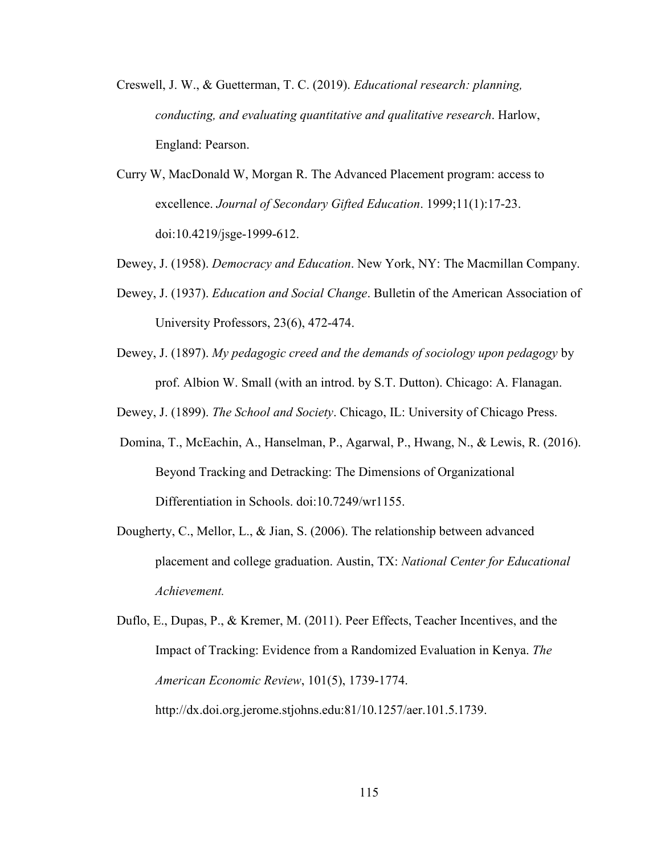- Creswell, J. W., & Guetterman, T. C. (2019). *Educational research: planning, conducting, and evaluating quantitative and qualitative research*. Harlow, England: Pearson.
- Curry W, MacDonald W, Morgan R. The Advanced Placement program: access to excellence. *Journal of Secondary Gifted Education*. 1999;11(1):17-23. doi:10.4219/jsge-1999-612.
- Dewey, J. (1958). *Democracy and Education*. New York, NY: The Macmillan Company.
- Dewey, J. (1937). *Education and Social Change*. Bulletin of the American Association of University Professors, 23(6), 472-474.
- Dewey, J. (1897). *My pedagogic creed and the demands of sociology upon pedagogy* by prof. Albion W. Small (with an introd. by S.T. Dutton). Chicago: A. Flanagan.
- Dewey, J. (1899). *The School and Society*. Chicago, IL: University of Chicago Press.
- Domina, T., McEachin, A., Hanselman, P., Agarwal, P., Hwang, N., & Lewis, R. (2016). Beyond Tracking and Detracking: The Dimensions of Organizational Differentiation in Schools. doi:10.7249/wr1155.
- Dougherty, C., Mellor, L., & Jian, S. (2006). The relationship between advanced placement and college graduation. Austin, TX: *National Center for Educational Achievement.*
- Duflo, E., Dupas, P., & Kremer, M. (2011). Peer Effects, Teacher Incentives, and the Impact of Tracking: Evidence from a Randomized Evaluation in Kenya. *The American Economic Review*, 101(5), 1739-1774. http://dx.doi.org.jerome.stjohns.edu:81/10.1257/aer.101.5.1739.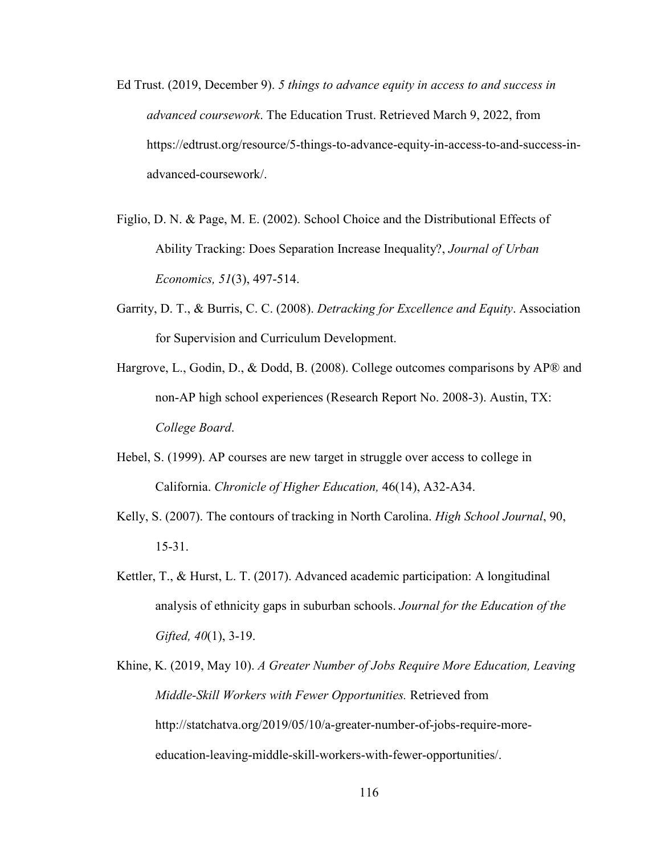- Ed Trust. (2019, December 9). *5 things to advance equity in access to and success in advanced coursework*. The Education Trust. Retrieved March 9, 2022, from https://edtrust.org/resource/5-things-to-advance-equity-in-access-to-and-success-inadvanced-coursework/.
- Figlio, D. N. & Page, M. E. (2002). School Choice and the Distributional Effects of Ability Tracking: Does Separation Increase Inequality?, *Journal of Urban Economics, 51*(3), 497-514.
- Garrity, D. T., & Burris, C. C. (2008). *Detracking for Excellence and Equity*. Association for Supervision and Curriculum Development.
- Hargrove, L., Godin, D., & Dodd, B. (2008). College outcomes comparisons by AP® and non-AP high school experiences (Research Report No. 2008-3). Austin, TX: *College Board*.
- Hebel, S. (1999). AP courses are new target in struggle over access to college in California. *Chronicle of Higher Education,* 46(14), A32-A34.
- Kelly, S. (2007). The contours of tracking in North Carolina. *High School Journal*, 90, 15-31.
- Kettler, T., & Hurst, L. T. (2017). Advanced academic participation: A longitudinal analysis of ethnicity gaps in suburban schools. *Journal for the Education of the Gifted, 40*(1), 3-19.
- Khine, K. (2019, May 10). *A Greater Number of Jobs Require More Education, Leaving Middle-Skill Workers with Fewer Opportunities.* Retrieved from http://statchatva.org/2019/05/10/a-greater-number-of-jobs-require-moreeducation-leaving-middle-skill-workers-with-fewer-opportunities/.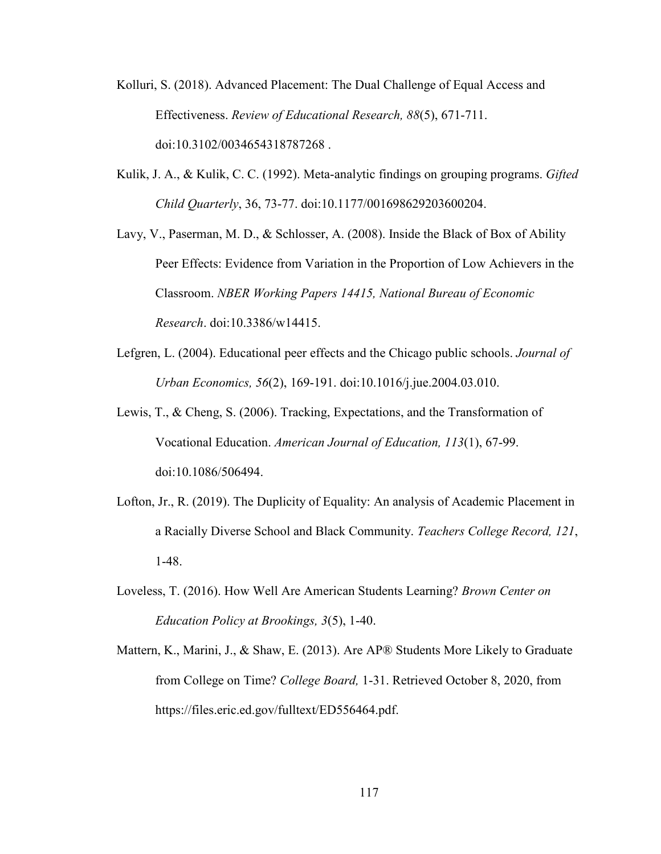- Kolluri, S. (2018). Advanced Placement: The Dual Challenge of Equal Access and Effectiveness. *Review of Educational Research, 88*(5), 671-711. doi:10.3102/0034654318787268 .
- Kulik, J. A., & Kulik, C. C. (1992). Meta-analytic findings on grouping programs. *Gifted Child Quarterly*, 36, 73-77. doi:10.1177/001698629203600204.
- Lavy, V., Paserman, M. D., & Schlosser, A. (2008). Inside the Black of Box of Ability Peer Effects: Evidence from Variation in the Proportion of Low Achievers in the Classroom. *NBER Working Papers 14415, National Bureau of Economic Research*. doi:10.3386/w14415.
- Lefgren, L. (2004). Educational peer effects and the Chicago public schools. *Journal of Urban Economics, 56*(2), 169-191. doi:10.1016/j.jue.2004.03.010.
- Lewis, T., & Cheng, S. (2006). Tracking, Expectations, and the Transformation of Vocational Education. *American Journal of Education, 113*(1), 67-99. doi:10.1086/506494.
- Lofton, Jr., R. (2019). The Duplicity of Equality: An analysis of Academic Placement in a Racially Diverse School and Black Community. *Teachers College Record, 121*, 1-48.
- Loveless, T. (2016). How Well Are American Students Learning? *Brown Center on Education Policy at Brookings, 3*(5), 1-40.
- Mattern, K., Marini, J., & Shaw, E. (2013). Are AP® Students More Likely to Graduate from College on Time? *College Board,* 1-31. Retrieved October 8, 2020, from https://files.eric.ed.gov/fulltext/ED556464.pdf.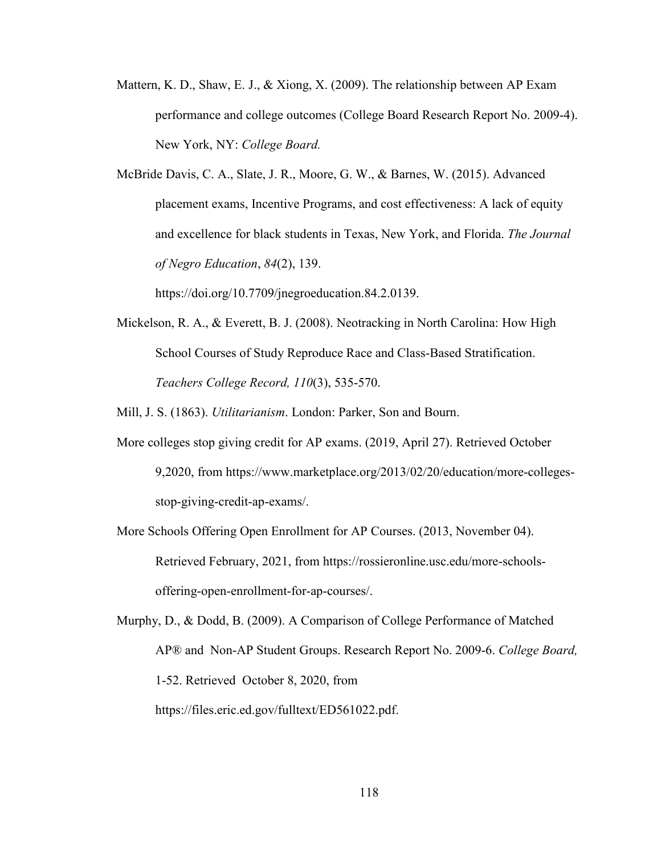Mattern, K. D., Shaw, E. J., & Xiong, X. (2009). The relationship between AP Exam performance and college outcomes (College Board Research Report No. 2009-4). New York, NY: *College Board.*

McBride Davis, C. A., Slate, J. R., Moore, G. W., & Barnes, W. (2015). Advanced placement exams, Incentive Programs, and cost effectiveness: A lack of equity and excellence for black students in Texas, New York, and Florida. *The Journal of Negro Education*, *84*(2), 139.

https://doi.org/10.7709/jnegroeducation.84.2.0139.

Mickelson, R. A., & Everett, B. J. (2008). Neotracking in North Carolina: How High School Courses of Study Reproduce Race and Class-Based Stratification. *Teachers College Record, 110*(3), 535-570.

Mill, J. S. (1863). *Utilitarianism*. London: Parker, Son and Bourn.

- More colleges stop giving credit for AP exams. (2019, April 27). Retrieved October 9,2020, from https://www.marketplace.org/2013/02/20/education/more-collegesstop-giving-credit-ap-exams/.
- More Schools Offering Open Enrollment for AP Courses. (2013, November 04). Retrieved February, 2021, from https://rossieronline.usc.edu/more-schoolsoffering-open-enrollment-for-ap-courses/.

Murphy, D., & Dodd, B. (2009). A Comparison of College Performance of Matched AP® and Non-AP Student Groups. Research Report No. 2009-6. *College Board,* 1-52. Retrieved October 8, 2020, from https://files.eric.ed.gov/fulltext/ED561022.pdf.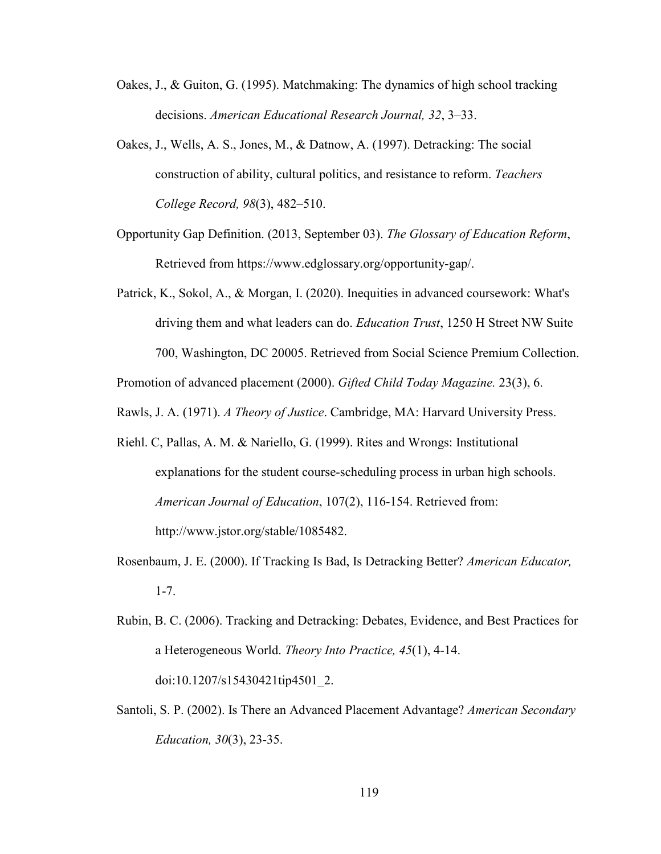- Oakes, J., & Guiton, G. (1995). Matchmaking: The dynamics of high school tracking decisions. *American Educational Research Journal, 32*, 3–33.
- Oakes, J., Wells, A. S., Jones, M., & Datnow, A. (1997). Detracking: The social construction of ability, cultural politics, and resistance to reform. *Teachers College Record, 98*(3), 482–510.
- Opportunity Gap Definition. (2013, September 03). *The Glossary of Education Reform*, Retrieved from https://www.edglossary.org/opportunity-gap/.
- Patrick, K., Sokol, A., & Morgan, I. (2020). Inequities in advanced coursework: What's driving them and what leaders can do. *Education Trust*, 1250 H Street NW Suite 700, Washington, DC 20005. Retrieved from Social Science Premium Collection.

Promotion of advanced placement (2000). *Gifted Child Today Magazine.* 23(3), 6.

Rawls, J. A. (1971). *A Theory of Justice*. Cambridge, MA: Harvard University Press.

- Riehl. C, Pallas, A. M. & Nariello, G. (1999). Rites and Wrongs: Institutional explanations for the student course-scheduling process in urban high schools. *American Journal of Education*, 107(2), 116-154. Retrieved from: http://www.jstor.org/stable/1085482.
- Rosenbaum, J. E. (2000). If Tracking Is Bad, Is Detracking Better? *American Educator,* 1-7.
- Rubin, B. C. (2006). Tracking and Detracking: Debates, Evidence, and Best Practices for a Heterogeneous World. *Theory Into Practice, 45*(1), 4-14. doi:10.1207/s15430421tip4501\_2.
- Santoli, S. P. (2002). Is There an Advanced Placement Advantage? *American Secondary Education, 30*(3), 23-35.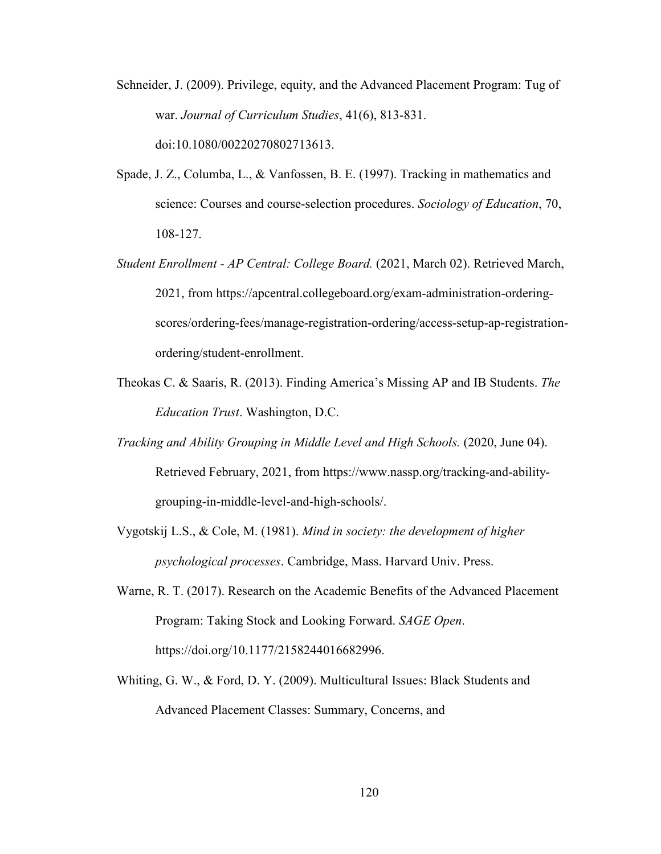- Schneider, J. (2009). Privilege, equity, and the Advanced Placement Program: Tug of war. *Journal of Curriculum Studies*, 41(6), 813-831. doi:10.1080/00220270802713613.
- Spade, J. Z., Columba, L., & Vanfossen, B. E. (1997). Tracking in mathematics and science: Courses and course-selection procedures. *Sociology of Education*, 70, 108-127.
- *Student Enrollment AP Central: College Board.* (2021, March 02). Retrieved March, 2021, from https://apcentral.collegeboard.org/exam-administration-orderingscores/ordering-fees/manage-registration-ordering/access-setup-ap-registrationordering/student-enrollment.
- Theokas C. & Saaris, R. (2013). Finding America's Missing AP and IB Students. *The Education Trust*. Washington, D.C.
- *Tracking and Ability Grouping in Middle Level and High Schools.* (2020, June 04). Retrieved February, 2021, from https://www.nassp.org/tracking-and-abilitygrouping-in-middle-level-and-high-schools/.
- Vygotskij L.S., & Cole, M. (1981). *Mind in society: the development of higher psychological processes*. Cambridge, Mass. Harvard Univ. Press.
- Warne, R. T. (2017). Research on the Academic Benefits of the Advanced Placement Program: Taking Stock and Looking Forward. *SAGE Open*. https://doi.org/10.1177/2158244016682996.
- Whiting, G. W., & Ford, D. Y. (2009). Multicultural Issues: Black Students and Advanced Placement Classes: Summary, Concerns, and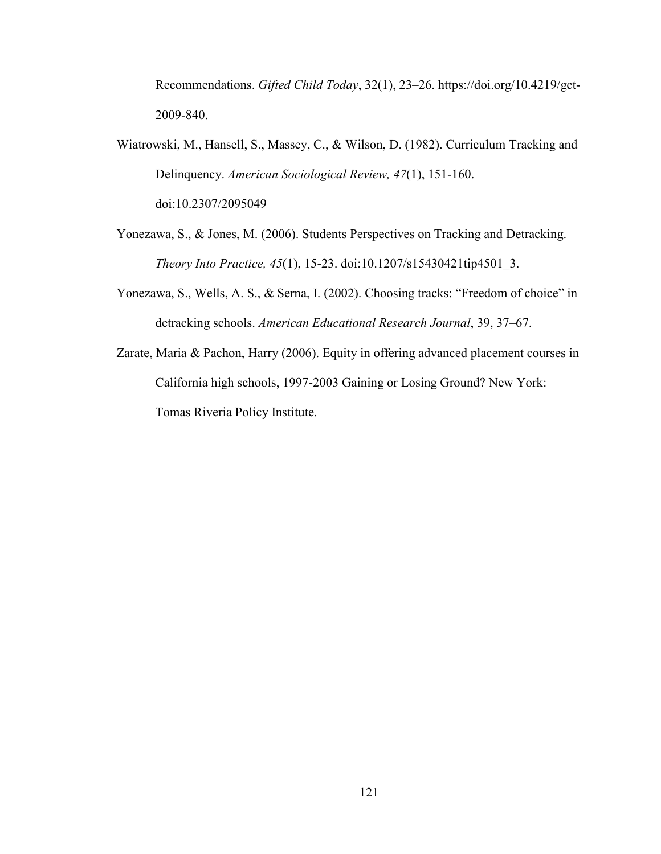Recommendations. *Gifted Child Today*, 32(1), 23–26. https://doi.org/10.4219/gct-2009-840.

Wiatrowski, M., Hansell, S., Massey, C., & Wilson, D. (1982). Curriculum Tracking and Delinquency. *American Sociological Review, 47*(1), 151-160. doi:10.2307/2095049

Yonezawa, S., & Jones, M. (2006). Students Perspectives on Tracking and Detracking. *Theory Into Practice, 45*(1), 15-23. doi:10.1207/s15430421tip4501\_3.

- Yonezawa, S., Wells, A. S., & Serna, I. (2002). Choosing tracks: "Freedom of choice" in detracking schools. *American Educational Research Journal*, 39, 37–67.
- Zarate, Maria & Pachon, Harry (2006). Equity in offering advanced placement courses in California high schools, 1997-2003 Gaining or Losing Ground? New York: Tomas Riveria Policy Institute.